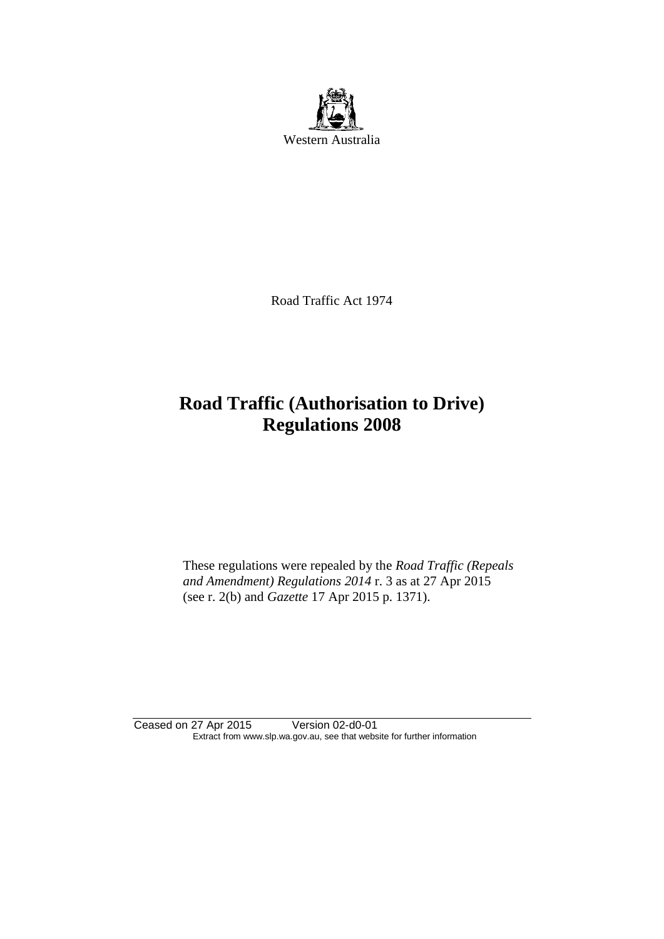

Road Traffic Act 1974

# **Road Traffic (Authorisation to Drive) Regulations 2008**

These regulations were repealed by the *Road Traffic (Repeals and Amendment) Regulations 2014* r. 3 as at 27 Apr 2015 (see r. 2(b) and *Gazette* 17 Apr 2015 p. 1371).

Ceased on 27 Apr 2015 Version 02-d0-01 Extract from www.slp.wa.gov.au, see that website for further information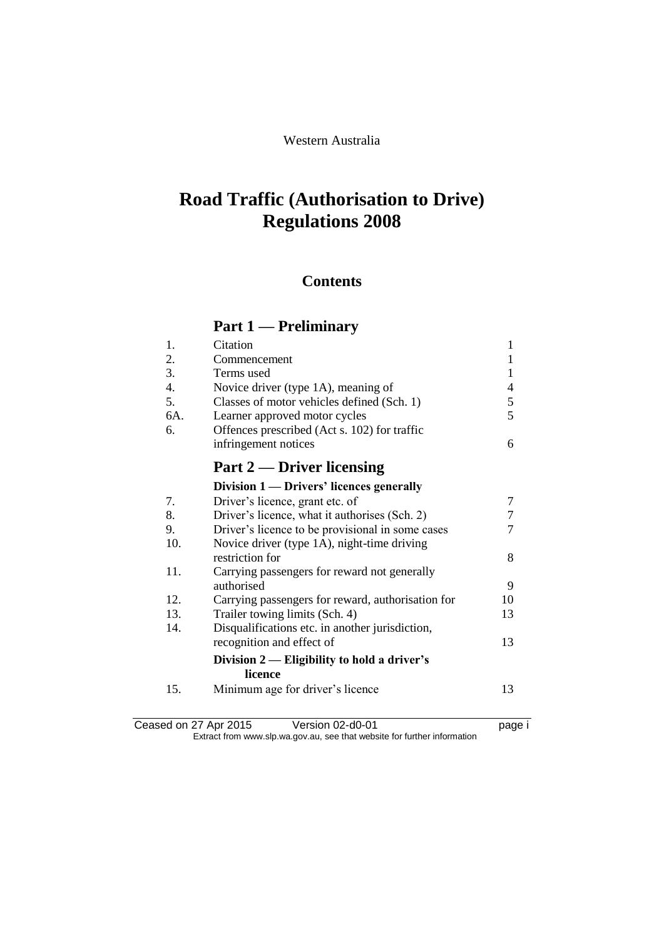#### Western Australia

# **Road Traffic (Authorisation to Drive) Regulations 2008**

## **Contents**

# **Part 1 — Preliminary**

| 1.  | Citation                                          | 1  |
|-----|---------------------------------------------------|----|
| 2.  | Commencement                                      | 1  |
| 3.  | Terms used                                        | 1  |
| 4.  | Novice driver (type 1A), meaning of               | 4  |
| 5.  | Classes of motor vehicles defined (Sch. 1)        | 5  |
| 6A. | Learner approved motor cycles                     | 5  |
| 6.  | Offences prescribed (Act s. 102) for traffic      |    |
|     | infringement notices                              | 6  |
|     | Part 2 — Driver licensing                         |    |
|     | Division 1 — Drivers' licences generally          |    |
| 7.  | Driver's licence, grant etc. of                   | 7  |
| 8.  | Driver's licence, what it authorises (Sch. 2)     | 7  |
| 9.  | Driver's licence to be provisional in some cases  | 7  |
| 10. | Novice driver (type 1A), night-time driving       |    |
|     | restriction for                                   | 8  |
| 11. | Carrying passengers for reward not generally      |    |
|     | authorised                                        | 9  |
| 12. | Carrying passengers for reward, authorisation for | 10 |
| 13. | Trailer towing limits (Sch. 4)                    | 13 |
| 14. | Disqualifications etc. in another jurisdiction,   |    |
|     | recognition and effect of                         | 13 |
|     | Division $2$ - Eligibility to hold a driver's     |    |
|     | licence                                           |    |
| 15. | Minimum age for driver's licence                  | 13 |
|     |                                                   |    |
|     |                                                   |    |

Ceased on 27 Apr 2015 Version 02-d0-01 page i Extract from www.slp.wa.gov.au, see that website for further information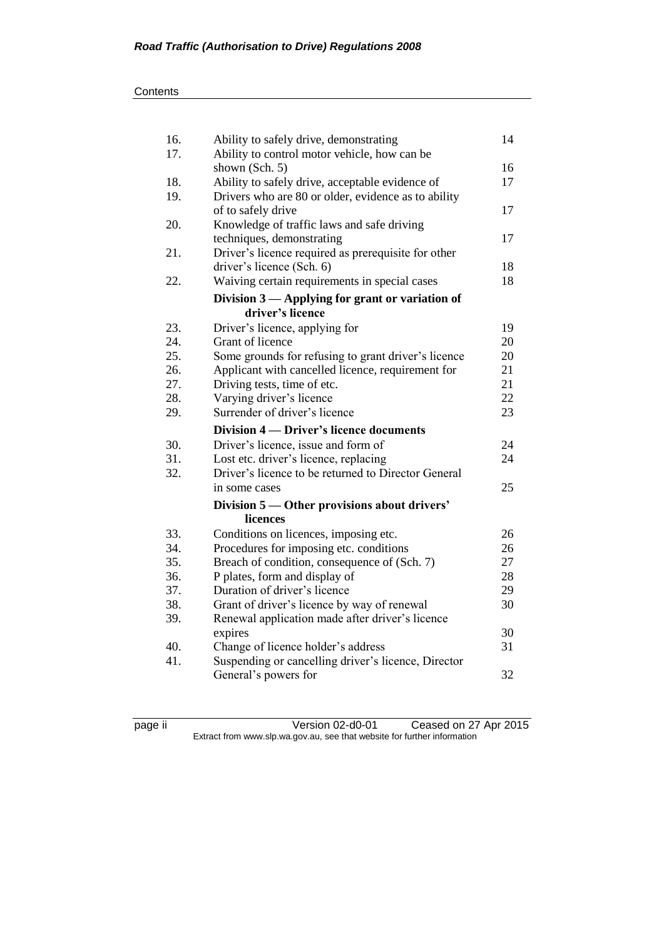| 16. | Ability to safely drive, demonstrating                              | 14       |
|-----|---------------------------------------------------------------------|----------|
| 17. | Ability to control motor vehicle, how can be                        |          |
|     | shown (Sch. 5)                                                      | 16       |
| 18. | Ability to safely drive, acceptable evidence of                     | 17       |
| 19. | Drivers who are 80 or older, evidence as to ability                 |          |
|     | of to safely drive                                                  | 17       |
| 20. | Knowledge of traffic laws and safe driving                          |          |
|     | techniques, demonstrating                                           | 17       |
| 21. | Driver's licence required as prerequisite for other                 |          |
|     | driver's licence (Sch. 6)                                           | 18       |
| 22. | Waiving certain requirements in special cases                       | 18       |
|     | Division 3 — Applying for grant or variation of<br>driver's licence |          |
|     |                                                                     |          |
| 23. | Driver's licence, applying for                                      | 19       |
| 24. | Grant of licence                                                    | 20       |
| 25. | Some grounds for refusing to grant driver's licence                 | 20       |
| 26. | Applicant with cancelled licence, requirement for                   | 21       |
| 27. | Driving tests, time of etc.                                         | 21       |
| 28. | Varying driver's licence<br>Surrender of driver's licence           | 22<br>23 |
| 29. |                                                                     |          |
|     | Division 4 — Driver's licence documents                             |          |
| 30. | Driver's licence, issue and form of                                 | 24       |
| 31. | Lost etc. driver's licence, replacing                               | 24       |
| 32. | Driver's licence to be returned to Director General                 |          |
|     | in some cases                                                       | 25       |
|     | Division 5 — Other provisions about drivers'                        |          |
|     | licences                                                            |          |
| 33. | Conditions on licences, imposing etc.                               | 26       |
| 34. | Procedures for imposing etc. conditions                             | 26       |
| 35. | Breach of condition, consequence of (Sch. 7)                        | 27       |
| 36. | P plates, form and display of                                       | 28       |
| 37. | Duration of driver's licence                                        | 29       |
| 38. | Grant of driver's licence by way of renewal                         | 30       |
| 39. | Renewal application made after driver's licence                     |          |
|     | expires                                                             | 30<br>31 |
| 40. | Change of licence holder's address                                  |          |
| 41. | Suspending or cancelling driver's licence, Director                 |          |
|     | General's powers for                                                | 32       |

page ii Version 02-d0-01 Ceased on 27 Apr 2015 Extract from www.slp.wa.gov.au, see that website for further information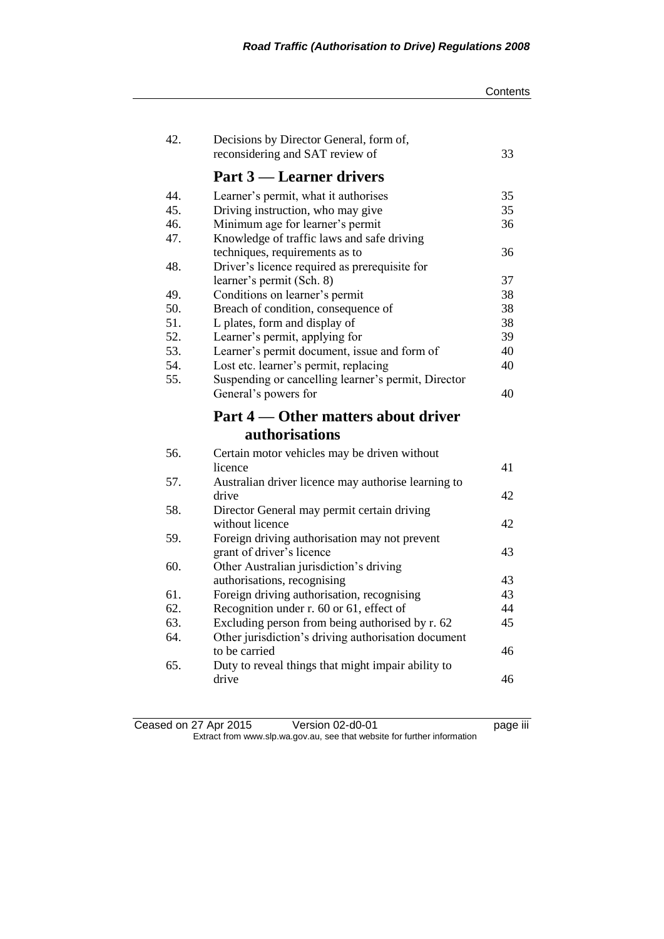| 42. | Decisions by Director General, form of,                                    |    |
|-----|----------------------------------------------------------------------------|----|
|     | reconsidering and SAT review of                                            | 33 |
|     | <b>Part 3 — Learner drivers</b>                                            |    |
| 44. | Learner's permit, what it authorises                                       | 35 |
| 45. | Driving instruction, who may give                                          | 35 |
| 46. | Minimum age for learner's permit                                           | 36 |
| 47. | Knowledge of traffic laws and safe driving                                 |    |
|     | techniques, requirements as to                                             | 36 |
| 48. | Driver's licence required as prerequisite for                              |    |
|     | learner's permit (Sch. 8)                                                  | 37 |
| 49. | Conditions on learner's permit                                             | 38 |
| 50. | Breach of condition, consequence of                                        | 38 |
| 51. | L plates, form and display of                                              | 38 |
| 52. | Learner's permit, applying for                                             | 39 |
| 53. | Learner's permit document, issue and form of                               | 40 |
| 54. | Lost etc. learner's permit, replacing                                      | 40 |
| 55. | Suspending or cancelling learner's permit, Director                        |    |
|     | General's powers for                                                       | 40 |
|     |                                                                            |    |
|     | Part 4 — Other matters about driver                                        |    |
|     | <b>authorisations</b>                                                      |    |
| 56. |                                                                            |    |
|     | Certain motor vehicles may be driven without<br>licence                    | 41 |
| 57. |                                                                            |    |
|     | Australian driver licence may authorise learning to<br>drive               | 42 |
| 58. |                                                                            |    |
|     | Director General may permit certain driving<br>without licence             | 42 |
| 59. |                                                                            |    |
|     | Foreign driving authorisation may not prevent<br>grant of driver's licence | 43 |
| 60. | Other Australian jurisdiction's driving                                    |    |
|     |                                                                            | 43 |
| 61. | authorisations, recognising<br>Foreign driving authorisation, recognising  | 43 |
| 62. | Recognition under r. 60 or 61, effect of                                   | 44 |
| 63. | Excluding person from being authorised by r. 62                            | 45 |
| 64. | Other jurisdiction's driving authorisation document                        |    |
|     | to be carried                                                              | 46 |
| 65. | Duty to reveal things that might impair ability to                         |    |

#### Ceased on 27 Apr 2015 Version 02-d0-01 page iii Extract from www.slp.wa.gov.au, see that website for further information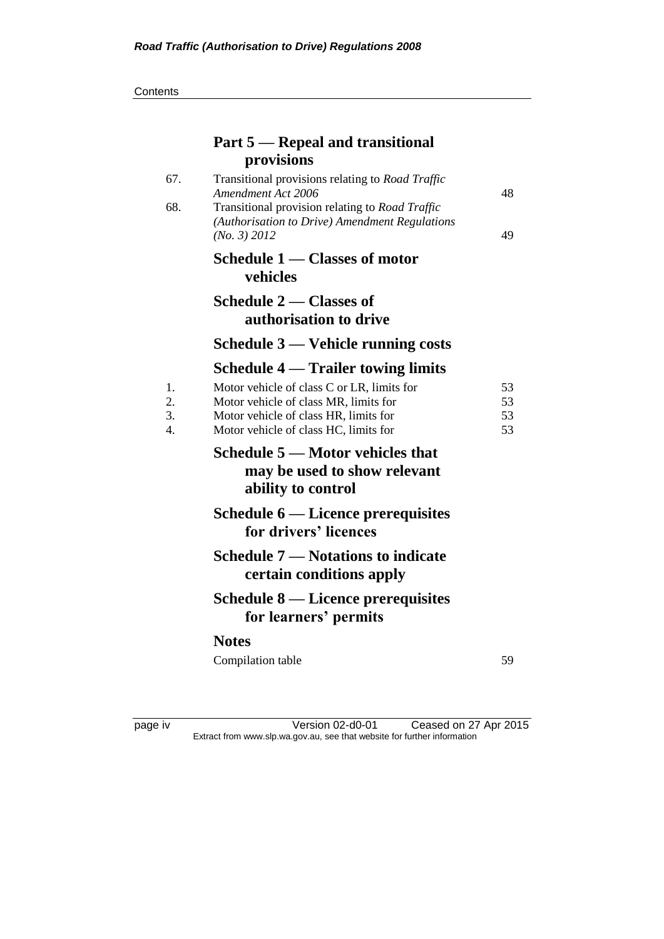**Contents** 

|                | Part 5 – Repeal and transitional                                                                                             |                |
|----------------|------------------------------------------------------------------------------------------------------------------------------|----------------|
|                | provisions                                                                                                                   |                |
| 67.            | Transitional provisions relating to Road Traffic<br>Amendment Act 2006                                                       | 48             |
| 68.            | Transitional provision relating to Road Traffic<br>(Authorisation to Drive) Amendment Regulations<br>(No. 3) 2012            | 49             |
|                | Schedule 1 — Classes of motor<br>vehicles                                                                                    |                |
|                | Schedule 2 – Classes of<br>authorisation to drive                                                                            |                |
|                | Schedule 3 — Vehicle running costs                                                                                           |                |
|                | Schedule 4 — Trailer towing limits                                                                                           |                |
| 1.<br>2.<br>3. | Motor vehicle of class C or LR, limits for<br>Motor vehicle of class MR, limits for<br>Motor vehicle of class HR, limits for | 53<br>53<br>53 |
| 4.             | Motor vehicle of class HC, limits for                                                                                        | 53             |
|                | Schedule 5 – Motor vehicles that<br>may be used to show relevant<br>ability to control                                       |                |
|                | Schedule 6 — Licence prerequisites<br>for drivers' licences                                                                  |                |
|                | <b>Schedule 7 — Notations to indicate</b><br>certain conditions apply                                                        |                |
|                | Schedule 8 — Licence prerequisites<br>for learners' permits                                                                  |                |
|                | <b>Notes</b>                                                                                                                 |                |
|                | Compilation table                                                                                                            | 59             |

page iv Version 02-d0-01 Ceased on 27 Apr 2015 Extract from www.slp.wa.gov.au, see that website for further information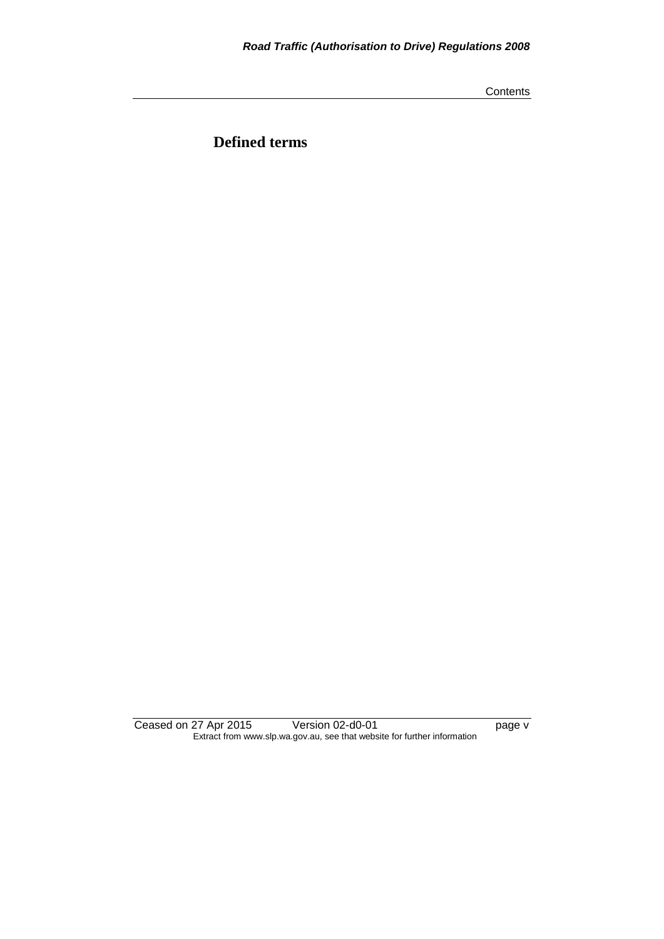**Contents** 

**Defined terms**

Ceased on 27 Apr 2015 Version 02-d0-01 page v Extract from www.slp.wa.gov.au, see that website for further information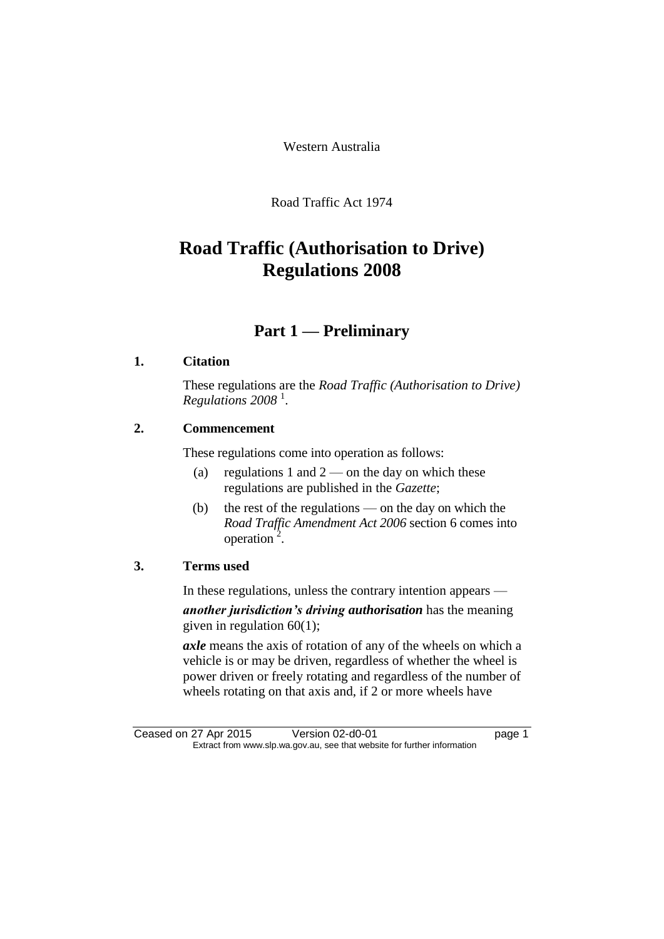Western Australia

Road Traffic Act 1974

# **Road Traffic (Authorisation to Drive) Regulations 2008**

## **Part 1 — Preliminary**

### **1. Citation**

These regulations are the *Road Traffic (Authorisation to Drive) Regulations 2008* <sup>1</sup> .

### **2. Commencement**

These regulations come into operation as follows:

- (a) regulations 1 and  $2$  on the day on which these regulations are published in the *Gazette*;
- (b) the rest of the regulations on the day on which the *Road Traffic Amendment Act 2006* section 6 comes into  $operation^2$ .

### **3. Terms used**

In these regulations, unless the contrary intention appears —

*another jurisdiction's driving authorisation* has the meaning given in regulation 60(1);

*axle* means the axis of rotation of any of the wheels on which a vehicle is or may be driven, regardless of whether the wheel is power driven or freely rotating and regardless of the number of wheels rotating on that axis and, if 2 or more wheels have

Ceased on 27 Apr 2015 Version 02-d0-01 Page 1 Extract from www.slp.wa.gov.au, see that website for further information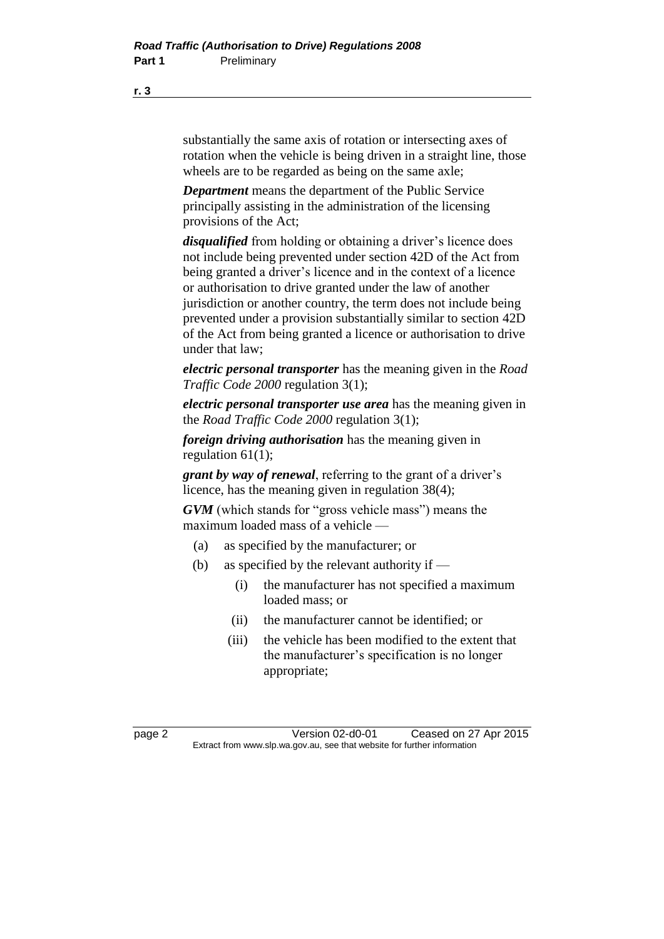substantially the same axis of rotation or intersecting axes of rotation when the vehicle is being driven in a straight line, those wheels are to be regarded as being on the same axle;

*Department* means the department of the Public Service principally assisting in the administration of the licensing provisions of the Act;

*disqualified* from holding or obtaining a driver's licence does not include being prevented under section 42D of the Act from being granted a driver's licence and in the context of a licence or authorisation to drive granted under the law of another jurisdiction or another country, the term does not include being prevented under a provision substantially similar to section 42D of the Act from being granted a licence or authorisation to drive under that law;

*electric personal transporter* has the meaning given in the *Road Traffic Code 2000* regulation 3(1);

*electric personal transporter use area* has the meaning given in the *Road Traffic Code 2000* regulation 3(1);

*foreign driving authorisation* has the meaning given in regulation 61(1);

*grant by way of renewal*, referring to the grant of a driver's licence, has the meaning given in regulation 38(4);

*GVM* (which stands for "gross vehicle mass") means the maximum loaded mass of a vehicle —

- (a) as specified by the manufacturer; or
- (b) as specified by the relevant authority if
	- (i) the manufacturer has not specified a maximum loaded mass; or
	- (ii) the manufacturer cannot be identified; or
	- (iii) the vehicle has been modified to the extent that the manufacturer's specification is no longer appropriate;

page 2 Version 02-d0-01 Ceased on 27 Apr 2015 Extract from www.slp.wa.gov.au, see that website for further information

**r. 3**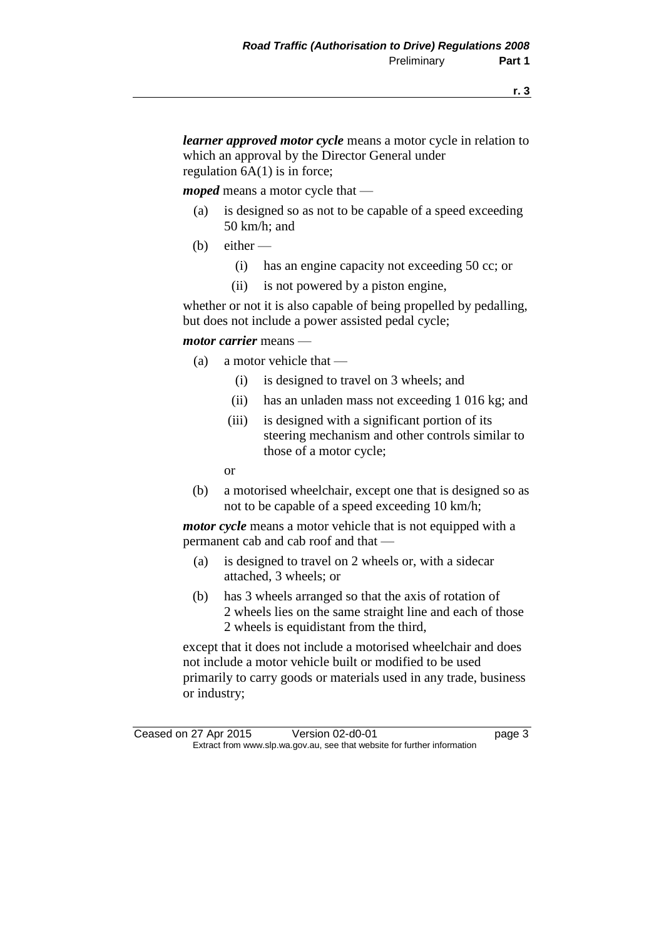*learner approved motor cycle* means a motor cycle in relation to which an approval by the Director General under regulation  $6A(1)$  is in force;

*moped* means a motor cycle that —

- (a) is designed so as not to be capable of a speed exceeding 50 km/h; and
- $(b)$  either
	- (i) has an engine capacity not exceeding 50 cc; or
	- (ii) is not powered by a piston engine,

whether or not it is also capable of being propelled by pedalling, but does not include a power assisted pedal cycle;

#### *motor carrier* means —

- (a) a motor vehicle that
	- (i) is designed to travel on 3 wheels; and
	- (ii) has an unladen mass not exceeding 1 016 kg; and
	- (iii) is designed with a significant portion of its steering mechanism and other controls similar to those of a motor cycle;

or

(b) a motorised wheelchair, except one that is designed so as not to be capable of a speed exceeding 10 km/h;

*motor cycle* means a motor vehicle that is not equipped with a permanent cab and cab roof and that —

- (a) is designed to travel on 2 wheels or, with a sidecar attached, 3 wheels; or
- (b) has 3 wheels arranged so that the axis of rotation of 2 wheels lies on the same straight line and each of those 2 wheels is equidistant from the third,

except that it does not include a motorised wheelchair and does not include a motor vehicle built or modified to be used primarily to carry goods or materials used in any trade, business or industry;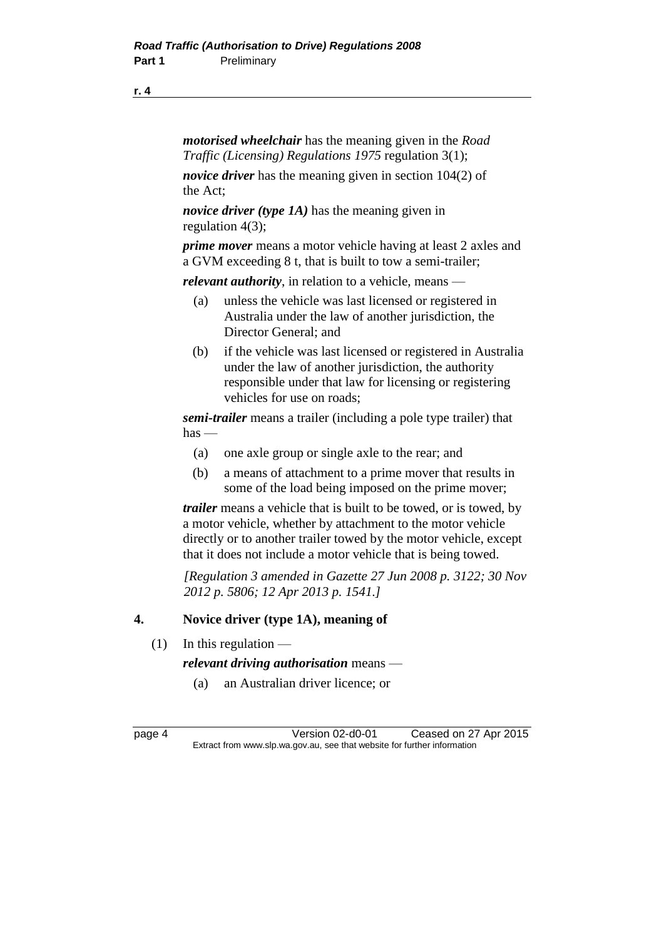#### **r. 4**

*motorised wheelchair* has the meaning given in the *Road Traffic (Licensing) Regulations 1975* regulation 3(1);

*novice driver* has the meaning given in section 104(2) of the Act;

*novice driver (type 1A)* has the meaning given in regulation 4(3);

*prime mover* means a motor vehicle having at least 2 axles and a GVM exceeding 8 t, that is built to tow a semi-trailer;

*relevant authority*, in relation to a vehicle, means —

- (a) unless the vehicle was last licensed or registered in Australia under the law of another jurisdiction, the Director General; and
- (b) if the vehicle was last licensed or registered in Australia under the law of another jurisdiction, the authority responsible under that law for licensing or registering vehicles for use on roads;

*semi-trailer* means a trailer (including a pole type trailer) that has —

- (a) one axle group or single axle to the rear; and
- (b) a means of attachment to a prime mover that results in some of the load being imposed on the prime mover;

*trailer* means a vehicle that is built to be towed, or is towed, by a motor vehicle, whether by attachment to the motor vehicle directly or to another trailer towed by the motor vehicle, except that it does not include a motor vehicle that is being towed.

*[Regulation 3 amended in Gazette 27 Jun 2008 p. 3122; 30 Nov 2012 p. 5806; 12 Apr 2013 p. 1541.]*

#### **4. Novice driver (type 1A), meaning of**

 $(1)$  In this regulation —

*relevant driving authorisation* means —

(a) an Australian driver licence; or

page 4 Version 02-d0-01 Ceased on 27 Apr 2015 Extract from www.slp.wa.gov.au, see that website for further information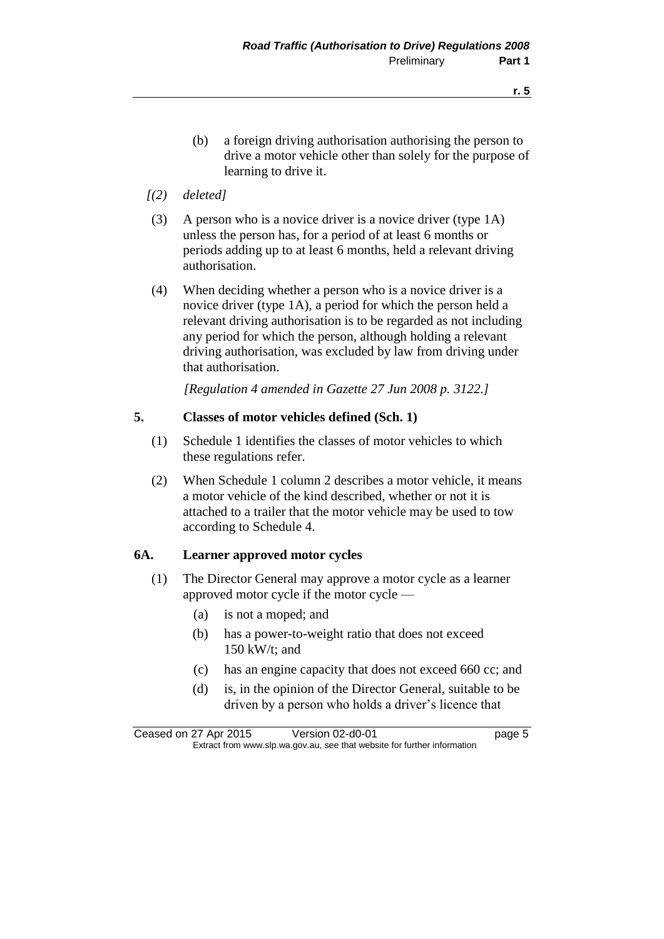- (b) a foreign driving authorisation authorising the person to drive a motor vehicle other than solely for the purpose of learning to drive it.
- *[(2) deleted]*
- (3) A person who is a novice driver is a novice driver (type 1A) unless the person has, for a period of at least 6 months or periods adding up to at least 6 months, held a relevant driving authorisation.
- (4) When deciding whether a person who is a novice driver is a novice driver (type 1A), a period for which the person held a relevant driving authorisation is to be regarded as not including any period for which the person, although holding a relevant driving authorisation, was excluded by law from driving under that authorisation.

*[Regulation 4 amended in Gazette 27 Jun 2008 p. 3122.]*

#### **5. Classes of motor vehicles defined (Sch. 1)**

- (1) Schedule 1 identifies the classes of motor vehicles to which these regulations refer.
- (2) When Schedule 1 column 2 describes a motor vehicle, it means a motor vehicle of the kind described, whether or not it is attached to a trailer that the motor vehicle may be used to tow according to Schedule 4.

#### **6A. Learner approved motor cycles**

- (1) The Director General may approve a motor cycle as a learner approved motor cycle if the motor cycle —
	- (a) is not a moped; and
	- (b) has a power-to-weight ratio that does not exceed 150 kW/t; and
	- (c) has an engine capacity that does not exceed 660 cc; and
	- (d) is, in the opinion of the Director General, suitable to be driven by a person who holds a driver's licence that

Ceased on 27 Apr 2015 Version 02-d0-01 page 5 Extract from www.slp.wa.gov.au, see that website for further information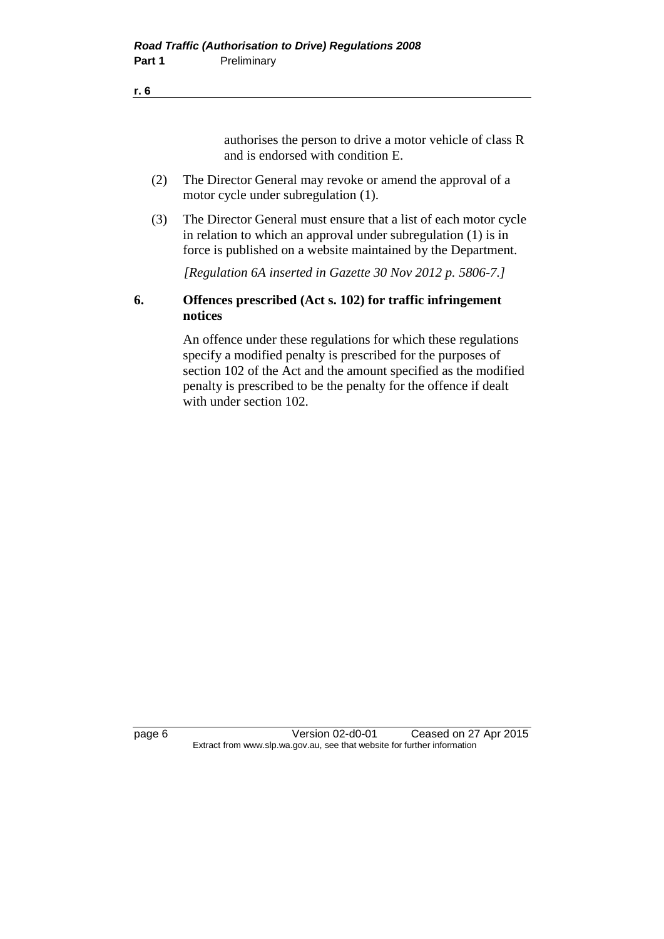#### **r. 6**

authorises the person to drive a motor vehicle of class R and is endorsed with condition E.

- (2) The Director General may revoke or amend the approval of a motor cycle under subregulation (1).
- (3) The Director General must ensure that a list of each motor cycle in relation to which an approval under subregulation (1) is in force is published on a website maintained by the Department.

*[Regulation 6A inserted in Gazette 30 Nov 2012 p. 5806-7.]*

#### **6. Offences prescribed (Act s. 102) for traffic infringement notices**

An offence under these regulations for which these regulations specify a modified penalty is prescribed for the purposes of section 102 of the Act and the amount specified as the modified penalty is prescribed to be the penalty for the offence if dealt with under section 102.

page 6 Version 02-d0-01 Ceased on 27 Apr 2015 Extract from www.slp.wa.gov.au, see that website for further information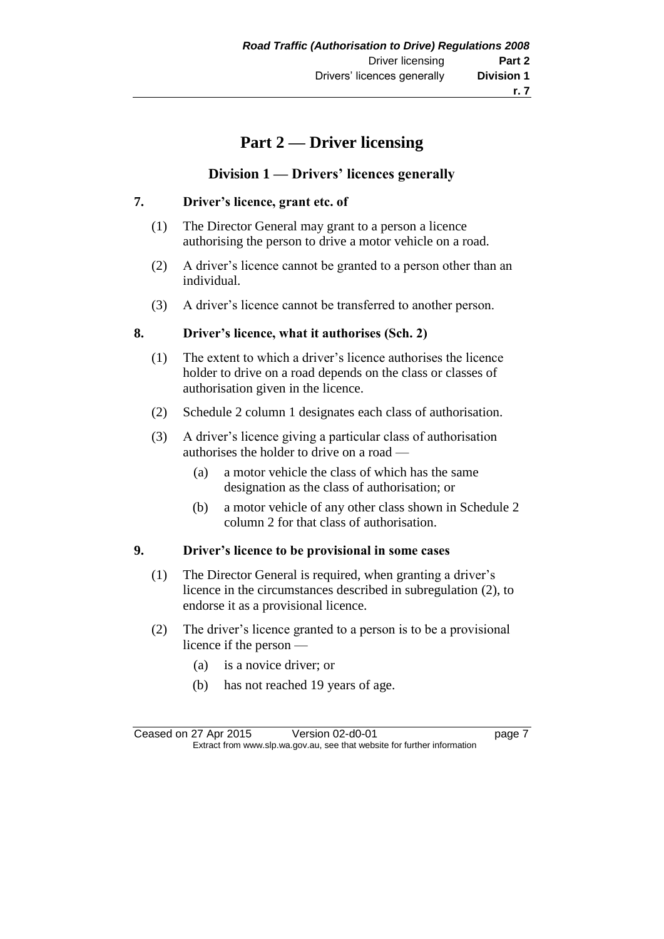## **Part 2 — Driver licensing**

#### **Division 1 — Drivers' licences generally**

#### **7. Driver's licence, grant etc. of**

- (1) The Director General may grant to a person a licence authorising the person to drive a motor vehicle on a road.
- (2) A driver's licence cannot be granted to a person other than an individual.
- (3) A driver's licence cannot be transferred to another person.

#### **8. Driver's licence, what it authorises (Sch. 2)**

- (1) The extent to which a driver's licence authorises the licence holder to drive on a road depends on the class or classes of authorisation given in the licence.
- (2) Schedule 2 column 1 designates each class of authorisation.
- (3) A driver's licence giving a particular class of authorisation authorises the holder to drive on a road —
	- (a) a motor vehicle the class of which has the same designation as the class of authorisation; or
	- (b) a motor vehicle of any other class shown in Schedule 2 column 2 for that class of authorisation.

### **9. Driver's licence to be provisional in some cases**

- (1) The Director General is required, when granting a driver's licence in the circumstances described in subregulation (2), to endorse it as a provisional licence.
- (2) The driver's licence granted to a person is to be a provisional licence if the person —
	- (a) is a novice driver; or
	- (b) has not reached 19 years of age.

Ceased on 27 Apr 2015 Version 02-d0-01 page 7 Extract from www.slp.wa.gov.au, see that website for further information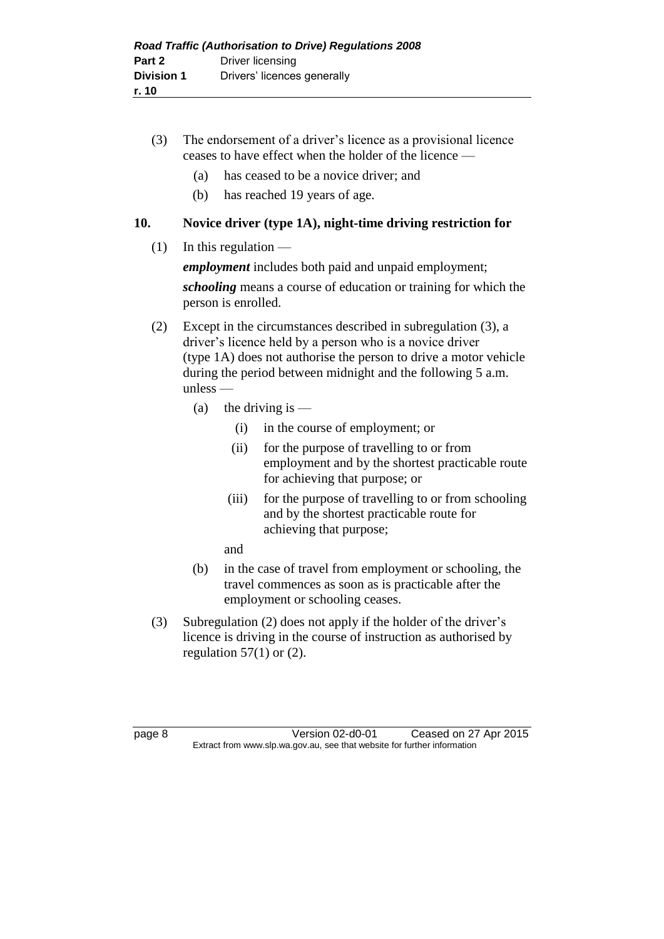- (3) The endorsement of a driver's licence as a provisional licence ceases to have effect when the holder of the licence —
	- (a) has ceased to be a novice driver; and
	- (b) has reached 19 years of age.

#### **10. Novice driver (type 1A), night-time driving restriction for**

 $(1)$  In this regulation —

*employment* includes both paid and unpaid employment;

*schooling* means a course of education or training for which the person is enrolled.

- (2) Except in the circumstances described in subregulation (3), a driver's licence held by a person who is a novice driver (type 1A) does not authorise the person to drive a motor vehicle during the period between midnight and the following 5 a.m. unless —
	- (a) the driving is  $-$ 
		- (i) in the course of employment; or
		- (ii) for the purpose of travelling to or from employment and by the shortest practicable route for achieving that purpose; or
		- (iii) for the purpose of travelling to or from schooling and by the shortest practicable route for achieving that purpose;
		- and
	- (b) in the case of travel from employment or schooling, the travel commences as soon as is practicable after the employment or schooling ceases.
- (3) Subregulation (2) does not apply if the holder of the driver's licence is driving in the course of instruction as authorised by regulation  $57(1)$  or  $(2)$ .

page 8 Version 02-d0-01 Ceased on 27 Apr 2015 Extract from www.slp.wa.gov.au, see that website for further information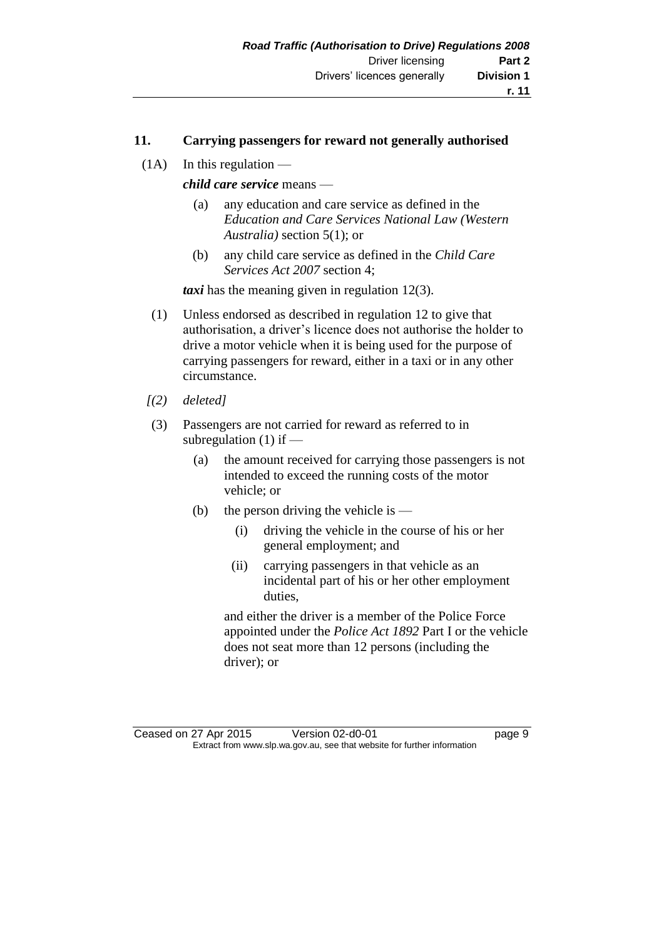#### **11. Carrying passengers for reward not generally authorised**

 $(1A)$  In this regulation —

*child care service* means —

- (a) any education and care service as defined in the *Education and Care Services National Law (Western Australia)* section 5(1); or
- (b) any child care service as defined in the *Child Care Services Act 2007* section 4;

*taxi* has the meaning given in regulation 12(3).

- (1) Unless endorsed as described in regulation 12 to give that authorisation, a driver's licence does not authorise the holder to drive a motor vehicle when it is being used for the purpose of carrying passengers for reward, either in a taxi or in any other circumstance.
- *[(2) deleted]*
- (3) Passengers are not carried for reward as referred to in subregulation  $(1)$  if —
	- (a) the amount received for carrying those passengers is not intended to exceed the running costs of the motor vehicle; or
	- (b) the person driving the vehicle is  $-$ 
		- (i) driving the vehicle in the course of his or her general employment; and
		- (ii) carrying passengers in that vehicle as an incidental part of his or her other employment duties.

and either the driver is a member of the Police Force appointed under the *Police Act 1892* Part I or the vehicle does not seat more than 12 persons (including the driver); or

Ceased on 27 Apr 2015 Version 02-d0-01 Page 9 Extract from www.slp.wa.gov.au, see that website for further information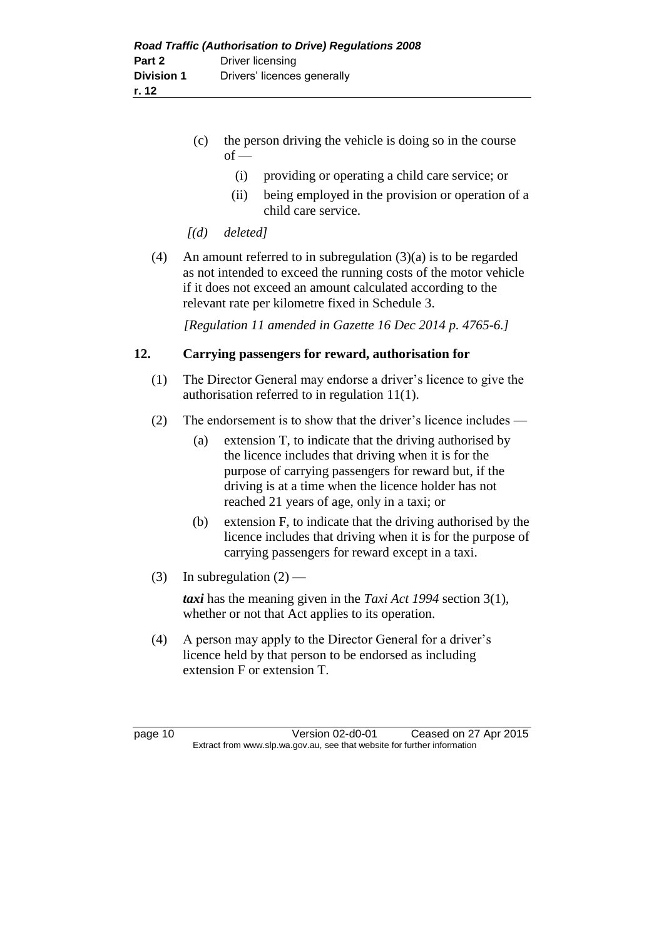- (c) the person driving the vehicle is doing so in the course  $of$  —
	- (i) providing or operating a child care service; or
	- (ii) being employed in the provision or operation of a child care service.
- *[(d) deleted]*
- (4) An amount referred to in subregulation  $(3)(a)$  is to be regarded as not intended to exceed the running costs of the motor vehicle if it does not exceed an amount calculated according to the relevant rate per kilometre fixed in Schedule 3.

*[Regulation 11 amended in Gazette 16 Dec 2014 p. 4765-6.]*

#### **12. Carrying passengers for reward, authorisation for**

- (1) The Director General may endorse a driver's licence to give the authorisation referred to in regulation 11(1).
- (2) The endorsement is to show that the driver's licence includes
	- (a) extension T, to indicate that the driving authorised by the licence includes that driving when it is for the purpose of carrying passengers for reward but, if the driving is at a time when the licence holder has not reached 21 years of age, only in a taxi; or
	- (b) extension F, to indicate that the driving authorised by the licence includes that driving when it is for the purpose of carrying passengers for reward except in a taxi.
- (3) In subregulation  $(2)$  —

*taxi* has the meaning given in the *Taxi Act 1994* section 3(1), whether or not that Act applies to its operation.

(4) A person may apply to the Director General for a driver's licence held by that person to be endorsed as including extension F or extension T.

page 10 Version 02-d0-01 Ceased on 27 Apr 2015 Extract from www.slp.wa.gov.au, see that website for further information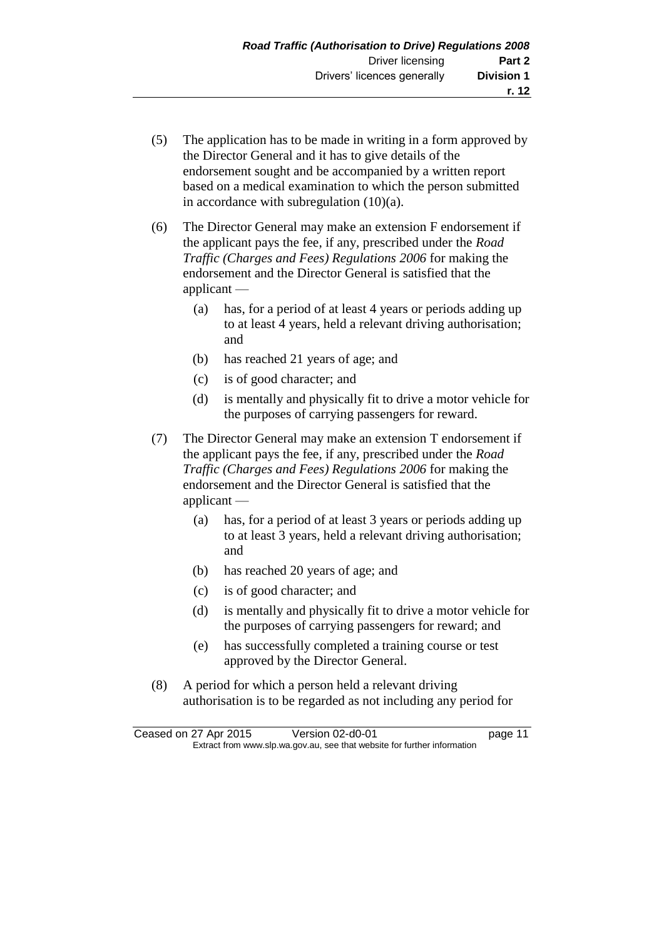- (5) The application has to be made in writing in a form approved by the Director General and it has to give details of the endorsement sought and be accompanied by a written report based on a medical examination to which the person submitted in accordance with subregulation (10)(a).
- (6) The Director General may make an extension F endorsement if the applicant pays the fee, if any, prescribed under the *Road Traffic (Charges and Fees) Regulations 2006* for making the endorsement and the Director General is satisfied that the applicant —
	- (a) has, for a period of at least 4 years or periods adding up to at least 4 years, held a relevant driving authorisation; and
	- (b) has reached 21 years of age; and
	- (c) is of good character; and
	- (d) is mentally and physically fit to drive a motor vehicle for the purposes of carrying passengers for reward.
- (7) The Director General may make an extension T endorsement if the applicant pays the fee, if any, prescribed under the *Road Traffic (Charges and Fees) Regulations 2006* for making the endorsement and the Director General is satisfied that the applicant —
	- (a) has, for a period of at least 3 years or periods adding up to at least 3 years, held a relevant driving authorisation; and
	- (b) has reached 20 years of age; and
	- (c) is of good character; and
	- (d) is mentally and physically fit to drive a motor vehicle for the purposes of carrying passengers for reward; and
	- (e) has successfully completed a training course or test approved by the Director General.
- (8) A period for which a person held a relevant driving authorisation is to be regarded as not including any period for

Ceased on 27 Apr 2015 Version 02-d0-01 page 11 Extract from www.slp.wa.gov.au, see that website for further information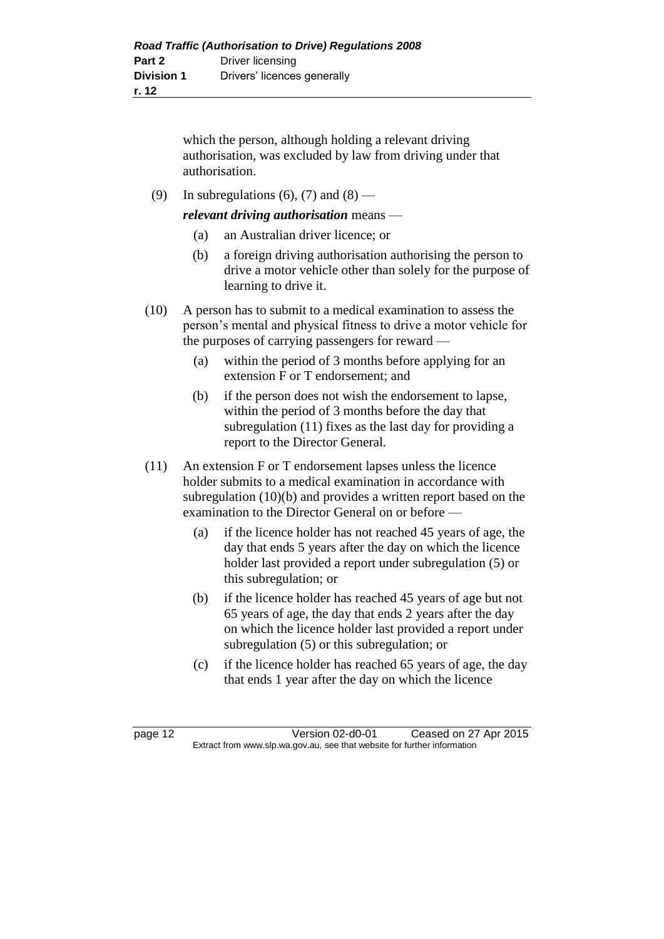which the person, although holding a relevant driving authorisation, was excluded by law from driving under that authorisation.

(9) In subregulations (6), (7) and (8) —

*relevant driving authorisation* means —

- (a) an Australian driver licence; or
- (b) a foreign driving authorisation authorising the person to drive a motor vehicle other than solely for the purpose of learning to drive it.
- (10) A person has to submit to a medical examination to assess the person's mental and physical fitness to drive a motor vehicle for the purposes of carrying passengers for reward —
	- (a) within the period of 3 months before applying for an extension F or T endorsement; and
	- (b) if the person does not wish the endorsement to lapse, within the period of 3 months before the day that subregulation (11) fixes as the last day for providing a report to the Director General.
- (11) An extension F or T endorsement lapses unless the licence holder submits to a medical examination in accordance with subregulation (10)(b) and provides a written report based on the examination to the Director General on or before —
	- (a) if the licence holder has not reached 45 years of age, the day that ends 5 years after the day on which the licence holder last provided a report under subregulation (5) or this subregulation; or
	- (b) if the licence holder has reached 45 years of age but not 65 years of age, the day that ends 2 years after the day on which the licence holder last provided a report under subregulation (5) or this subregulation; or
	- (c) if the licence holder has reached 65 years of age, the day that ends 1 year after the day on which the licence

page 12 Version 02-d0-01 Ceased on 27 Apr 2015 Extract from www.slp.wa.gov.au, see that website for further information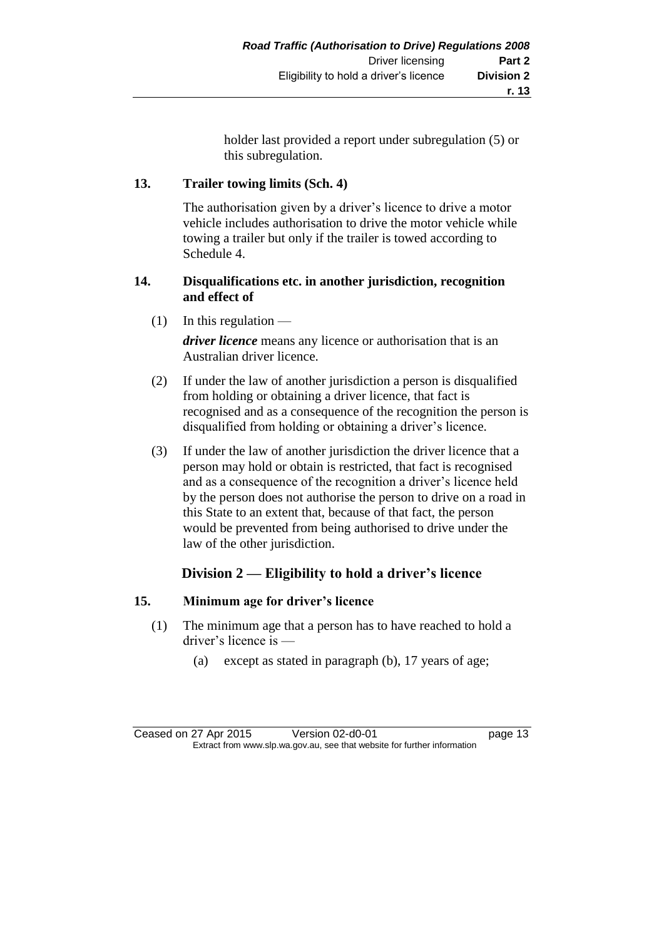holder last provided a report under subregulation (5) or this subregulation.

### **13. Trailer towing limits (Sch. 4)**

The authorisation given by a driver's licence to drive a motor vehicle includes authorisation to drive the motor vehicle while towing a trailer but only if the trailer is towed according to Schedule 4.

#### **14. Disqualifications etc. in another jurisdiction, recognition and effect of**

 $(1)$  In this regulation —

*driver licence* means any licence or authorisation that is an Australian driver licence.

- (2) If under the law of another jurisdiction a person is disqualified from holding or obtaining a driver licence, that fact is recognised and as a consequence of the recognition the person is disqualified from holding or obtaining a driver's licence.
- (3) If under the law of another jurisdiction the driver licence that a person may hold or obtain is restricted, that fact is recognised and as a consequence of the recognition a driver's licence held by the person does not authorise the person to drive on a road in this State to an extent that, because of that fact, the person would be prevented from being authorised to drive under the law of the other jurisdiction.

### **Division 2 — Eligibility to hold a driver's licence**

#### **15. Minimum age for driver's licence**

- (1) The minimum age that a person has to have reached to hold a driver's licence is —
	- (a) except as stated in paragraph (b), 17 years of age;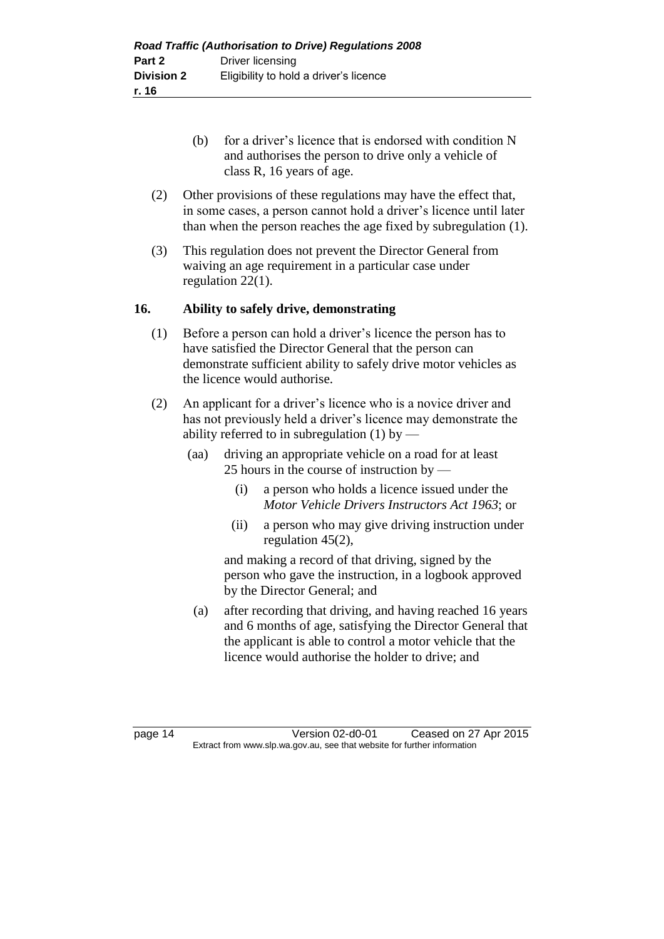- (b) for a driver's licence that is endorsed with condition N and authorises the person to drive only a vehicle of class R, 16 years of age.
- (2) Other provisions of these regulations may have the effect that, in some cases, a person cannot hold a driver's licence until later than when the person reaches the age fixed by subregulation (1).
- (3) This regulation does not prevent the Director General from waiving an age requirement in a particular case under regulation 22(1).

#### **16. Ability to safely drive, demonstrating**

- (1) Before a person can hold a driver's licence the person has to have satisfied the Director General that the person can demonstrate sufficient ability to safely drive motor vehicles as the licence would authorise.
- (2) An applicant for a driver's licence who is a novice driver and has not previously held a driver's licence may demonstrate the ability referred to in subregulation  $(1)$  by —
	- (aa) driving an appropriate vehicle on a road for at least 25 hours in the course of instruction by —
		- (i) a person who holds a licence issued under the *Motor Vehicle Drivers Instructors Act 1963*; or
		- (ii) a person who may give driving instruction under regulation 45(2),

and making a record of that driving, signed by the person who gave the instruction, in a logbook approved by the Director General; and

(a) after recording that driving, and having reached 16 years and 6 months of age, satisfying the Director General that the applicant is able to control a motor vehicle that the licence would authorise the holder to drive; and

page 14 Version 02-d0-01 Ceased on 27 Apr 2015 Extract from www.slp.wa.gov.au, see that website for further information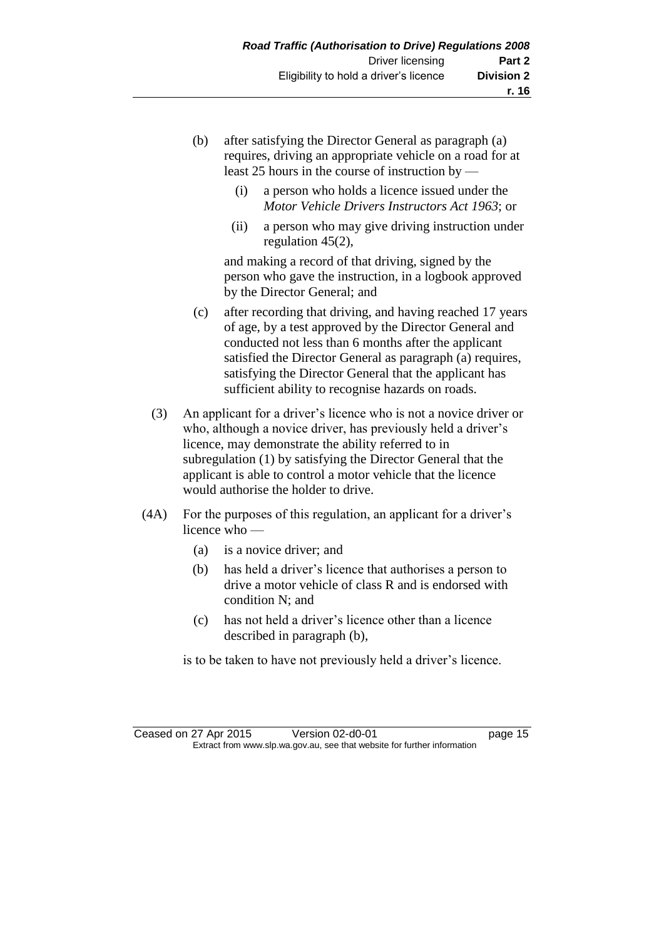- (b) after satisfying the Director General as paragraph (a) requires, driving an appropriate vehicle on a road for at least 25 hours in the course of instruction by —
	- (i) a person who holds a licence issued under the *Motor Vehicle Drivers Instructors Act 1963*; or
	- (ii) a person who may give driving instruction under regulation 45(2),

and making a record of that driving, signed by the person who gave the instruction, in a logbook approved by the Director General; and

- (c) after recording that driving, and having reached 17 years of age, by a test approved by the Director General and conducted not less than 6 months after the applicant satisfied the Director General as paragraph (a) requires, satisfying the Director General that the applicant has sufficient ability to recognise hazards on roads.
- (3) An applicant for a driver's licence who is not a novice driver or who, although a novice driver, has previously held a driver's licence, may demonstrate the ability referred to in subregulation (1) by satisfying the Director General that the applicant is able to control a motor vehicle that the licence would authorise the holder to drive.
- (4A) For the purposes of this regulation, an applicant for a driver's licence who —
	- (a) is a novice driver; and
	- (b) has held a driver's licence that authorises a person to drive a motor vehicle of class R and is endorsed with condition N; and
	- (c) has not held a driver's licence other than a licence described in paragraph (b),

is to be taken to have not previously held a driver's licence.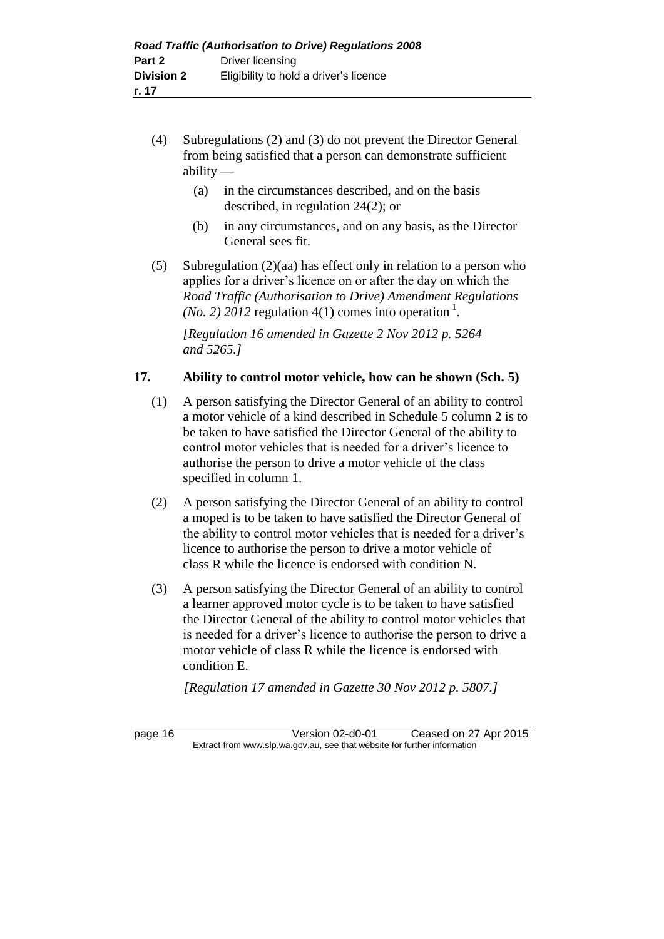- (4) Subregulations (2) and (3) do not prevent the Director General from being satisfied that a person can demonstrate sufficient ability —
	- (a) in the circumstances described, and on the basis described, in regulation 24(2); or
	- (b) in any circumstances, and on any basis, as the Director General sees fit.
- (5) Subregulation (2)(aa) has effect only in relation to a person who applies for a driver's licence on or after the day on which the *Road Traffic (Authorisation to Drive) Amendment Regulations (No. 2) 2012* regulation 4(1) comes into operation<sup>1</sup>.

*[Regulation 16 amended in Gazette 2 Nov 2012 p. 5264 and 5265.]*

#### **17. Ability to control motor vehicle, how can be shown (Sch. 5)**

- (1) A person satisfying the Director General of an ability to control a motor vehicle of a kind described in Schedule 5 column 2 is to be taken to have satisfied the Director General of the ability to control motor vehicles that is needed for a driver's licence to authorise the person to drive a motor vehicle of the class specified in column 1.
- (2) A person satisfying the Director General of an ability to control a moped is to be taken to have satisfied the Director General of the ability to control motor vehicles that is needed for a driver's licence to authorise the person to drive a motor vehicle of class R while the licence is endorsed with condition N.
- (3) A person satisfying the Director General of an ability to control a learner approved motor cycle is to be taken to have satisfied the Director General of the ability to control motor vehicles that is needed for a driver's licence to authorise the person to drive a motor vehicle of class R while the licence is endorsed with condition E.

*[Regulation 17 amended in Gazette 30 Nov 2012 p. 5807.]*

page 16 Version 02-d0-01 Ceased on 27 Apr 2015 Extract from www.slp.wa.gov.au, see that website for further information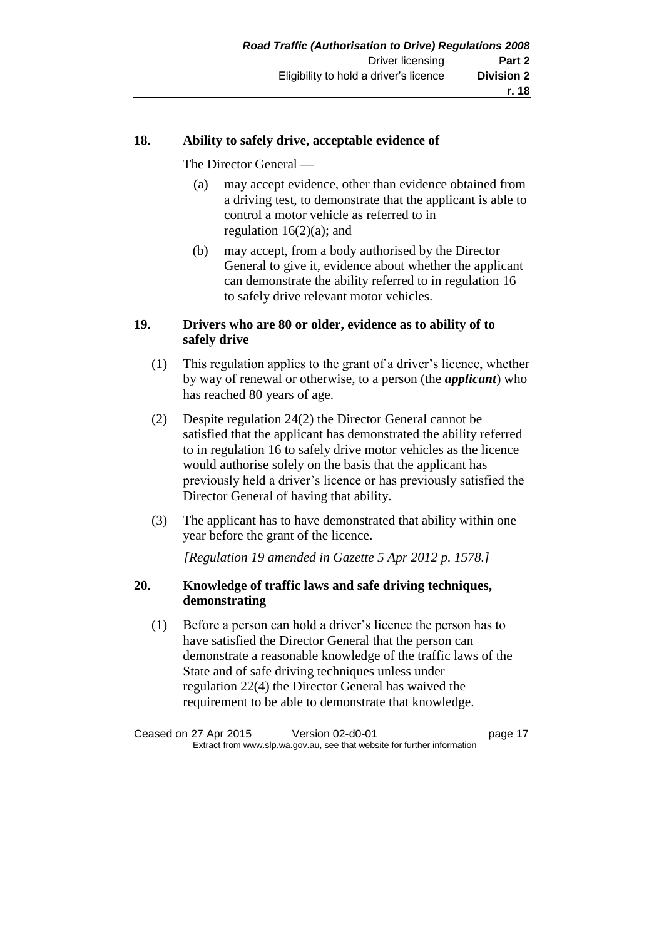#### **18. Ability to safely drive, acceptable evidence of**

The Director General —

- (a) may accept evidence, other than evidence obtained from a driving test, to demonstrate that the applicant is able to control a motor vehicle as referred to in regulation  $16(2)(a)$ ; and
- (b) may accept, from a body authorised by the Director General to give it, evidence about whether the applicant can demonstrate the ability referred to in regulation 16 to safely drive relevant motor vehicles.

#### **19. Drivers who are 80 or older, evidence as to ability of to safely drive**

- (1) This regulation applies to the grant of a driver's licence, whether by way of renewal or otherwise, to a person (the *applicant*) who has reached 80 years of age.
- (2) Despite regulation 24(2) the Director General cannot be satisfied that the applicant has demonstrated the ability referred to in regulation 16 to safely drive motor vehicles as the licence would authorise solely on the basis that the applicant has previously held a driver's licence or has previously satisfied the Director General of having that ability.
- (3) The applicant has to have demonstrated that ability within one year before the grant of the licence.

*[Regulation 19 amended in Gazette 5 Apr 2012 p. 1578.]*

#### **20. Knowledge of traffic laws and safe driving techniques, demonstrating**

(1) Before a person can hold a driver's licence the person has to have satisfied the Director General that the person can demonstrate a reasonable knowledge of the traffic laws of the State and of safe driving techniques unless under regulation 22(4) the Director General has waived the requirement to be able to demonstrate that knowledge.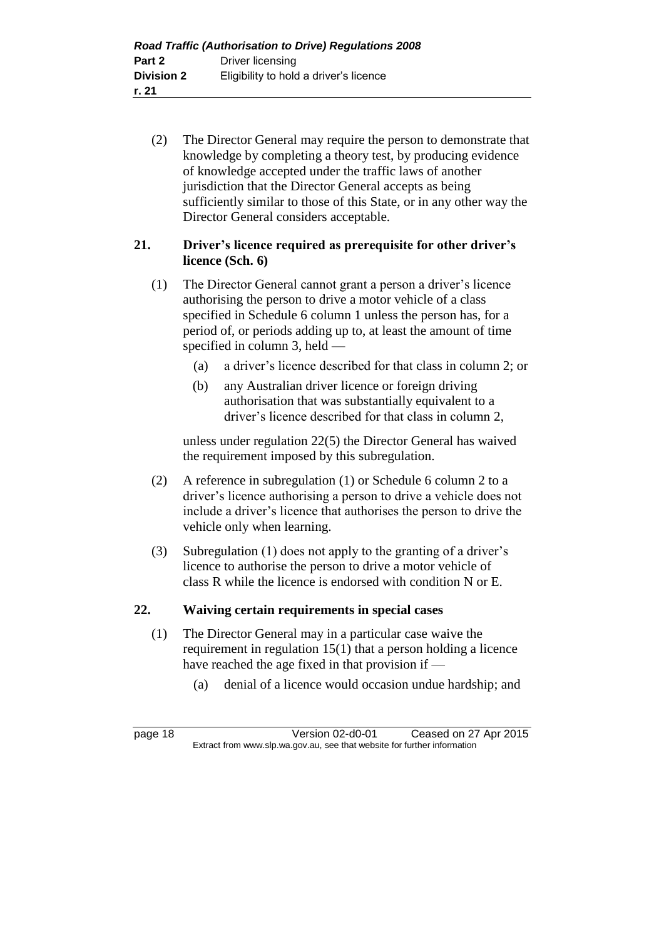(2) The Director General may require the person to demonstrate that knowledge by completing a theory test, by producing evidence of knowledge accepted under the traffic laws of another jurisdiction that the Director General accepts as being sufficiently similar to those of this State, or in any other way the Director General considers acceptable.

### **21. Driver's licence required as prerequisite for other driver's licence (Sch. 6)**

- (1) The Director General cannot grant a person a driver's licence authorising the person to drive a motor vehicle of a class specified in Schedule 6 column 1 unless the person has, for a period of, or periods adding up to, at least the amount of time specified in column 3, held —
	- (a) a driver's licence described for that class in column 2; or
	- (b) any Australian driver licence or foreign driving authorisation that was substantially equivalent to a driver's licence described for that class in column 2,

unless under regulation 22(5) the Director General has waived the requirement imposed by this subregulation.

- (2) A reference in subregulation (1) or Schedule 6 column 2 to a driver's licence authorising a person to drive a vehicle does not include a driver's licence that authorises the person to drive the vehicle only when learning.
- (3) Subregulation (1) does not apply to the granting of a driver's licence to authorise the person to drive a motor vehicle of class R while the licence is endorsed with condition N or E.

#### **22. Waiving certain requirements in special cases**

- (1) The Director General may in a particular case waive the requirement in regulation 15(1) that a person holding a licence have reached the age fixed in that provision if —
	- (a) denial of a licence would occasion undue hardship; and

page 18 Version 02-d0-01 Ceased on 27 Apr 2015 Extract from www.slp.wa.gov.au, see that website for further information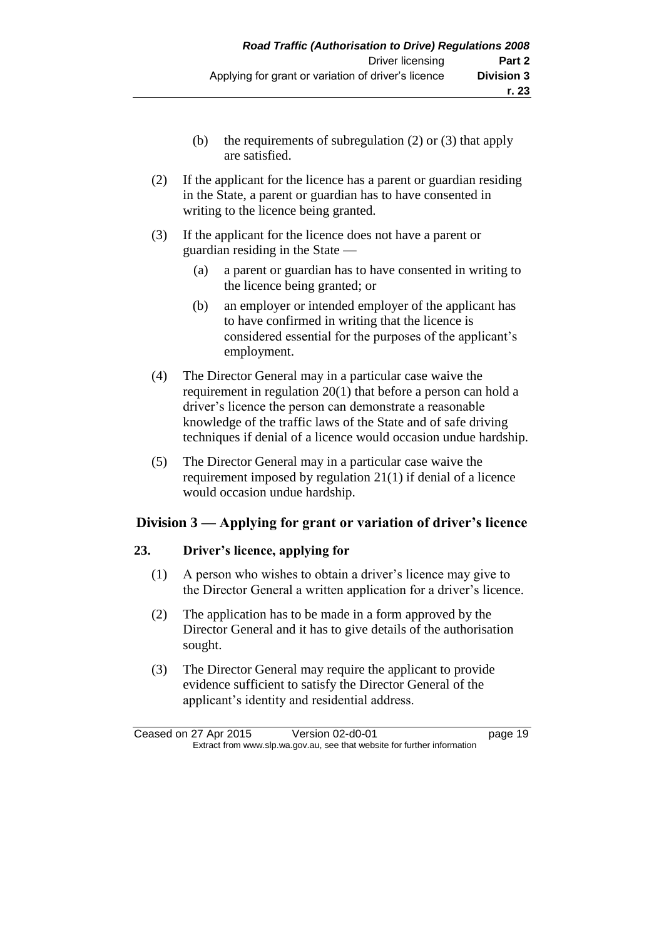- (b) the requirements of subregulation (2) or (3) that apply are satisfied.
- (2) If the applicant for the licence has a parent or guardian residing in the State, a parent or guardian has to have consented in writing to the licence being granted.
- (3) If the applicant for the licence does not have a parent or guardian residing in the State —
	- (a) a parent or guardian has to have consented in writing to the licence being granted; or
	- (b) an employer or intended employer of the applicant has to have confirmed in writing that the licence is considered essential for the purposes of the applicant's employment.
- (4) The Director General may in a particular case waive the requirement in regulation 20(1) that before a person can hold a driver's licence the person can demonstrate a reasonable knowledge of the traffic laws of the State and of safe driving techniques if denial of a licence would occasion undue hardship.
- (5) The Director General may in a particular case waive the requirement imposed by regulation 21(1) if denial of a licence would occasion undue hardship.

### **Division 3 — Applying for grant or variation of driver's licence**

#### **23. Driver's licence, applying for**

- (1) A person who wishes to obtain a driver's licence may give to the Director General a written application for a driver's licence.
- (2) The application has to be made in a form approved by the Director General and it has to give details of the authorisation sought.
- (3) The Director General may require the applicant to provide evidence sufficient to satisfy the Director General of the applicant's identity and residential address.

Ceased on 27 Apr 2015 Version 02-d0-01 page 19 Extract from www.slp.wa.gov.au, see that website for further information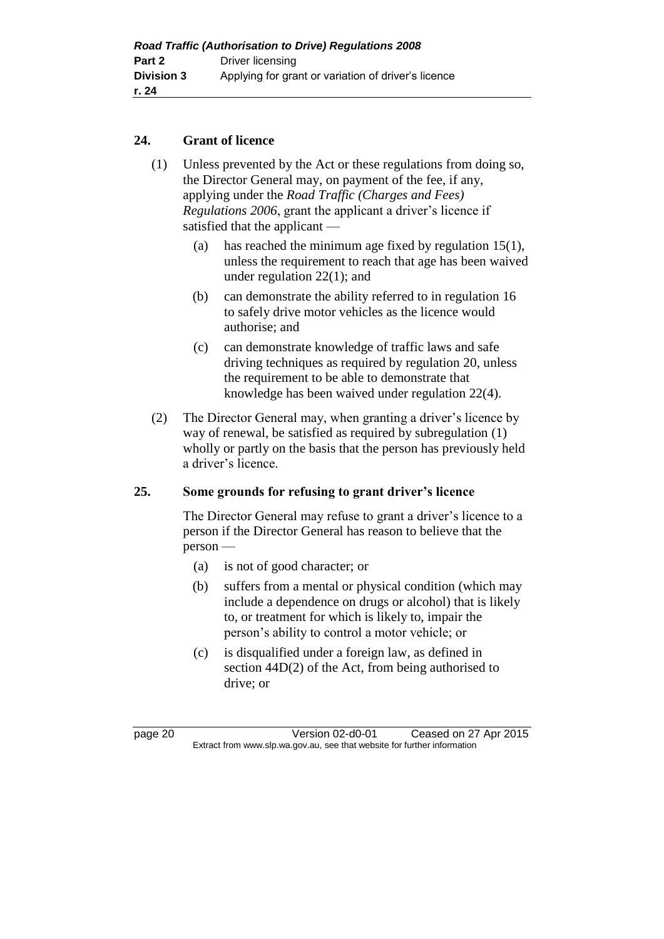#### **24. Grant of licence**

- (1) Unless prevented by the Act or these regulations from doing so, the Director General may, on payment of the fee, if any, applying under the *Road Traffic (Charges and Fees) Regulations 2006*, grant the applicant a driver's licence if satisfied that the applicant —
	- (a) has reached the minimum age fixed by regulation 15(1), unless the requirement to reach that age has been waived under regulation 22(1); and
	- (b) can demonstrate the ability referred to in regulation 16 to safely drive motor vehicles as the licence would authorise; and
	- (c) can demonstrate knowledge of traffic laws and safe driving techniques as required by regulation 20, unless the requirement to be able to demonstrate that knowledge has been waived under regulation 22(4).
- (2) The Director General may, when granting a driver's licence by way of renewal, be satisfied as required by subregulation (1) wholly or partly on the basis that the person has previously held a driver's licence.

#### **25. Some grounds for refusing to grant driver's licence**

The Director General may refuse to grant a driver's licence to a person if the Director General has reason to believe that the person —

- (a) is not of good character; or
- (b) suffers from a mental or physical condition (which may include a dependence on drugs or alcohol) that is likely to, or treatment for which is likely to, impair the person's ability to control a motor vehicle; or
- (c) is disqualified under a foreign law, as defined in section 44D(2) of the Act, from being authorised to drive; or

page 20 Version 02-d0-01 Ceased on 27 Apr 2015 Extract from www.slp.wa.gov.au, see that website for further information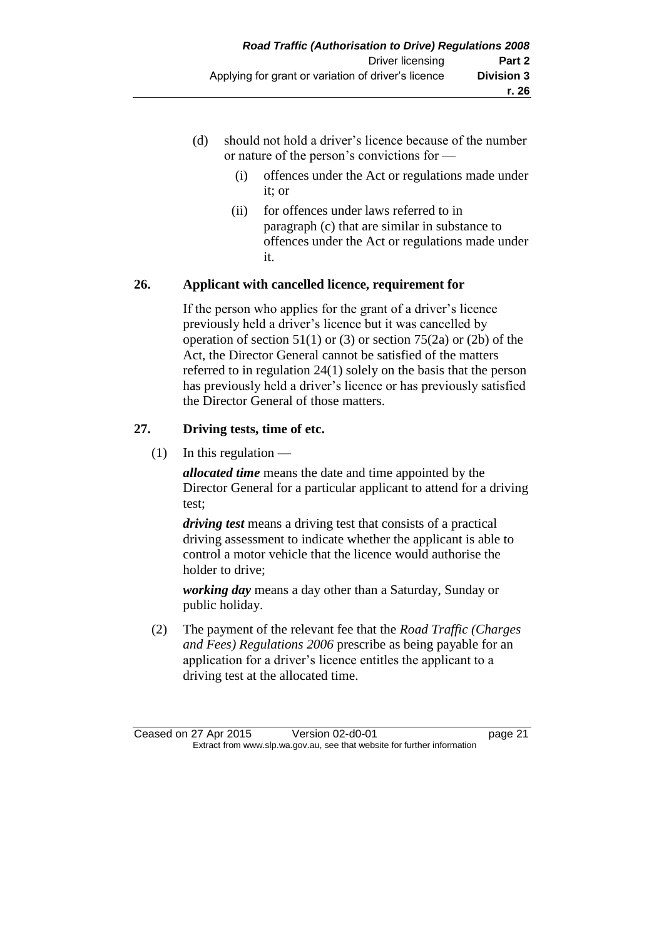- (d) should not hold a driver's licence because of the number or nature of the person's convictions for —
	- (i) offences under the Act or regulations made under it; or
	- (ii) for offences under laws referred to in paragraph (c) that are similar in substance to offences under the Act or regulations made under it.

#### **26. Applicant with cancelled licence, requirement for**

If the person who applies for the grant of a driver's licence previously held a driver's licence but it was cancelled by operation of section  $51(1)$  or (3) or section  $75(2a)$  or (2b) of the Act, the Director General cannot be satisfied of the matters referred to in regulation 24(1) solely on the basis that the person has previously held a driver's licence or has previously satisfied the Director General of those matters.

### **27. Driving tests, time of etc.**

 $(1)$  In this regulation —

*allocated time* means the date and time appointed by the Director General for a particular applicant to attend for a driving test;

*driving test* means a driving test that consists of a practical driving assessment to indicate whether the applicant is able to control a motor vehicle that the licence would authorise the holder to drive;

*working day* means a day other than a Saturday, Sunday or public holiday.

(2) The payment of the relevant fee that the *Road Traffic (Charges and Fees) Regulations 2006* prescribe as being payable for an application for a driver's licence entitles the applicant to a driving test at the allocated time.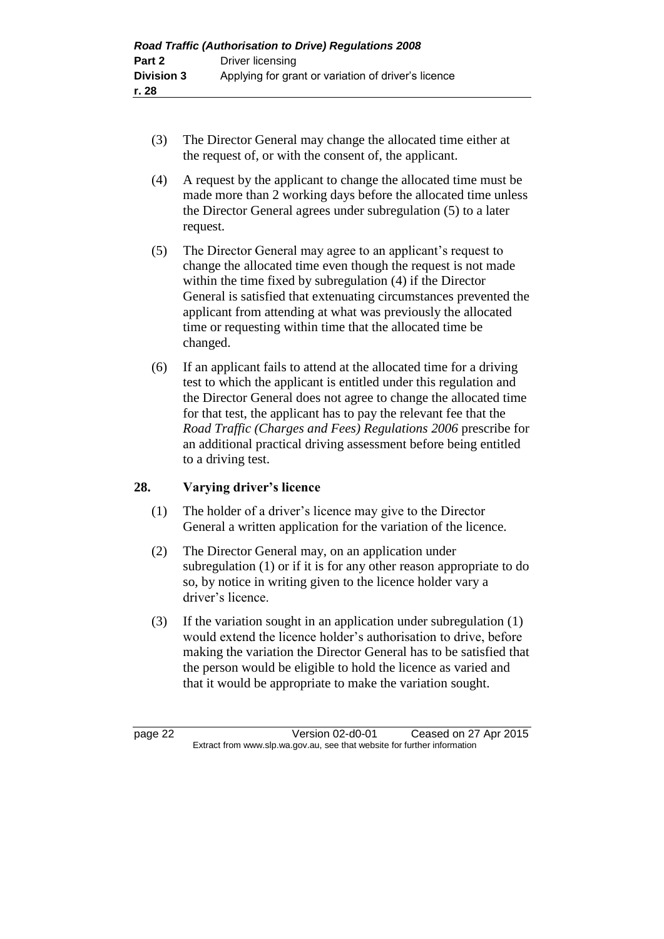- (3) The Director General may change the allocated time either at the request of, or with the consent of, the applicant.
- (4) A request by the applicant to change the allocated time must be made more than 2 working days before the allocated time unless the Director General agrees under subregulation (5) to a later request.
- (5) The Director General may agree to an applicant's request to change the allocated time even though the request is not made within the time fixed by subregulation (4) if the Director General is satisfied that extenuating circumstances prevented the applicant from attending at what was previously the allocated time or requesting within time that the allocated time be changed.
- (6) If an applicant fails to attend at the allocated time for a driving test to which the applicant is entitled under this regulation and the Director General does not agree to change the allocated time for that test, the applicant has to pay the relevant fee that the *Road Traffic (Charges and Fees) Regulations 2006* prescribe for an additional practical driving assessment before being entitled to a driving test.

#### **28. Varying driver's licence**

- (1) The holder of a driver's licence may give to the Director General a written application for the variation of the licence.
- (2) The Director General may, on an application under subregulation (1) or if it is for any other reason appropriate to do so, by notice in writing given to the licence holder vary a driver's licence.
- (3) If the variation sought in an application under subregulation (1) would extend the licence holder's authorisation to drive, before making the variation the Director General has to be satisfied that the person would be eligible to hold the licence as varied and that it would be appropriate to make the variation sought.

page 22 Version 02-d0-01 Ceased on 27 Apr 2015 Extract from www.slp.wa.gov.au, see that website for further information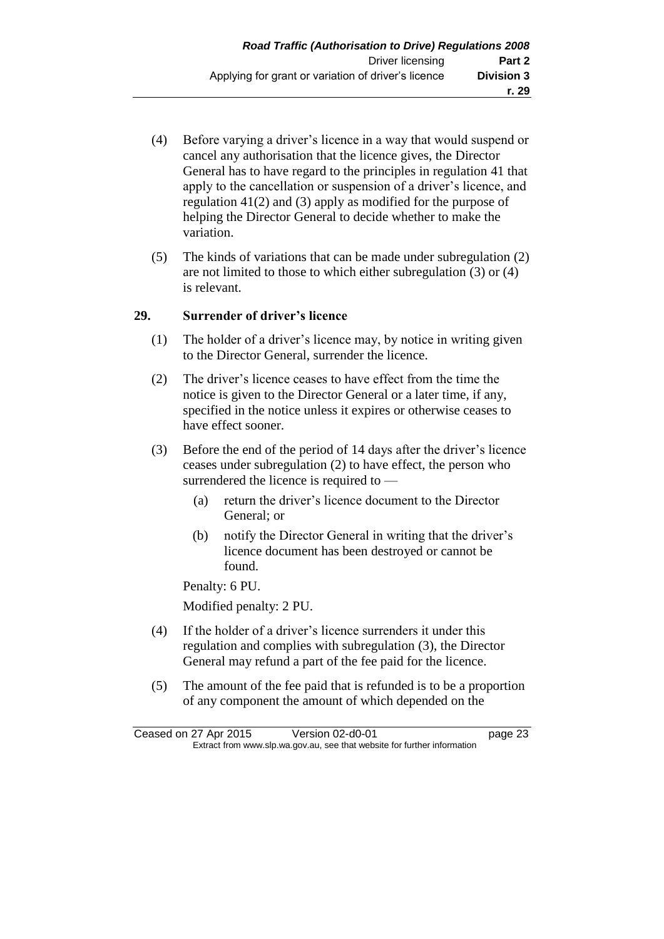- (4) Before varying a driver's licence in a way that would suspend or cancel any authorisation that the licence gives, the Director General has to have regard to the principles in regulation 41 that apply to the cancellation or suspension of a driver's licence, and regulation 41(2) and (3) apply as modified for the purpose of helping the Director General to decide whether to make the variation.
- (5) The kinds of variations that can be made under subregulation (2) are not limited to those to which either subregulation (3) or (4) is relevant.

#### **29. Surrender of driver's licence**

- (1) The holder of a driver's licence may, by notice in writing given to the Director General, surrender the licence.
- (2) The driver's licence ceases to have effect from the time the notice is given to the Director General or a later time, if any, specified in the notice unless it expires or otherwise ceases to have effect sooner.
- (3) Before the end of the period of 14 days after the driver's licence ceases under subregulation (2) to have effect, the person who surrendered the licence is required to —
	- (a) return the driver's licence document to the Director General; or
	- (b) notify the Director General in writing that the driver's licence document has been destroyed or cannot be found.

Penalty: 6 PU.

Modified penalty: 2 PU.

- (4) If the holder of a driver's licence surrenders it under this regulation and complies with subregulation (3), the Director General may refund a part of the fee paid for the licence.
- (5) The amount of the fee paid that is refunded is to be a proportion of any component the amount of which depended on the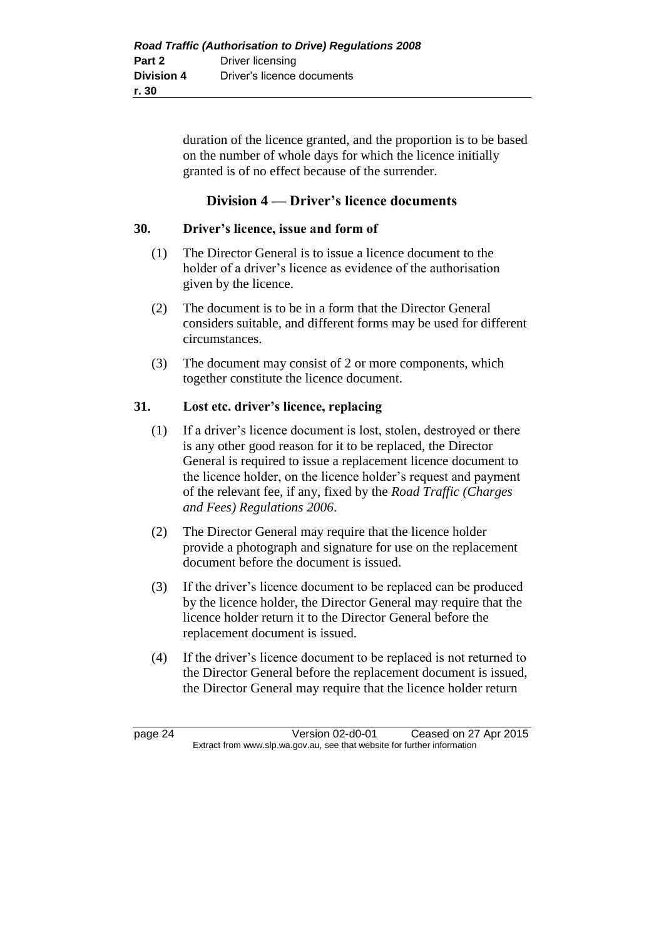duration of the licence granted, and the proportion is to be based on the number of whole days for which the licence initially granted is of no effect because of the surrender.

### **Division 4 — Driver's licence documents**

#### **30. Driver's licence, issue and form of**

- (1) The Director General is to issue a licence document to the holder of a driver's licence as evidence of the authorisation given by the licence.
- (2) The document is to be in a form that the Director General considers suitable, and different forms may be used for different circumstances.
- (3) The document may consist of 2 or more components, which together constitute the licence document.

#### **31. Lost etc. driver's licence, replacing**

- (1) If a driver's licence document is lost, stolen, destroyed or there is any other good reason for it to be replaced, the Director General is required to issue a replacement licence document to the licence holder, on the licence holder's request and payment of the relevant fee, if any, fixed by the *Road Traffic (Charges and Fees) Regulations 2006*.
- (2) The Director General may require that the licence holder provide a photograph and signature for use on the replacement document before the document is issued.
- (3) If the driver's licence document to be replaced can be produced by the licence holder, the Director General may require that the licence holder return it to the Director General before the replacement document is issued.
- (4) If the driver's licence document to be replaced is not returned to the Director General before the replacement document is issued, the Director General may require that the licence holder return

page 24 Version 02-d0-01 Ceased on 27 Apr 2015 Extract from www.slp.wa.gov.au, see that website for further information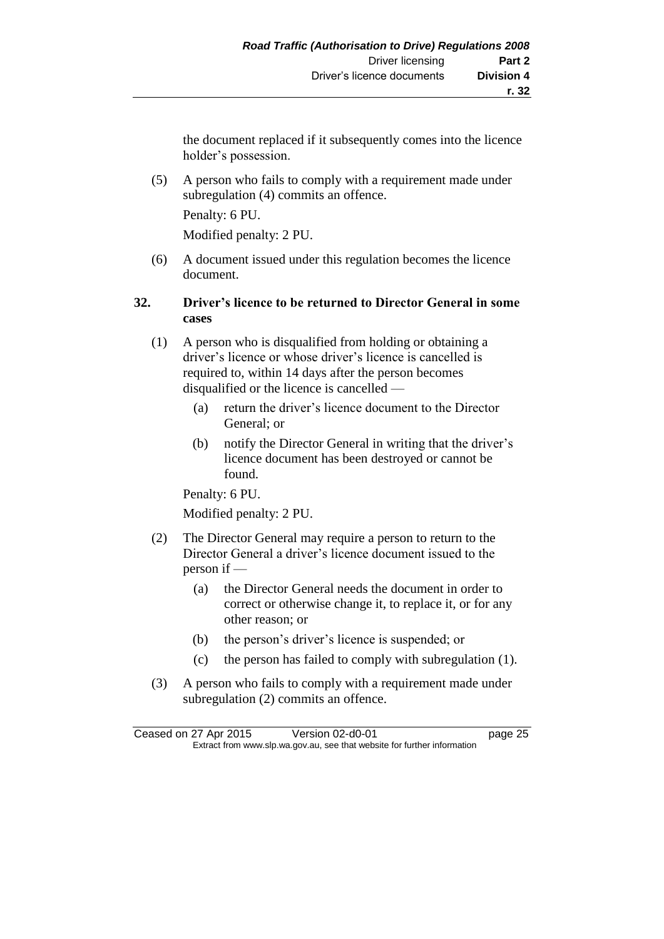the document replaced if it subsequently comes into the licence holder's possession.

(5) A person who fails to comply with a requirement made under subregulation (4) commits an offence.

Penalty: 6 PU.

Modified penalty: 2 PU.

(6) A document issued under this regulation becomes the licence document.

### **32. Driver's licence to be returned to Director General in some cases**

- (1) A person who is disqualified from holding or obtaining a driver's licence or whose driver's licence is cancelled is required to, within 14 days after the person becomes disqualified or the licence is cancelled —
	- (a) return the driver's licence document to the Director General; or
	- (b) notify the Director General in writing that the driver's licence document has been destroyed or cannot be found.

Penalty: 6 PU.

Modified penalty: 2 PU.

- (2) The Director General may require a person to return to the Director General a driver's licence document issued to the person if —
	- (a) the Director General needs the document in order to correct or otherwise change it, to replace it, or for any other reason; or
	- (b) the person's driver's licence is suspended; or
	- (c) the person has failed to comply with subregulation (1).
- (3) A person who fails to comply with a requirement made under subregulation (2) commits an offence.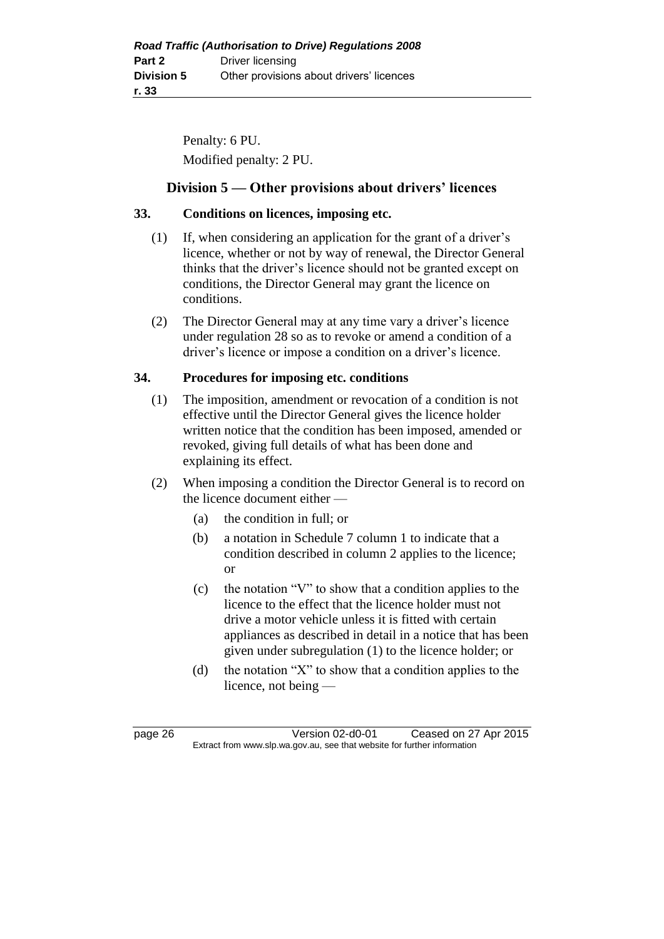Penalty: 6 PU. Modified penalty: 2 PU.

### **Division 5 — Other provisions about drivers' licences**

#### **33. Conditions on licences, imposing etc.**

- (1) If, when considering an application for the grant of a driver's licence, whether or not by way of renewal, the Director General thinks that the driver's licence should not be granted except on conditions, the Director General may grant the licence on conditions.
- (2) The Director General may at any time vary a driver's licence under regulation 28 so as to revoke or amend a condition of a driver's licence or impose a condition on a driver's licence.

#### **34. Procedures for imposing etc. conditions**

- (1) The imposition, amendment or revocation of a condition is not effective until the Director General gives the licence holder written notice that the condition has been imposed, amended or revoked, giving full details of what has been done and explaining its effect.
- (2) When imposing a condition the Director General is to record on the licence document either —
	- (a) the condition in full; or
	- (b) a notation in Schedule 7 column 1 to indicate that a condition described in column 2 applies to the licence; or
	- (c) the notation "V" to show that a condition applies to the licence to the effect that the licence holder must not drive a motor vehicle unless it is fitted with certain appliances as described in detail in a notice that has been given under subregulation (1) to the licence holder; or
	- (d) the notation "X" to show that a condition applies to the licence, not being —

page 26 Version 02-d0-01 Ceased on 27 Apr 2015 Extract from www.slp.wa.gov.au, see that website for further information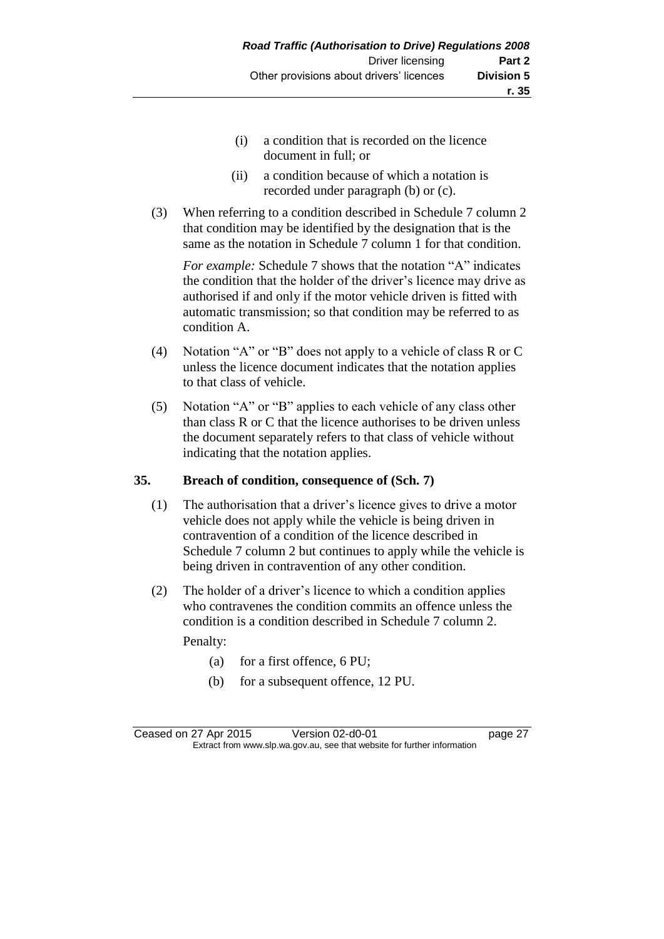- (i) a condition that is recorded on the licence document in full; or
- (ii) a condition because of which a notation is recorded under paragraph (b) or (c).
- (3) When referring to a condition described in Schedule 7 column 2 that condition may be identified by the designation that is the same as the notation in Schedule 7 column 1 for that condition.

*For example:* Schedule 7 shows that the notation "A" indicates the condition that the holder of the driver's licence may drive as authorised if and only if the motor vehicle driven is fitted with automatic transmission; so that condition may be referred to as condition A.

- (4) Notation "A" or "B" does not apply to a vehicle of class R or C unless the licence document indicates that the notation applies to that class of vehicle.
- (5) Notation "A" or "B" applies to each vehicle of any class other than class R or C that the licence authorises to be driven unless the document separately refers to that class of vehicle without indicating that the notation applies.

#### **35. Breach of condition, consequence of (Sch. 7)**

- (1) The authorisation that a driver's licence gives to drive a motor vehicle does not apply while the vehicle is being driven in contravention of a condition of the licence described in Schedule 7 column 2 but continues to apply while the vehicle is being driven in contravention of any other condition.
- (2) The holder of a driver's licence to which a condition applies who contravenes the condition commits an offence unless the condition is a condition described in Schedule 7 column 2.

Penalty:

- (a) for a first offence, 6 PU;
- (b) for a subsequent offence, 12 PU.

Ceased on 27 Apr 2015 Version 02-d0-01 page 27 Extract from www.slp.wa.gov.au, see that website for further information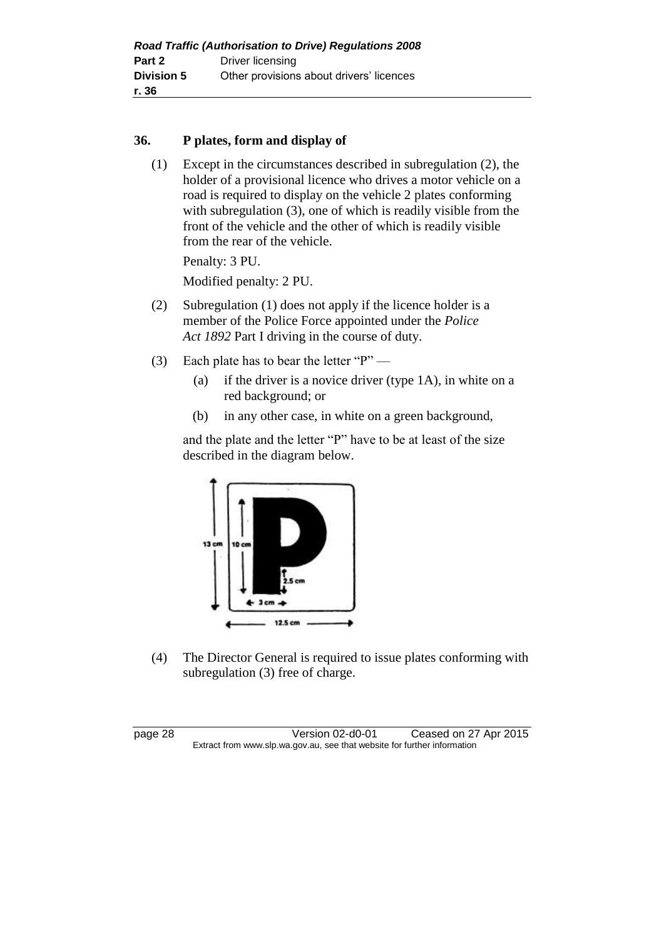#### **36. P plates, form and display of**

(1) Except in the circumstances described in subregulation (2), the holder of a provisional licence who drives a motor vehicle on a road is required to display on the vehicle 2 plates conforming with subregulation (3), one of which is readily visible from the front of the vehicle and the other of which is readily visible from the rear of the vehicle.

Penalty: 3 PU.

Modified penalty: 2 PU.

- (2) Subregulation (1) does not apply if the licence holder is a member of the Police Force appointed under the *Police Act 1892* Part I driving in the course of duty.
- (3) Each plate has to bear the letter "P"
	- (a) if the driver is a novice driver (type 1A), in white on a red background; or
	- (b) in any other case, in white on a green background,

and the plate and the letter "P" have to be at least of the size described in the diagram below.



(4) The Director General is required to issue plates conforming with subregulation (3) free of charge.

page 28 Version 02-d0-01 Ceased on 27 Apr 2015 Extract from www.slp.wa.gov.au, see that website for further information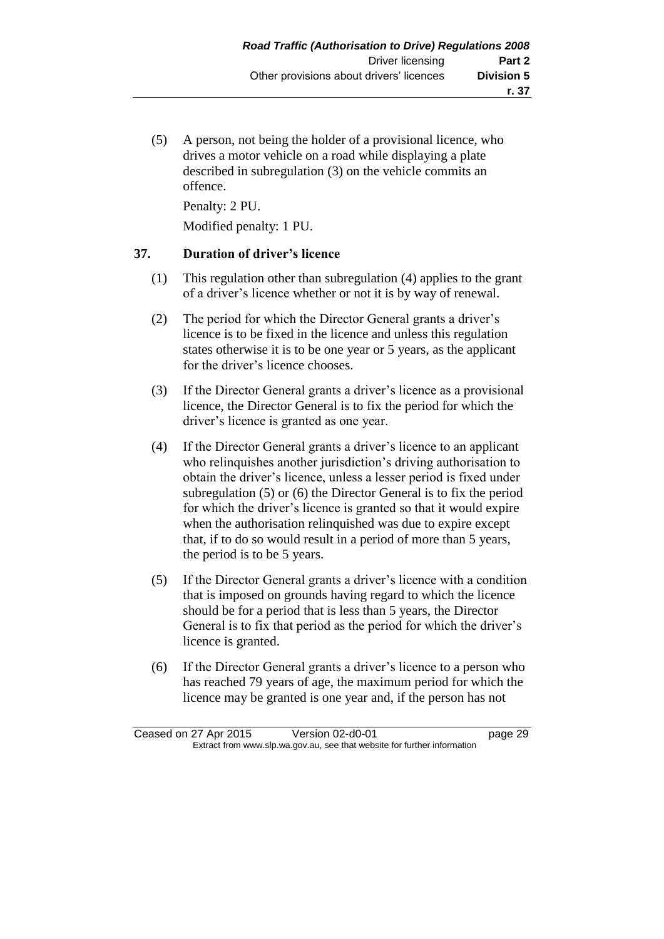(5) A person, not being the holder of a provisional licence, who drives a motor vehicle on a road while displaying a plate described in subregulation (3) on the vehicle commits an offence.

Penalty: 2 PU.

Modified penalty: 1 PU.

#### **37. Duration of driver's licence**

- (1) This regulation other than subregulation (4) applies to the grant of a driver's licence whether or not it is by way of renewal.
- (2) The period for which the Director General grants a driver's licence is to be fixed in the licence and unless this regulation states otherwise it is to be one year or 5 years, as the applicant for the driver's licence chooses.
- (3) If the Director General grants a driver's licence as a provisional licence, the Director General is to fix the period for which the driver's licence is granted as one year.
- (4) If the Director General grants a driver's licence to an applicant who relinquishes another jurisdiction's driving authorisation to obtain the driver's licence, unless a lesser period is fixed under subregulation (5) or (6) the Director General is to fix the period for which the driver's licence is granted so that it would expire when the authorisation relinquished was due to expire except that, if to do so would result in a period of more than 5 years, the period is to be 5 years.
- (5) If the Director General grants a driver's licence with a condition that is imposed on grounds having regard to which the licence should be for a period that is less than 5 years, the Director General is to fix that period as the period for which the driver's licence is granted.
- (6) If the Director General grants a driver's licence to a person who has reached 79 years of age, the maximum period for which the licence may be granted is one year and, if the person has not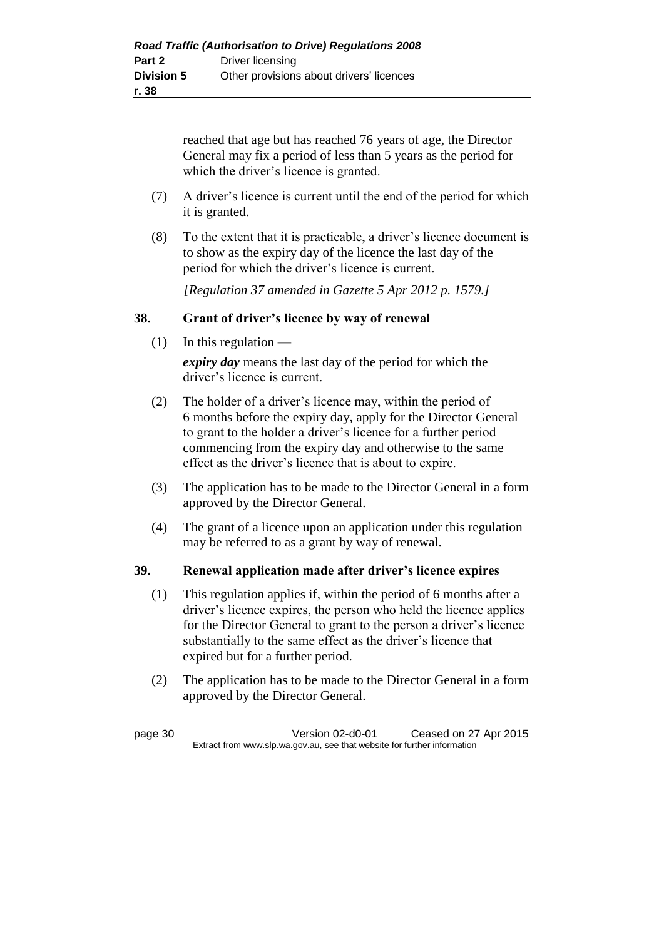reached that age but has reached 76 years of age, the Director General may fix a period of less than 5 years as the period for which the driver's licence is granted.

- (7) A driver's licence is current until the end of the period for which it is granted.
- (8) To the extent that it is practicable, a driver's licence document is to show as the expiry day of the licence the last day of the period for which the driver's licence is current.

*[Regulation 37 amended in Gazette 5 Apr 2012 p. 1579.]*

#### **38. Grant of driver's licence by way of renewal**

(1) In this regulation —

*expiry day* means the last day of the period for which the driver's licence is current.

- (2) The holder of a driver's licence may, within the period of 6 months before the expiry day, apply for the Director General to grant to the holder a driver's licence for a further period commencing from the expiry day and otherwise to the same effect as the driver's licence that is about to expire.
- (3) The application has to be made to the Director General in a form approved by the Director General.
- (4) The grant of a licence upon an application under this regulation may be referred to as a grant by way of renewal.

#### **39. Renewal application made after driver's licence expires**

- (1) This regulation applies if, within the period of 6 months after a driver's licence expires, the person who held the licence applies for the Director General to grant to the person a driver's licence substantially to the same effect as the driver's licence that expired but for a further period.
- (2) The application has to be made to the Director General in a form approved by the Director General.

page 30 Version 02-d0-01 Ceased on 27 Apr 2015 Extract from www.slp.wa.gov.au, see that website for further information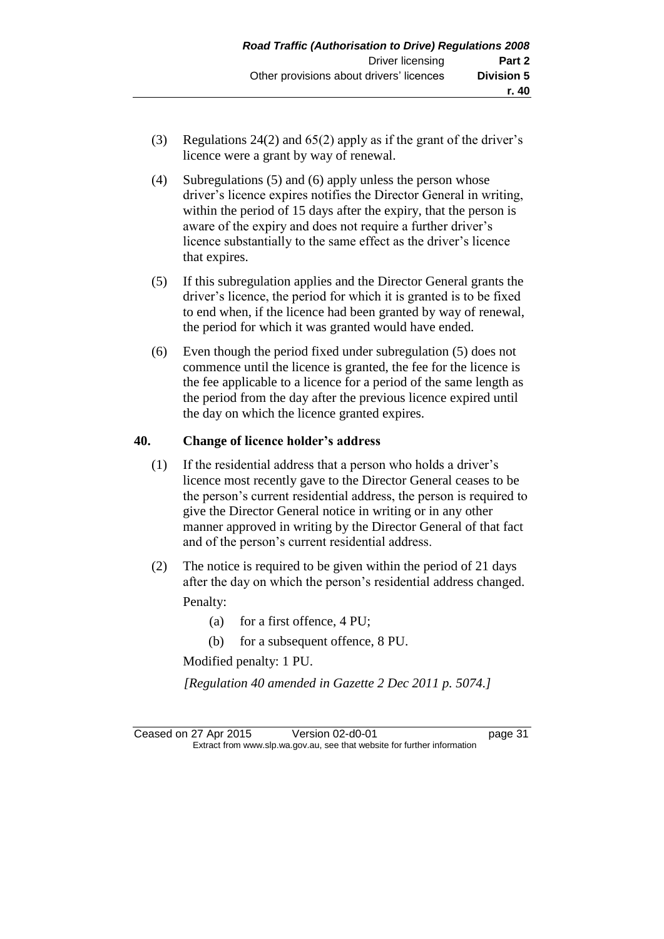- (3) Regulations 24(2) and 65(2) apply as if the grant of the driver's licence were a grant by way of renewal.
- (4) Subregulations (5) and (6) apply unless the person whose driver's licence expires notifies the Director General in writing, within the period of 15 days after the expiry, that the person is aware of the expiry and does not require a further driver's licence substantially to the same effect as the driver's licence that expires.
- (5) If this subregulation applies and the Director General grants the driver's licence, the period for which it is granted is to be fixed to end when, if the licence had been granted by way of renewal, the period for which it was granted would have ended.
- (6) Even though the period fixed under subregulation (5) does not commence until the licence is granted, the fee for the licence is the fee applicable to a licence for a period of the same length as the period from the day after the previous licence expired until the day on which the licence granted expires.

#### **40. Change of licence holder's address**

- (1) If the residential address that a person who holds a driver's licence most recently gave to the Director General ceases to be the person's current residential address, the person is required to give the Director General notice in writing or in any other manner approved in writing by the Director General of that fact and of the person's current residential address.
- (2) The notice is required to be given within the period of 21 days after the day on which the person's residential address changed. Penalty:
	- (a) for a first offence, 4 PU;
	- (b) for a subsequent offence, 8 PU.

Modified penalty: 1 PU.

*[Regulation 40 amended in Gazette 2 Dec 2011 p. 5074.]*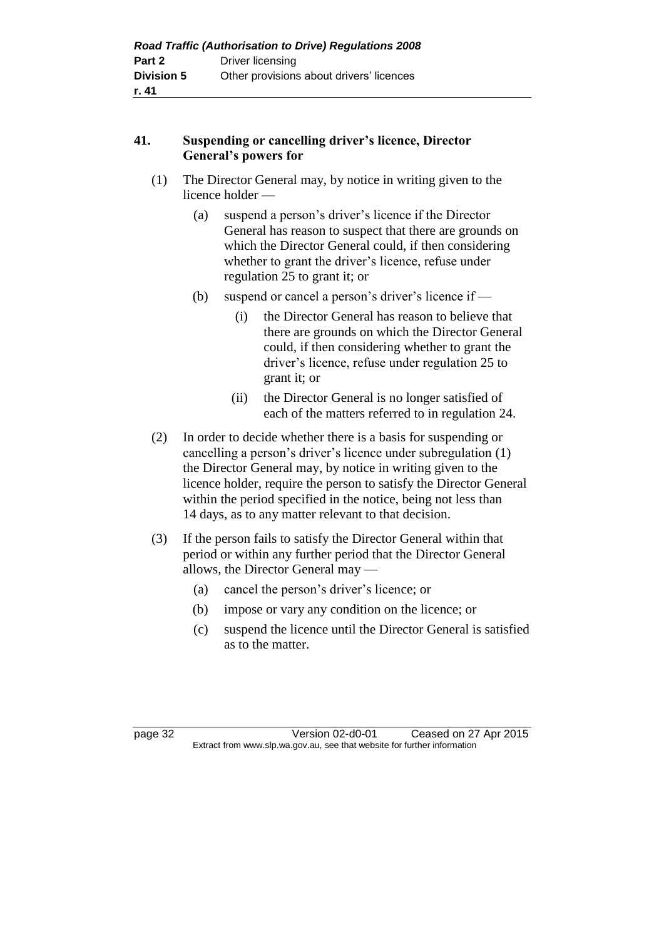### **41. Suspending or cancelling driver's licence, Director General's powers for**

- (1) The Director General may, by notice in writing given to the licence holder —
	- (a) suspend a person's driver's licence if the Director General has reason to suspect that there are grounds on which the Director General could, if then considering whether to grant the driver's licence, refuse under regulation 25 to grant it; or
	- (b) suspend or cancel a person's driver's licence if
		- (i) the Director General has reason to believe that there are grounds on which the Director General could, if then considering whether to grant the driver's licence, refuse under regulation 25 to grant it; or
		- (ii) the Director General is no longer satisfied of each of the matters referred to in regulation 24.
- (2) In order to decide whether there is a basis for suspending or cancelling a person's driver's licence under subregulation (1) the Director General may, by notice in writing given to the licence holder, require the person to satisfy the Director General within the period specified in the notice, being not less than 14 days, as to any matter relevant to that decision.
- (3) If the person fails to satisfy the Director General within that period or within any further period that the Director General allows, the Director General may —
	- (a) cancel the person's driver's licence; or
	- (b) impose or vary any condition on the licence; or
	- (c) suspend the licence until the Director General is satisfied as to the matter.

page 32 Version 02-d0-01 Ceased on 27 Apr 2015 Extract from www.slp.wa.gov.au, see that website for further information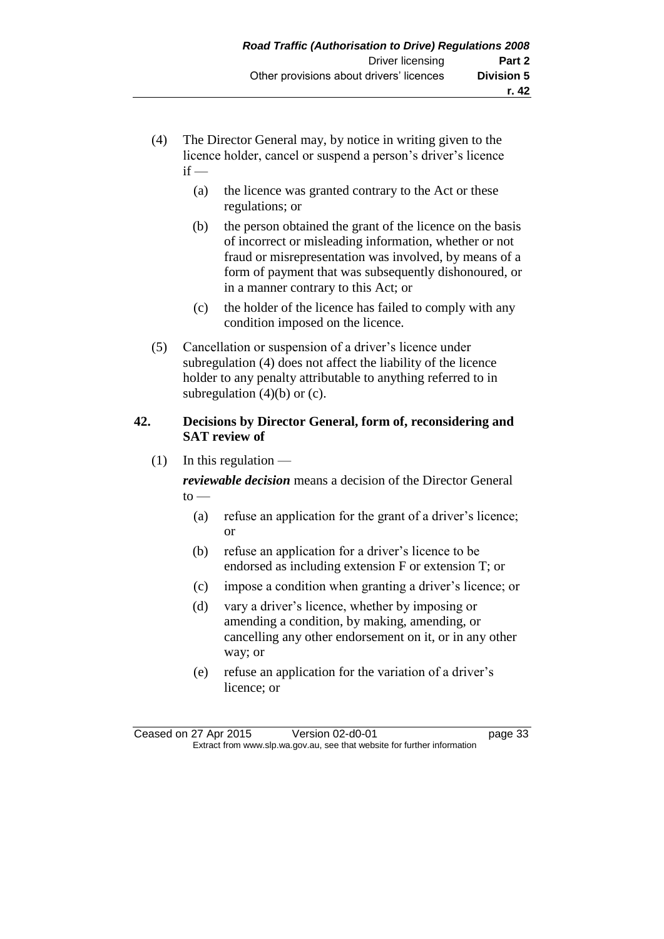- (4) The Director General may, by notice in writing given to the licence holder, cancel or suspend a person's driver's licence  $if -$ 
	- (a) the licence was granted contrary to the Act or these regulations; or
	- (b) the person obtained the grant of the licence on the basis of incorrect or misleading information, whether or not fraud or misrepresentation was involved, by means of a form of payment that was subsequently dishonoured, or in a manner contrary to this Act; or
	- (c) the holder of the licence has failed to comply with any condition imposed on the licence.
- (5) Cancellation or suspension of a driver's licence under subregulation (4) does not affect the liability of the licence holder to any penalty attributable to anything referred to in subregulation  $(4)(b)$  or  $(c)$ .

#### **42. Decisions by Director General, form of, reconsidering and SAT review of**

 $(1)$  In this regulation —

*reviewable decision* means a decision of the Director General  $to -$ 

- (a) refuse an application for the grant of a driver's licence; or
- (b) refuse an application for a driver's licence to be endorsed as including extension F or extension T; or
- (c) impose a condition when granting a driver's licence; or
- (d) vary a driver's licence, whether by imposing or amending a condition, by making, amending, or cancelling any other endorsement on it, or in any other way; or
- (e) refuse an application for the variation of a driver's licence; or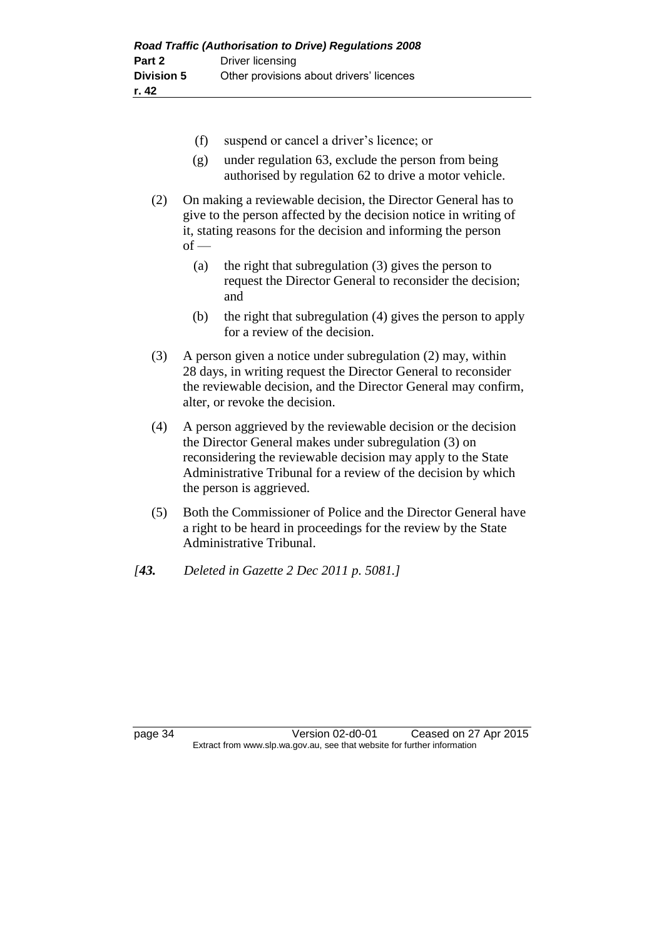- (f) suspend or cancel a driver's licence; or
- (g) under regulation 63, exclude the person from being authorised by regulation 62 to drive a motor vehicle.
- (2) On making a reviewable decision, the Director General has to give to the person affected by the decision notice in writing of it, stating reasons for the decision and informing the person  $of -$ 
	- (a) the right that subregulation (3) gives the person to request the Director General to reconsider the decision; and
	- (b) the right that subregulation (4) gives the person to apply for a review of the decision.
- (3) A person given a notice under subregulation (2) may, within 28 days, in writing request the Director General to reconsider the reviewable decision, and the Director General may confirm, alter, or revoke the decision.
- (4) A person aggrieved by the reviewable decision or the decision the Director General makes under subregulation (3) on reconsidering the reviewable decision may apply to the State Administrative Tribunal for a review of the decision by which the person is aggrieved.
- (5) Both the Commissioner of Police and the Director General have a right to be heard in proceedings for the review by the State Administrative Tribunal.
- *[43. Deleted in Gazette 2 Dec 2011 p. 5081.]*

page 34 Version 02-d0-01 Ceased on 27 Apr 2015 Extract from www.slp.wa.gov.au, see that website for further information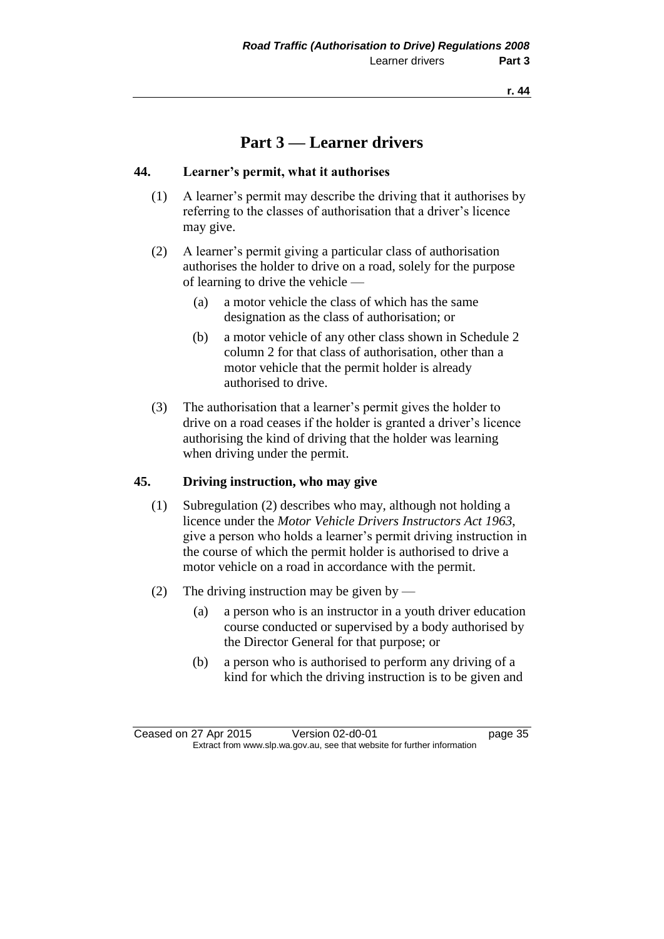**r. 44**

## **Part 3 — Learner drivers**

#### **44. Learner's permit, what it authorises**

- (1) A learner's permit may describe the driving that it authorises by referring to the classes of authorisation that a driver's licence may give.
- (2) A learner's permit giving a particular class of authorisation authorises the holder to drive on a road, solely for the purpose of learning to drive the vehicle —
	- (a) a motor vehicle the class of which has the same designation as the class of authorisation; or
	- (b) a motor vehicle of any other class shown in Schedule 2 column 2 for that class of authorisation, other than a motor vehicle that the permit holder is already authorised to drive.
- (3) The authorisation that a learner's permit gives the holder to drive on a road ceases if the holder is granted a driver's licence authorising the kind of driving that the holder was learning when driving under the permit.

#### **45. Driving instruction, who may give**

- (1) Subregulation (2) describes who may, although not holding a licence under the *Motor Vehicle Drivers Instructors Act 1963*, give a person who holds a learner's permit driving instruction in the course of which the permit holder is authorised to drive a motor vehicle on a road in accordance with the permit.
- (2) The driving instruction may be given by
	- (a) a person who is an instructor in a youth driver education course conducted or supervised by a body authorised by the Director General for that purpose; or
	- (b) a person who is authorised to perform any driving of a kind for which the driving instruction is to be given and

Ceased on 27 Apr 2015 Version 02-d0-01 page 35 Extract from www.slp.wa.gov.au, see that website for further information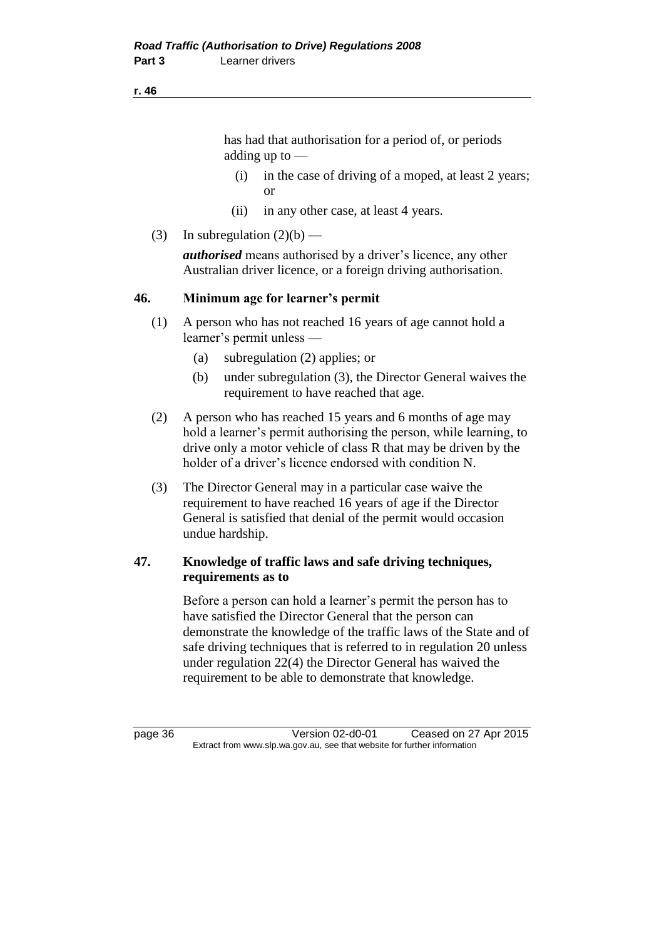#### **r. 46**

has had that authorisation for a period of, or periods adding up to —

- (i) in the case of driving of a moped, at least 2 years; or
- (ii) in any other case, at least 4 years.
- (3) In subregulation  $(2)(b)$  —

*authorised* means authorised by a driver's licence, any other Australian driver licence, or a foreign driving authorisation.

#### **46. Minimum age for learner's permit**

- (1) A person who has not reached 16 years of age cannot hold a learner's permit unless —
	- (a) subregulation (2) applies; or
	- (b) under subregulation (3), the Director General waives the requirement to have reached that age.
- (2) A person who has reached 15 years and 6 months of age may hold a learner's permit authorising the person, while learning, to drive only a motor vehicle of class R that may be driven by the holder of a driver's licence endorsed with condition N.
- (3) The Director General may in a particular case waive the requirement to have reached 16 years of age if the Director General is satisfied that denial of the permit would occasion undue hardship.

#### **47. Knowledge of traffic laws and safe driving techniques, requirements as to**

Before a person can hold a learner's permit the person has to have satisfied the Director General that the person can demonstrate the knowledge of the traffic laws of the State and of safe driving techniques that is referred to in regulation 20 unless under regulation 22(4) the Director General has waived the requirement to be able to demonstrate that knowledge.

page 36 Version 02-d0-01 Ceased on 27 Apr 2015 Extract from www.slp.wa.gov.au, see that website for further information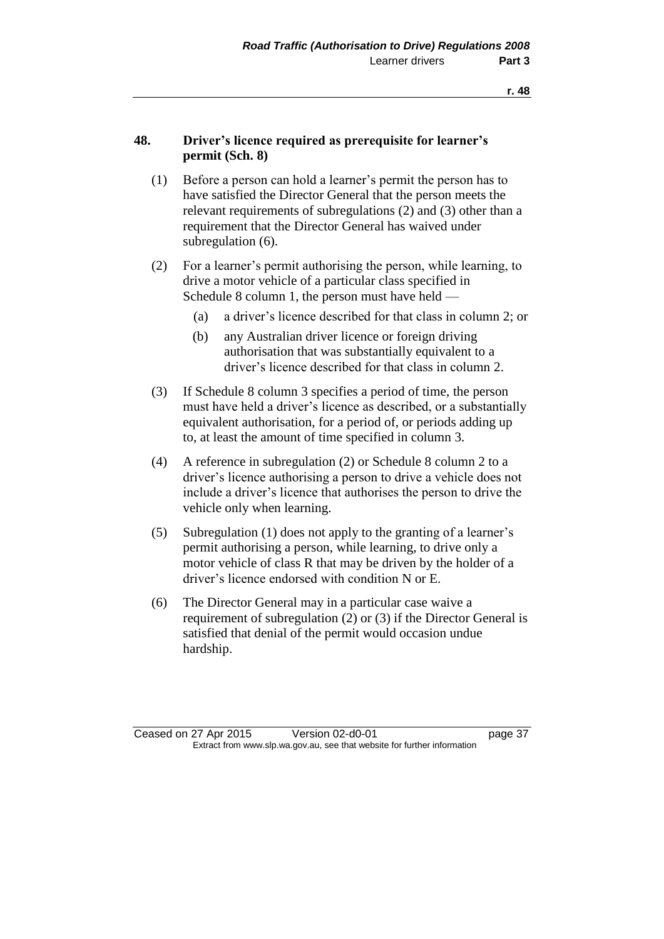#### **48. Driver's licence required as prerequisite for learner's permit (Sch. 8)**

- (1) Before a person can hold a learner's permit the person has to have satisfied the Director General that the person meets the relevant requirements of subregulations (2) and (3) other than a requirement that the Director General has waived under subregulation (6).
- (2) For a learner's permit authorising the person, while learning, to drive a motor vehicle of a particular class specified in Schedule 8 column 1, the person must have held —
	- (a) a driver's licence described for that class in column 2; or
	- (b) any Australian driver licence or foreign driving authorisation that was substantially equivalent to a driver's licence described for that class in column 2.
- (3) If Schedule 8 column 3 specifies a period of time, the person must have held a driver's licence as described, or a substantially equivalent authorisation, for a period of, or periods adding up to, at least the amount of time specified in column 3.
- (4) A reference in subregulation (2) or Schedule 8 column 2 to a driver's licence authorising a person to drive a vehicle does not include a driver's licence that authorises the person to drive the vehicle only when learning.
- (5) Subregulation (1) does not apply to the granting of a learner's permit authorising a person, while learning, to drive only a motor vehicle of class R that may be driven by the holder of a driver's licence endorsed with condition N or E.
- (6) The Director General may in a particular case waive a requirement of subregulation (2) or (3) if the Director General is satisfied that denial of the permit would occasion undue hardship.

Ceased on 27 Apr 2015 Version 02-d0-01 page 37 Extract from www.slp.wa.gov.au, see that website for further information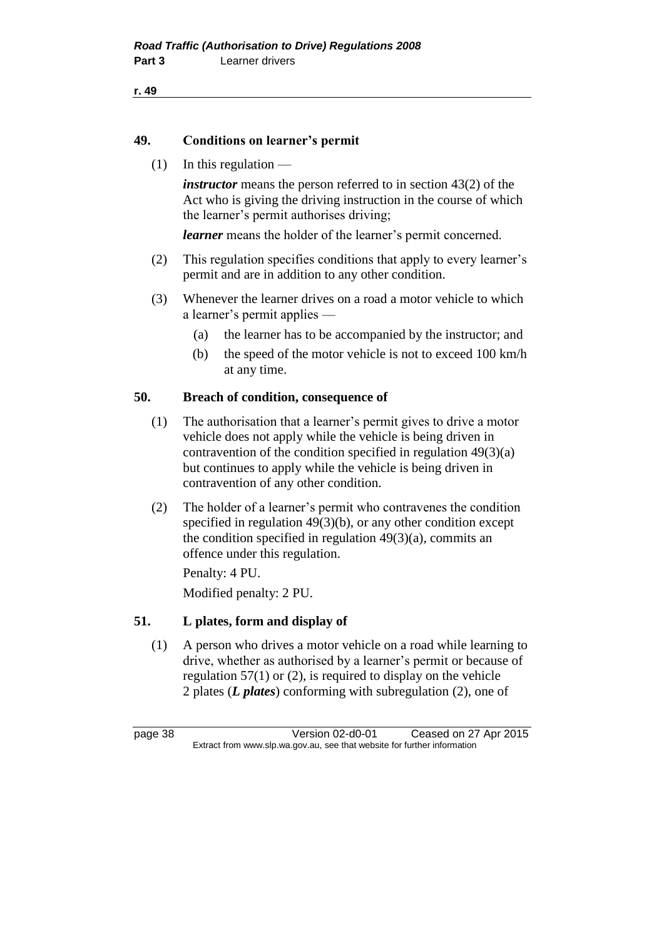```
r. 49
```
#### **49. Conditions on learner's permit**

 $(1)$  In this regulation —

*instructor* means the person referred to in section 43(2) of the Act who is giving the driving instruction in the course of which the learner's permit authorises driving;

*learner* means the holder of the learner's permit concerned.

- (2) This regulation specifies conditions that apply to every learner's permit and are in addition to any other condition.
- (3) Whenever the learner drives on a road a motor vehicle to which a learner's permit applies —
	- (a) the learner has to be accompanied by the instructor; and
	- (b) the speed of the motor vehicle is not to exceed 100 km/h at any time.

#### **50. Breach of condition, consequence of**

- (1) The authorisation that a learner's permit gives to drive a motor vehicle does not apply while the vehicle is being driven in contravention of the condition specified in regulation 49(3)(a) but continues to apply while the vehicle is being driven in contravention of any other condition.
- (2) The holder of a learner's permit who contravenes the condition specified in regulation 49(3)(b), or any other condition except the condition specified in regulation  $49(3)(a)$ , commits an offence under this regulation.

Penalty: 4 PU. Modified penalty: 2 PU.

#### **51. L plates, form and display of**

(1) A person who drives a motor vehicle on a road while learning to drive, whether as authorised by a learner's permit or because of regulation  $57(1)$  or (2), is required to display on the vehicle 2 plates (*L plates*) conforming with subregulation (2), one of

page 38 Version 02-d0-01 Ceased on 27 Apr 2015 Extract from www.slp.wa.gov.au, see that website for further information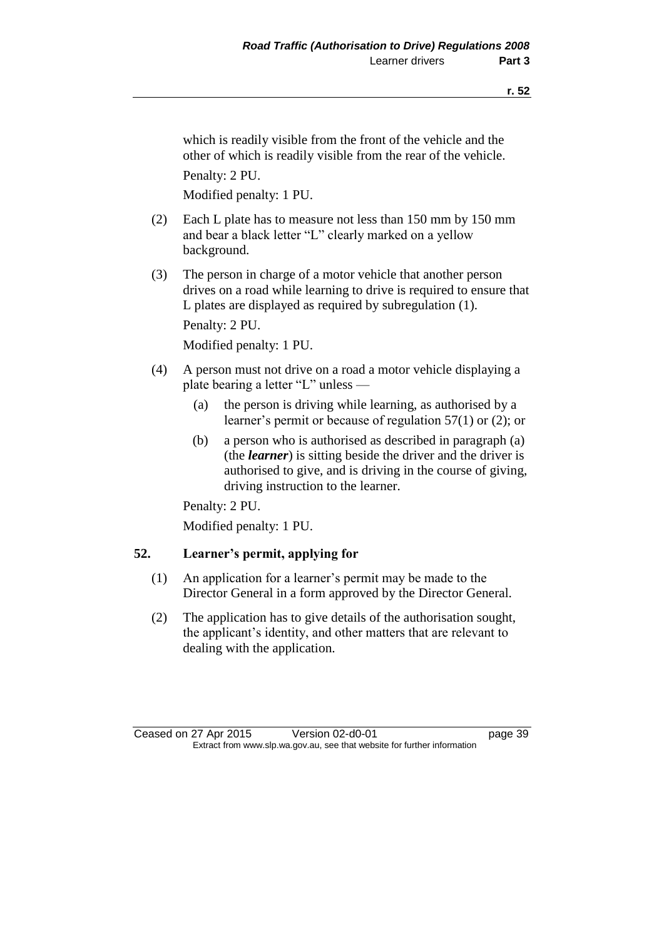which is readily visible from the front of the vehicle and the other of which is readily visible from the rear of the vehicle. Penalty: 2 PU.

Modified penalty: 1 PU.

- (2) Each L plate has to measure not less than 150 mm by 150 mm and bear a black letter "L" clearly marked on a yellow background.
- (3) The person in charge of a motor vehicle that another person drives on a road while learning to drive is required to ensure that L plates are displayed as required by subregulation (1). Penalty: 2 PU.

Modified penalty: 1 PU.

- (4) A person must not drive on a road a motor vehicle displaying a plate bearing a letter "L" unless —
	- (a) the person is driving while learning, as authorised by a learner's permit or because of regulation 57(1) or (2); or
	- (b) a person who is authorised as described in paragraph (a) (the *learner*) is sitting beside the driver and the driver is authorised to give, and is driving in the course of giving, driving instruction to the learner.

Penalty: 2 PU.

Modified penalty: 1 PU.

#### **52. Learner's permit, applying for**

- (1) An application for a learner's permit may be made to the Director General in a form approved by the Director General.
- (2) The application has to give details of the authorisation sought, the applicant's identity, and other matters that are relevant to dealing with the application.

Ceased on 27 Apr 2015 Version 02-d0-01 page 39 Extract from www.slp.wa.gov.au, see that website for further information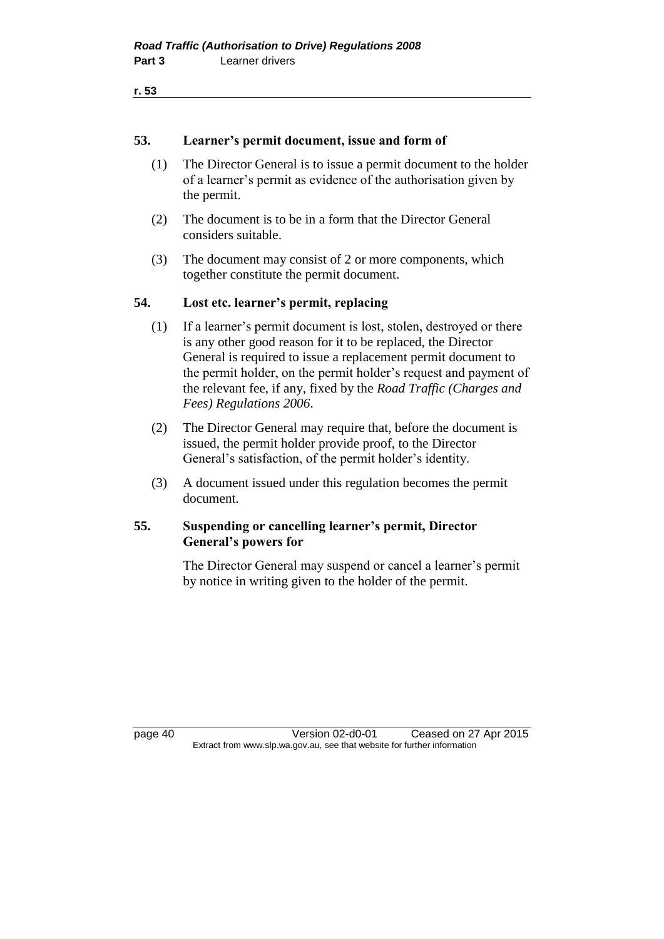```
r. 53
```
#### **53. Learner's permit document, issue and form of**

- (1) The Director General is to issue a permit document to the holder of a learner's permit as evidence of the authorisation given by the permit.
- (2) The document is to be in a form that the Director General considers suitable.
- (3) The document may consist of 2 or more components, which together constitute the permit document.

#### **54. Lost etc. learner's permit, replacing**

- (1) If a learner's permit document is lost, stolen, destroyed or there is any other good reason for it to be replaced, the Director General is required to issue a replacement permit document to the permit holder, on the permit holder's request and payment of the relevant fee, if any, fixed by the *Road Traffic (Charges and Fees) Regulations 2006*.
- (2) The Director General may require that, before the document is issued, the permit holder provide proof, to the Director General's satisfaction, of the permit holder's identity.
- (3) A document issued under this regulation becomes the permit document.

#### **55. Suspending or cancelling learner's permit, Director General's powers for**

The Director General may suspend or cancel a learner's permit by notice in writing given to the holder of the permit.

page 40 Version 02-d0-01 Ceased on 27 Apr 2015 Extract from www.slp.wa.gov.au, see that website for further information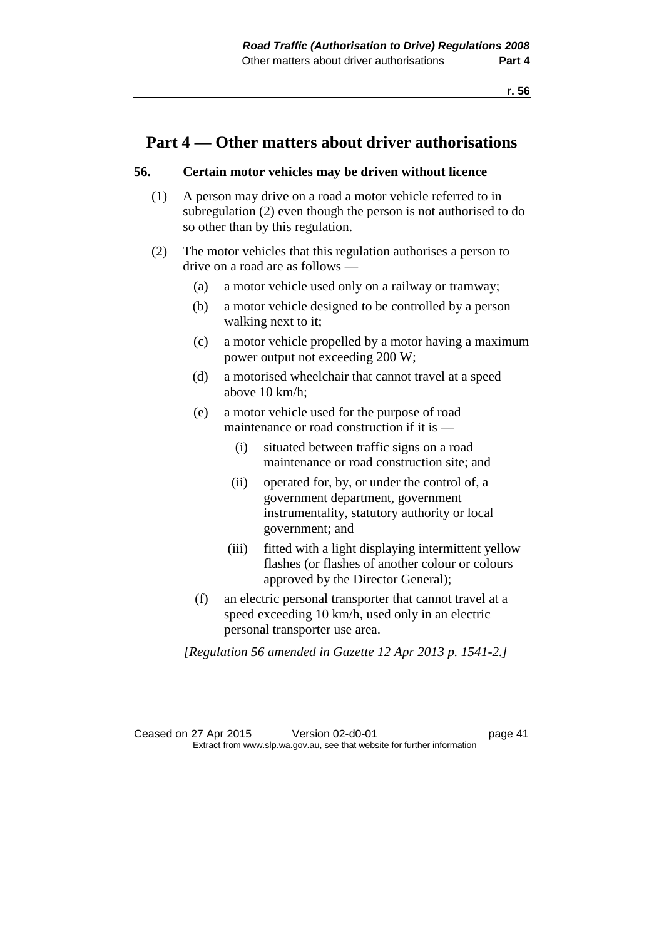### **Part 4 — Other matters about driver authorisations**

#### **56. Certain motor vehicles may be driven without licence**

- (1) A person may drive on a road a motor vehicle referred to in subregulation (2) even though the person is not authorised to do so other than by this regulation.
- (2) The motor vehicles that this regulation authorises a person to drive on a road are as follows —
	- (a) a motor vehicle used only on a railway or tramway;
	- (b) a motor vehicle designed to be controlled by a person walking next to it;
	- (c) a motor vehicle propelled by a motor having a maximum power output not exceeding 200 W;
	- (d) a motorised wheelchair that cannot travel at a speed above 10 km/h;
	- (e) a motor vehicle used for the purpose of road maintenance or road construction if it is —
		- (i) situated between traffic signs on a road maintenance or road construction site; and
		- (ii) operated for, by, or under the control of, a government department, government instrumentality, statutory authority or local government; and
		- (iii) fitted with a light displaying intermittent yellow flashes (or flashes of another colour or colours approved by the Director General);
	- (f) an electric personal transporter that cannot travel at a speed exceeding 10 km/h, used only in an electric personal transporter use area.

*[Regulation 56 amended in Gazette 12 Apr 2013 p. 1541-2.]*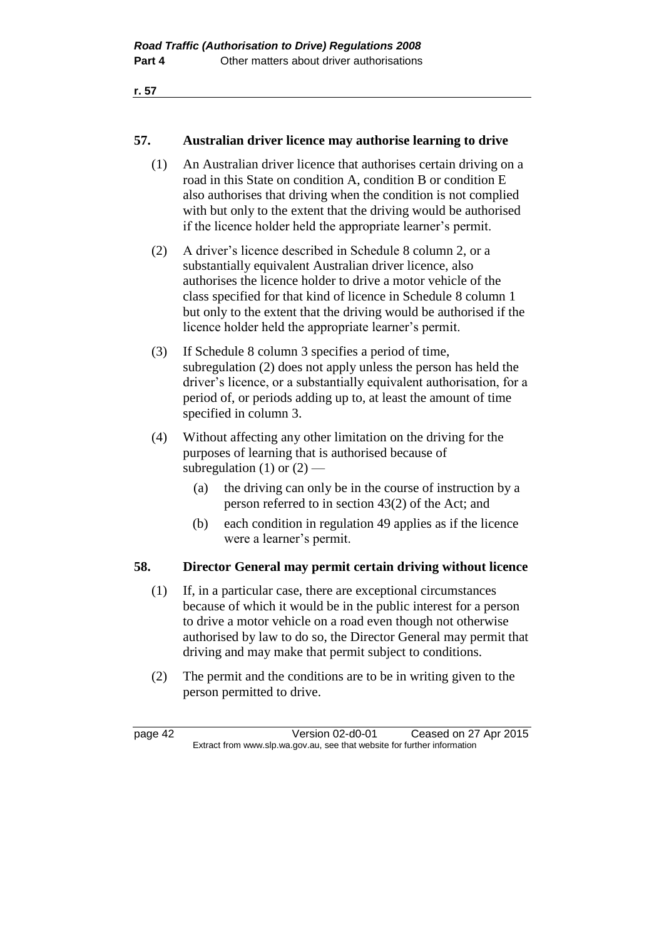**r. 57**

#### **57. Australian driver licence may authorise learning to drive**

- (1) An Australian driver licence that authorises certain driving on a road in this State on condition A, condition B or condition E also authorises that driving when the condition is not complied with but only to the extent that the driving would be authorised if the licence holder held the appropriate learner's permit.
- (2) A driver's licence described in Schedule 8 column 2, or a substantially equivalent Australian driver licence, also authorises the licence holder to drive a motor vehicle of the class specified for that kind of licence in Schedule 8 column 1 but only to the extent that the driving would be authorised if the licence holder held the appropriate learner's permit.
- (3) If Schedule 8 column 3 specifies a period of time, subregulation (2) does not apply unless the person has held the driver's licence, or a substantially equivalent authorisation, for a period of, or periods adding up to, at least the amount of time specified in column 3.
- (4) Without affecting any other limitation on the driving for the purposes of learning that is authorised because of subregulation (1) or  $(2)$  —
	- (a) the driving can only be in the course of instruction by a person referred to in section 43(2) of the Act; and
	- (b) each condition in regulation 49 applies as if the licence were a learner's permit.

#### **58. Director General may permit certain driving without licence**

- (1) If, in a particular case, there are exceptional circumstances because of which it would be in the public interest for a person to drive a motor vehicle on a road even though not otherwise authorised by law to do so, the Director General may permit that driving and may make that permit subject to conditions.
- (2) The permit and the conditions are to be in writing given to the person permitted to drive.

page 42 Version 02-d0-01 Ceased on 27 Apr 2015 Extract from www.slp.wa.gov.au, see that website for further information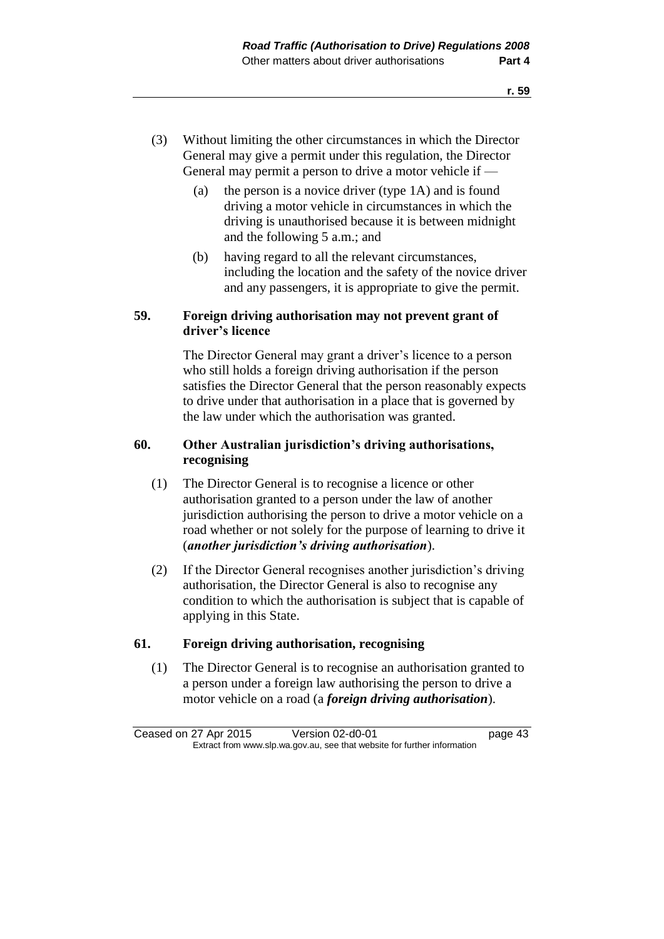- (3) Without limiting the other circumstances in which the Director General may give a permit under this regulation, the Director General may permit a person to drive a motor vehicle if —
	- (a) the person is a novice driver (type 1A) and is found driving a motor vehicle in circumstances in which the driving is unauthorised because it is between midnight and the following 5 a.m.; and
	- (b) having regard to all the relevant circumstances, including the location and the safety of the novice driver and any passengers, it is appropriate to give the permit.

#### **59. Foreign driving authorisation may not prevent grant of driver's licence**

The Director General may grant a driver's licence to a person who still holds a foreign driving authorisation if the person satisfies the Director General that the person reasonably expects to drive under that authorisation in a place that is governed by the law under which the authorisation was granted.

#### **60. Other Australian jurisdiction's driving authorisations, recognising**

- (1) The Director General is to recognise a licence or other authorisation granted to a person under the law of another jurisdiction authorising the person to drive a motor vehicle on a road whether or not solely for the purpose of learning to drive it (*another jurisdiction's driving authorisation*).
- (2) If the Director General recognises another jurisdiction's driving authorisation, the Director General is also to recognise any condition to which the authorisation is subject that is capable of applying in this State.

#### **61. Foreign driving authorisation, recognising**

(1) The Director General is to recognise an authorisation granted to a person under a foreign law authorising the person to drive a motor vehicle on a road (a *foreign driving authorisation*).

Ceased on 27 Apr 2015 Version 02-d0-01 page 43 Extract from www.slp.wa.gov.au, see that website for further information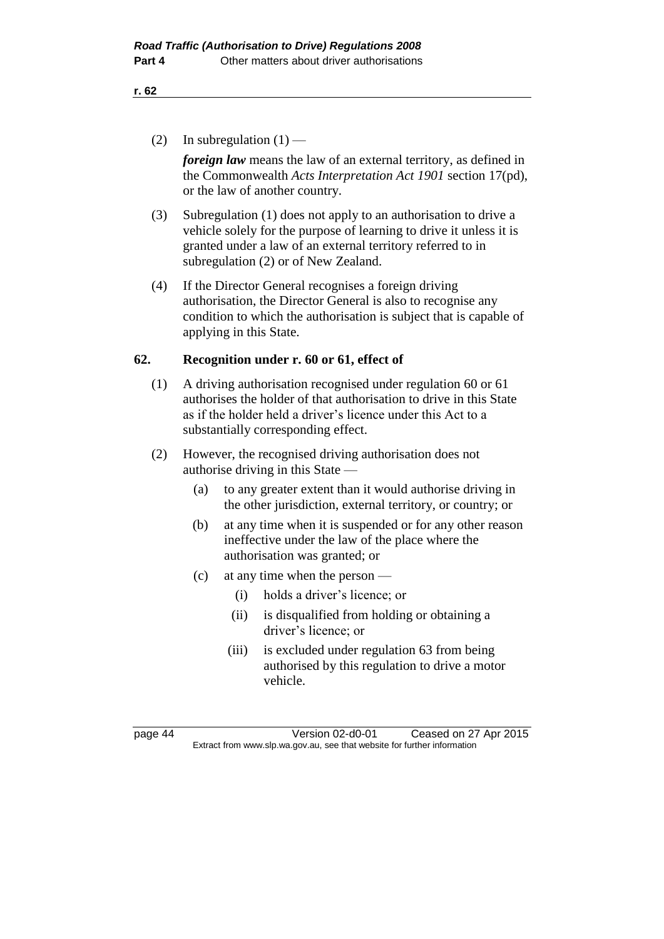(2) In subregulation  $(1)$  —

*foreign law* means the law of an external territory, as defined in the Commonwealth *Acts Interpretation Act 1901* section 17(pd), or the law of another country.

- (3) Subregulation (1) does not apply to an authorisation to drive a vehicle solely for the purpose of learning to drive it unless it is granted under a law of an external territory referred to in subregulation (2) or of New Zealand.
- (4) If the Director General recognises a foreign driving authorisation, the Director General is also to recognise any condition to which the authorisation is subject that is capable of applying in this State.

#### **62. Recognition under r. 60 or 61, effect of**

- (1) A driving authorisation recognised under regulation 60 or 61 authorises the holder of that authorisation to drive in this State as if the holder held a driver's licence under this Act to a substantially corresponding effect.
- (2) However, the recognised driving authorisation does not authorise driving in this State —
	- (a) to any greater extent than it would authorise driving in the other jurisdiction, external territory, or country; or
	- (b) at any time when it is suspended or for any other reason ineffective under the law of the place where the authorisation was granted; or
	- (c) at any time when the person
		- (i) holds a driver's licence; or
		- (ii) is disqualified from holding or obtaining a driver's licence; or
		- (iii) is excluded under regulation 63 from being authorised by this regulation to drive a motor vehicle.

page 44 Version 02-d0-01 Ceased on 27 Apr 2015 Extract from www.slp.wa.gov.au, see that website for further information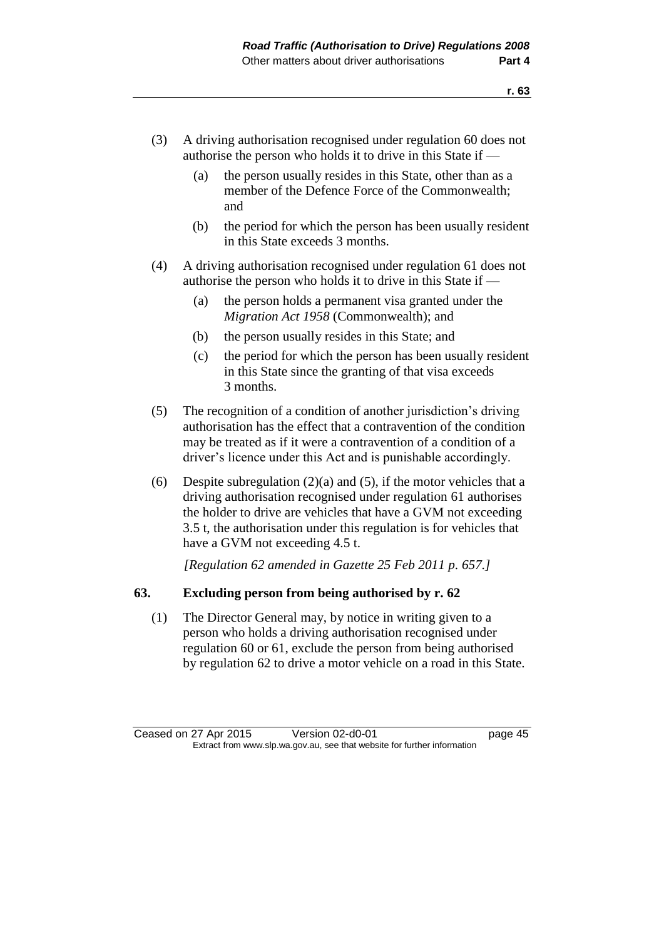- (3) A driving authorisation recognised under regulation 60 does not authorise the person who holds it to drive in this State if —
	- (a) the person usually resides in this State, other than as a member of the Defence Force of the Commonwealth; and
	- (b) the period for which the person has been usually resident in this State exceeds 3 months.
- (4) A driving authorisation recognised under regulation 61 does not authorise the person who holds it to drive in this State if —
	- (a) the person holds a permanent visa granted under the *Migration Act 1958* (Commonwealth); and
	- (b) the person usually resides in this State; and
	- (c) the period for which the person has been usually resident in this State since the granting of that visa exceeds 3 months.
- (5) The recognition of a condition of another jurisdiction's driving authorisation has the effect that a contravention of the condition may be treated as if it were a contravention of a condition of a driver's licence under this Act and is punishable accordingly.
- (6) Despite subregulation  $(2)(a)$  and  $(5)$ , if the motor vehicles that a driving authorisation recognised under regulation 61 authorises the holder to drive are vehicles that have a GVM not exceeding 3.5 t, the authorisation under this regulation is for vehicles that have a GVM not exceeding 4.5 t.

*[Regulation 62 amended in Gazette 25 Feb 2011 p. 657.]*

#### **63. Excluding person from being authorised by r. 62**

(1) The Director General may, by notice in writing given to a person who holds a driving authorisation recognised under regulation 60 or 61, exclude the person from being authorised by regulation 62 to drive a motor vehicle on a road in this State.

Ceased on 27 Apr 2015 Version 02-d0-01 page 45 Extract from www.slp.wa.gov.au, see that website for further information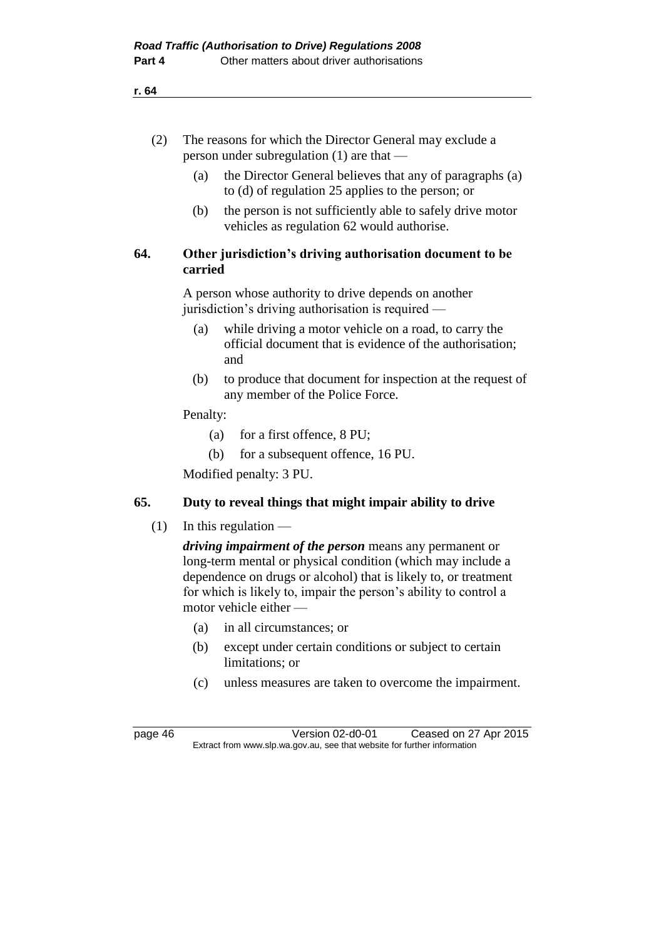| (2) | The reasons for which the Director General may exclude a |
|-----|----------------------------------------------------------|
|     | person under subregulation $(1)$ are that —              |

- (a) the Director General believes that any of paragraphs (a) to (d) of regulation 25 applies to the person; or
- (b) the person is not sufficiently able to safely drive motor vehicles as regulation 62 would authorise.

#### **64. Other jurisdiction's driving authorisation document to be carried**

A person whose authority to drive depends on another jurisdiction's driving authorisation is required —

- (a) while driving a motor vehicle on a road, to carry the official document that is evidence of the authorisation; and
- (b) to produce that document for inspection at the request of any member of the Police Force.

#### Penalty:

- (a) for a first offence, 8 PU;
- (b) for a subsequent offence, 16 PU.

Modified penalty: 3 PU.

#### **65. Duty to reveal things that might impair ability to drive**

 $(1)$  In this regulation —

*driving impairment of the person* means any permanent or long-term mental or physical condition (which may include a dependence on drugs or alcohol) that is likely to, or treatment for which is likely to, impair the person's ability to control a motor vehicle either —

- (a) in all circumstances; or
- (b) except under certain conditions or subject to certain limitations; or
- (c) unless measures are taken to overcome the impairment.

page 46 Version 02-d0-01 Ceased on 27 Apr 2015 Extract from www.slp.wa.gov.au, see that website for further information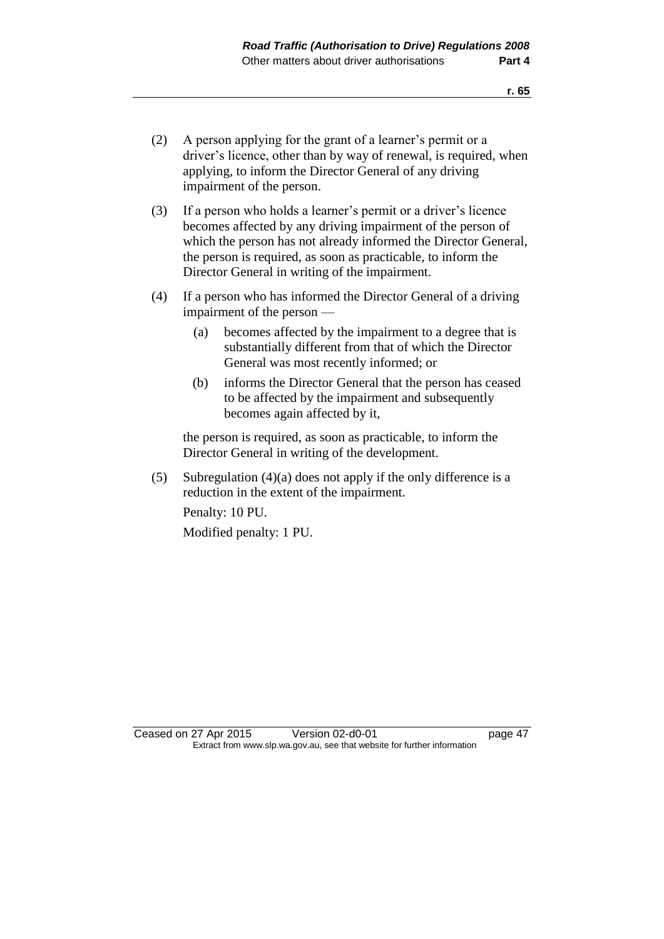- (2) A person applying for the grant of a learner's permit or a driver's licence, other than by way of renewal, is required, when applying, to inform the Director General of any driving impairment of the person.
- (3) If a person who holds a learner's permit or a driver's licence becomes affected by any driving impairment of the person of which the person has not already informed the Director General, the person is required, as soon as practicable, to inform the Director General in writing of the impairment.
- (4) If a person who has informed the Director General of a driving impairment of the person —
	- (a) becomes affected by the impairment to a degree that is substantially different from that of which the Director General was most recently informed; or
	- (b) informs the Director General that the person has ceased to be affected by the impairment and subsequently becomes again affected by it,

the person is required, as soon as practicable, to inform the Director General in writing of the development.

(5) Subregulation (4)(a) does not apply if the only difference is a reduction in the extent of the impairment.

Penalty: 10 PU. Modified penalty: 1 PU.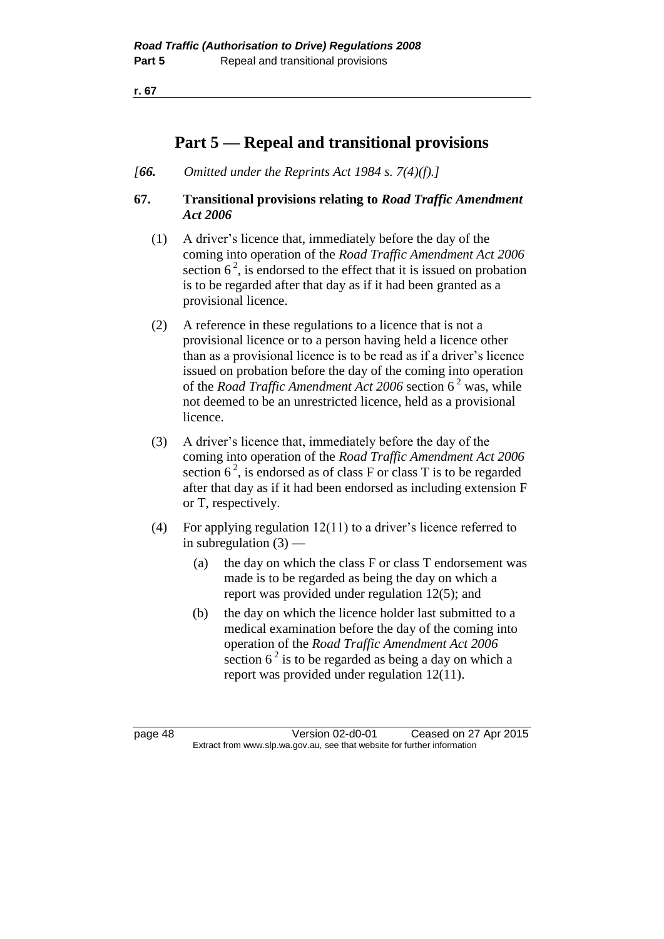**r. 67**

## **Part 5 — Repeal and transitional provisions**

*[66. Omitted under the Reprints Act 1984 s. 7(4)(f).]*

#### **67. Transitional provisions relating to** *Road Traffic Amendment Act 2006*

- (1) A driver's licence that, immediately before the day of the coming into operation of the *Road Traffic Amendment Act 2006* section  $6^2$ , is endorsed to the effect that it is issued on probation is to be regarded after that day as if it had been granted as a provisional licence.
- (2) A reference in these regulations to a licence that is not a provisional licence or to a person having held a licence other than as a provisional licence is to be read as if a driver's licence issued on probation before the day of the coming into operation of the *Road Traffic Amendment Act 2006* section 6 <sup>2</sup> was, while not deemed to be an unrestricted licence, held as a provisional licence.
- (3) A driver's licence that, immediately before the day of the coming into operation of the *Road Traffic Amendment Act 2006* section  $6^2$ , is endorsed as of class F or class T is to be regarded after that day as if it had been endorsed as including extension F or T, respectively.
- (4) For applying regulation 12(11) to a driver's licence referred to in subregulation  $(3)$  —
	- (a) the day on which the class F or class T endorsement was made is to be regarded as being the day on which a report was provided under regulation 12(5); and
	- (b) the day on which the licence holder last submitted to a medical examination before the day of the coming into operation of the *Road Traffic Amendment Act 2006* section  $6^2$  is to be regarded as being a day on which a report was provided under regulation 12(11).

page 48 Version 02-d0-01 Ceased on 27 Apr 2015 Extract from www.slp.wa.gov.au, see that website for further information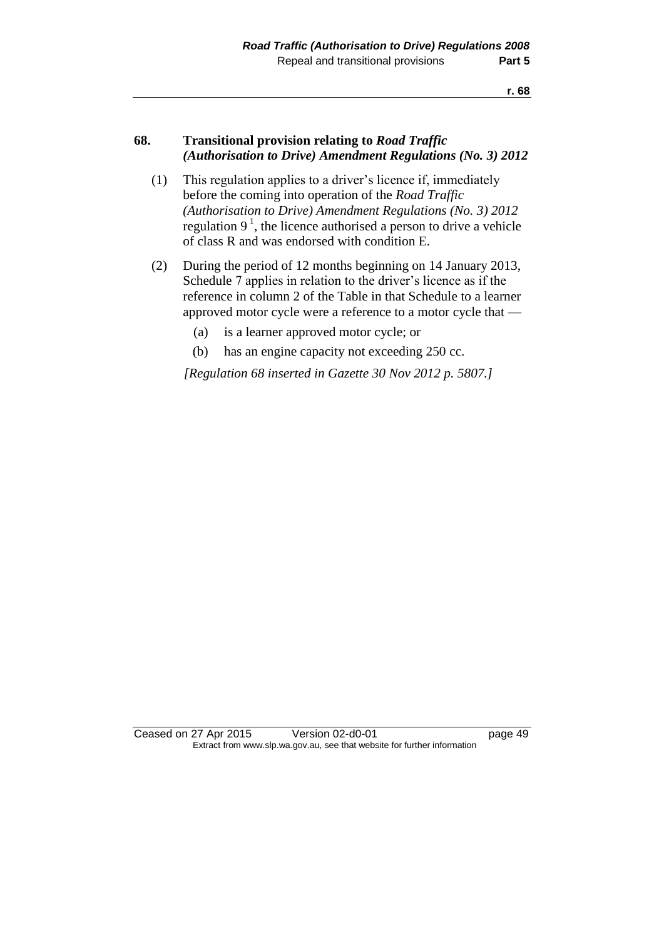#### **68. Transitional provision relating to** *Road Traffic (Authorisation to Drive) Amendment Regulations (No. 3) 2012*

- (1) This regulation applies to a driver's licence if, immediately before the coming into operation of the *Road Traffic (Authorisation to Drive) Amendment Regulations (No. 3) 2012*  regulation  $9<sup>1</sup>$ , the licence authorised a person to drive a vehicle of class R and was endorsed with condition E.
- (2) During the period of 12 months beginning on 14 January 2013, Schedule 7 applies in relation to the driver's licence as if the reference in column 2 of the Table in that Schedule to a learner approved motor cycle were a reference to a motor cycle that —
	- (a) is a learner approved motor cycle; or
	- (b) has an engine capacity not exceeding 250 cc.

*[Regulation 68 inserted in Gazette 30 Nov 2012 p. 5807.]*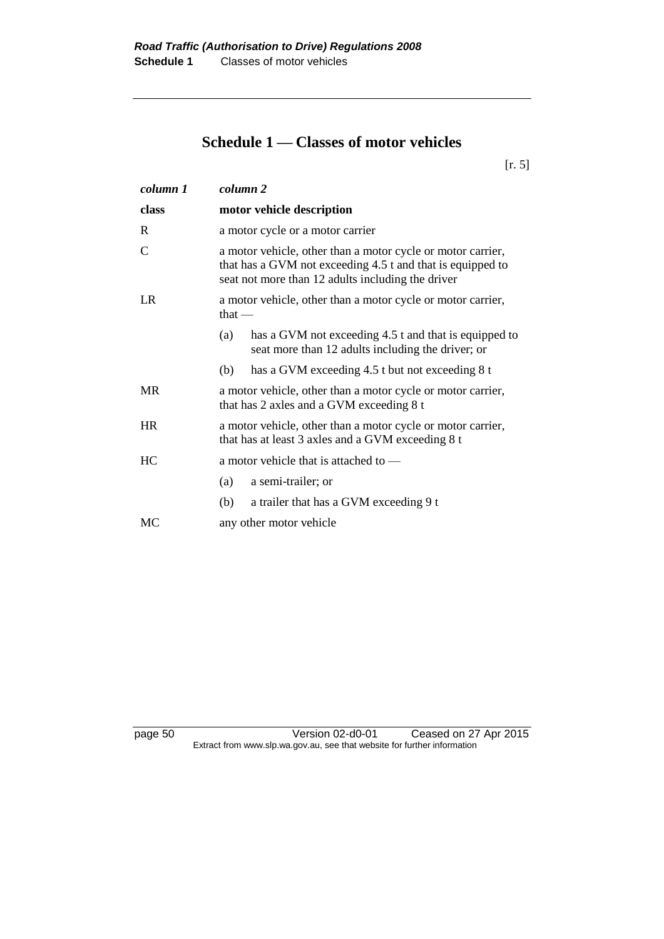## **Schedule 1 — Classes of motor vehicles**

[r. 5]

| column 1  | column 2                                                                                                                                                                       |
|-----------|--------------------------------------------------------------------------------------------------------------------------------------------------------------------------------|
| class     | motor vehicle description                                                                                                                                                      |
| R         | a motor cycle or a motor carrier                                                                                                                                               |
| C         | a motor vehicle, other than a motor cycle or motor carrier,<br>that has a GVM not exceeding 4.5 t and that is equipped to<br>seat not more than 12 adults including the driver |
| LR        | a motor vehicle, other than a motor cycle or motor carrier,<br>that $-$                                                                                                        |
|           | has a GVM not exceeding 4.5 t and that is equipped to<br>(a)<br>seat more than 12 adults including the driver; or                                                              |
|           | has a GVM exceeding 4.5 t but not exceeding 8 t<br>(b)                                                                                                                         |
| <b>MR</b> | a motor vehicle, other than a motor cycle or motor carrier,<br>that has 2 axles and a GVM exceeding 8 t                                                                        |
| <b>HR</b> | a motor vehicle, other than a motor cycle or motor carrier,<br>that has at least 3 axles and a GVM exceeding 8 t                                                               |
| HC        | a motor vehicle that is attached to —                                                                                                                                          |
|           | a semi-trailer; or<br>(a)                                                                                                                                                      |
|           | (b)<br>a trailer that has a GVM exceeding 9 t                                                                                                                                  |
| MC        | any other motor vehicle                                                                                                                                                        |

page 50 Version 02-d0-01 Ceased on 27 Apr 2015 Extract from www.slp.wa.gov.au, see that website for further information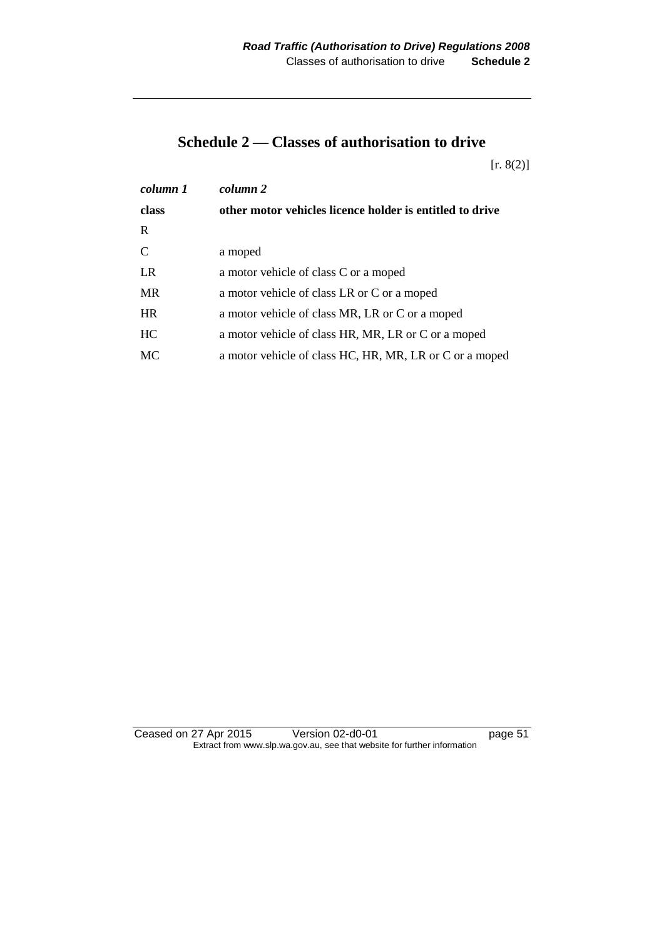## **Schedule 2 — Classes of authorisation to drive**

[r. 8(2)]

| column 1  | column 2                                                 |
|-----------|----------------------------------------------------------|
| class     | other motor vehicles licence holder is entitled to drive |
| R         |                                                          |
| C         | a moped                                                  |
| <b>LR</b> | a motor vehicle of class C or a moped                    |
| <b>MR</b> | a motor vehicle of class LR or C or a moped              |
| <b>HR</b> | a motor vehicle of class MR, LR or C or a moped          |
| HC        | a motor vehicle of class HR, MR, LR or C or a moped      |
| MC        | a motor vehicle of class HC, HR, MR, LR or C or a moped  |

Ceased on 27 Apr 2015 Version 02-d0-01 page 51 Extract from www.slp.wa.gov.au, see that website for further information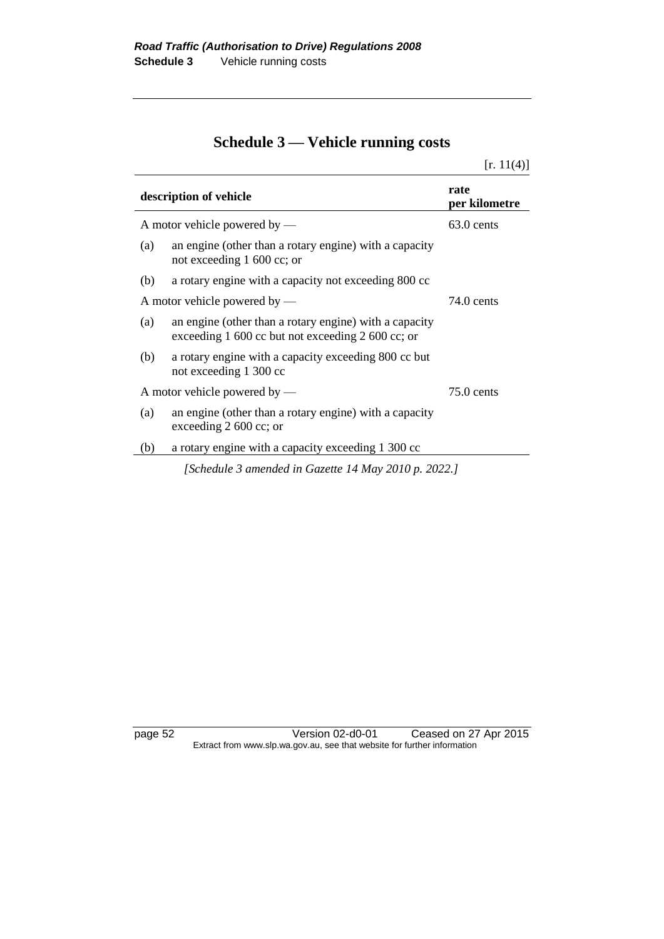# **Schedule 3 — Vehicle running costs**

|                                |                                                                                                                   | [r. 11(4)]            |
|--------------------------------|-------------------------------------------------------------------------------------------------------------------|-----------------------|
| description of vehicle         |                                                                                                                   | rate<br>per kilometre |
| A motor vehicle powered by $-$ |                                                                                                                   | $63.0$ cents          |
| (a)                            | an engine (other than a rotary engine) with a capacity<br>not exceeding 1 600 cc; or                              |                       |
| (b)                            | a rotary engine with a capacity not exceeding 800 cc                                                              |                       |
|                                | A motor vehicle powered by $-$                                                                                    | 74.0 cents            |
| (a)                            | an engine (other than a rotary engine) with a capacity<br>exceeding $1\,600$ cc but not exceeding $2\,600$ cc; or |                       |
| (b)                            | a rotary engine with a capacity exceeding 800 cc but<br>not exceeding 1 300 cc                                    |                       |
|                                | A motor vehicle powered by $-$                                                                                    | $75.0$ cents          |
| (a)                            | an engine (other than a rotary engine) with a capacity<br>exceeding $2,600$ cc; or                                |                       |
| (b)                            | a rotary engine with a capacity exceeding 1 300 cc                                                                |                       |
|                                | [Schedule 3 amended in Gazette 14 May 2010 p. 2022.]                                                              |                       |

 $\overline{a}$ 

 $\overline{a}$ 

 $\overline{a}$ 

page 52 Version 02-d0-01 Ceased on 27 Apr 2015 Extract from www.slp.wa.gov.au, see that website for further information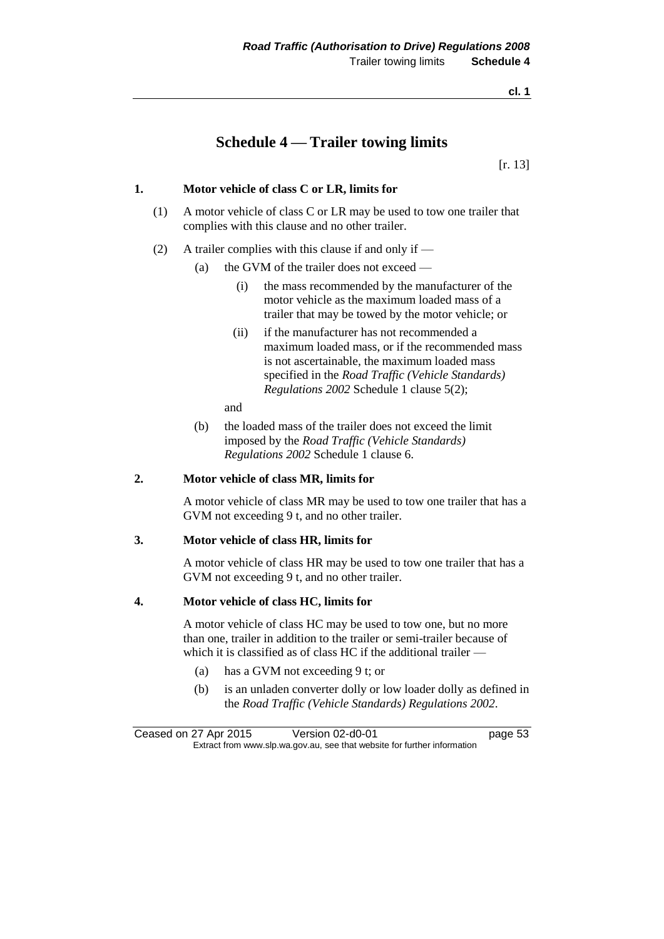### **Schedule 4 — Trailer towing limits**

[r. 13]

#### **1. Motor vehicle of class C or LR, limits for**

- (1) A motor vehicle of class C or LR may be used to tow one trailer that complies with this clause and no other trailer.
- (2) A trailer complies with this clause if and only if
	- (a) the GVM of the trailer does not exceed
		- (i) the mass recommended by the manufacturer of the motor vehicle as the maximum loaded mass of a trailer that may be towed by the motor vehicle; or
		- (ii) if the manufacturer has not recommended a maximum loaded mass, or if the recommended mass is not ascertainable, the maximum loaded mass specified in the *Road Traffic (Vehicle Standards) Regulations 2002* Schedule 1 clause 5(2);

and

(b) the loaded mass of the trailer does not exceed the limit imposed by the *Road Traffic (Vehicle Standards) Regulations 2002* Schedule 1 clause 6.

#### **2. Motor vehicle of class MR, limits for**

A motor vehicle of class MR may be used to tow one trailer that has a GVM not exceeding 9 t, and no other trailer.

#### **3. Motor vehicle of class HR, limits for**

A motor vehicle of class HR may be used to tow one trailer that has a GVM not exceeding 9 t, and no other trailer.

#### **4. Motor vehicle of class HC, limits for**

A motor vehicle of class HC may be used to tow one, but no more than one, trailer in addition to the trailer or semi-trailer because of which it is classified as of class HC if the additional trailer —

- (a) has a GVM not exceeding 9 t; or
- (b) is an unladen converter dolly or low loader dolly as defined in the *Road Traffic (Vehicle Standards) Regulations 2002*.

Ceased on 27 Apr 2015 Version 02-d0-01 page 53 Extract from www.slp.wa.gov.au, see that website for further information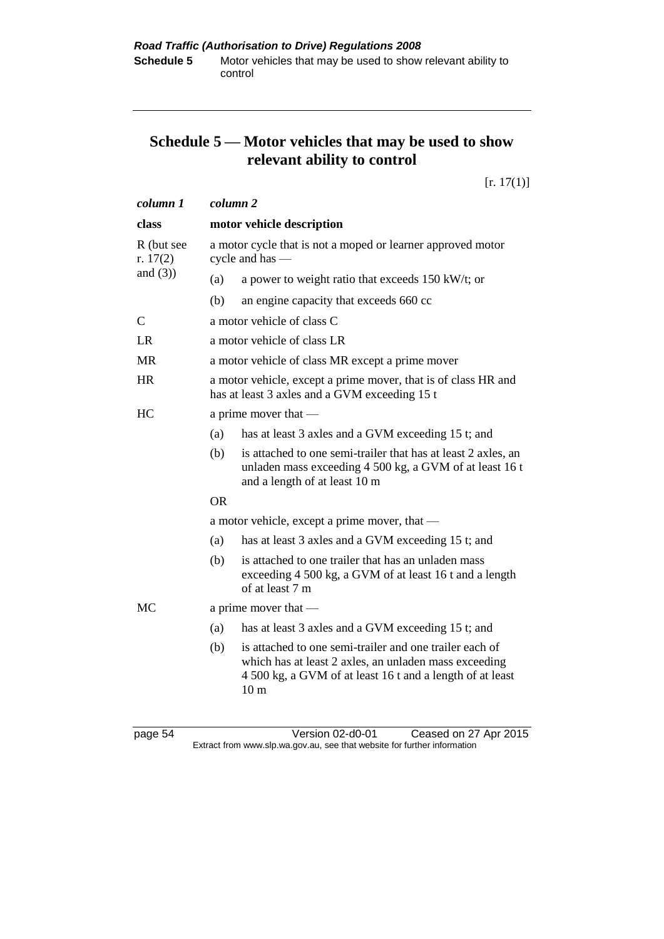## **Schedule 5 — Motor vehicles that may be used to show relevant ability to control**

[r. 17(1)]

| column 1                 | column <sub>2</sub>       |                                                                                                                                                                                                  |
|--------------------------|---------------------------|--------------------------------------------------------------------------------------------------------------------------------------------------------------------------------------------------|
| class                    | motor vehicle description |                                                                                                                                                                                                  |
| R (but see<br>r. $17(2)$ |                           | a motor cycle that is not a moped or learner approved motor<br>cycle and has $-$                                                                                                                 |
| and $(3)$ )              | (a)                       | a power to weight ratio that exceeds $150 \text{ kW/t}$ ; or                                                                                                                                     |
|                          | (b)                       | an engine capacity that exceeds 660 cc                                                                                                                                                           |
| $\mathsf{C}$             |                           | a motor vehicle of class C                                                                                                                                                                       |
| <b>LR</b>                |                           | a motor vehicle of class LR                                                                                                                                                                      |
| <b>MR</b>                |                           | a motor vehicle of class MR except a prime mover                                                                                                                                                 |
| <b>HR</b>                |                           | a motor vehicle, except a prime mover, that is of class HR and<br>has at least 3 axles and a GVM exceeding 15 t                                                                                  |
| HC                       |                           | a prime mover that $-$                                                                                                                                                                           |
|                          | (a)                       | has at least 3 axles and a GVM exceeding 15 t; and                                                                                                                                               |
|                          | (b)                       | is attached to one semi-trailer that has at least 2 axles, an<br>unladen mass exceeding 4 500 kg, a GVM of at least 16 t<br>and a length of at least 10 m                                        |
|                          | <b>OR</b>                 |                                                                                                                                                                                                  |
|                          |                           | a motor vehicle, except a prime mover, that —                                                                                                                                                    |
|                          | (a)                       | has at least 3 axles and a GVM exceeding 15 t; and                                                                                                                                               |
|                          | (b)                       | is attached to one trailer that has an unladen mass<br>exceeding 4 500 kg, a GVM of at least 16 t and a length<br>of at least 7 m                                                                |
| MC                       |                           | a prime mover that $-$                                                                                                                                                                           |
|                          | (a)                       | has at least 3 axles and a GVM exceeding 15 t; and                                                                                                                                               |
|                          | (b)                       | is attached to one semi-trailer and one trailer each of<br>which has at least 2 axles, an unladen mass exceeding<br>4 500 kg, a GVM of at least 16 t and a length of at least<br>10 <sub>m</sub> |
|                          |                           |                                                                                                                                                                                                  |

page 54 Version 02-d0-01 Ceased on 27 Apr 2015 Extract from www.slp.wa.gov.au, see that website for further information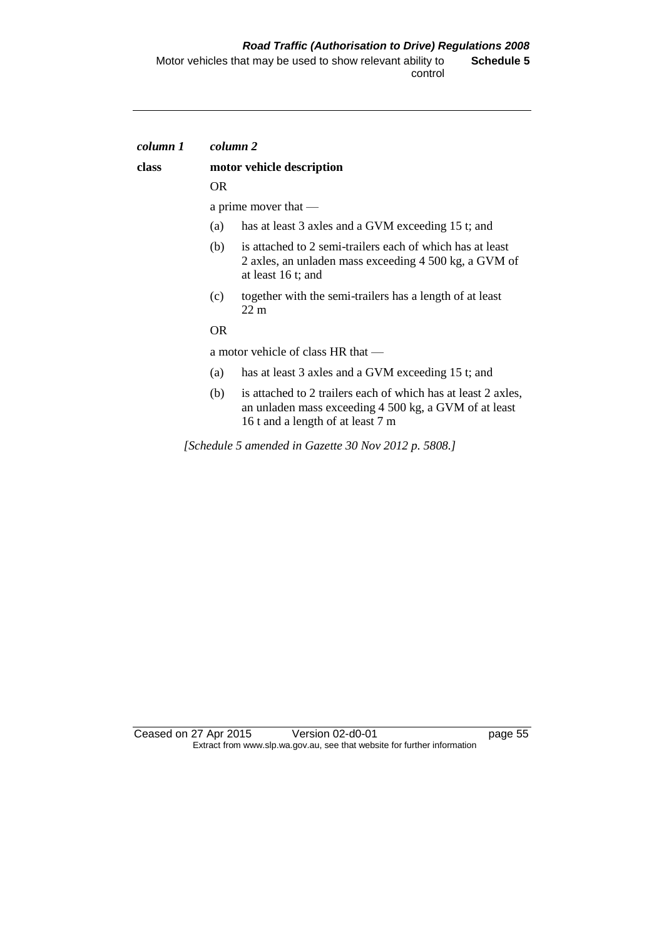| column 1 |                           | column 2                                                                                                                                                    |  |
|----------|---------------------------|-------------------------------------------------------------------------------------------------------------------------------------------------------------|--|
| class    | motor vehicle description |                                                                                                                                                             |  |
|          | <b>OR</b>                 |                                                                                                                                                             |  |
|          |                           | a prime mover that —                                                                                                                                        |  |
|          | (a)                       | has at least 3 axles and a GVM exceeding 15 t; and                                                                                                          |  |
|          | (b)                       | is attached to 2 semi-trailers each of which has at least<br>2 axles, an unladen mass exceeding 4 500 kg, a GVM of<br>at least 16 t; and                    |  |
|          | (c)                       | together with the semi-trailers has a length of at least<br>$22 \text{ m}$                                                                                  |  |
|          | <b>OR</b>                 |                                                                                                                                                             |  |
|          |                           | a motor vehicle of class HR that —                                                                                                                          |  |
|          | (a)                       | has at least 3 axles and a GVM exceeding 15 t; and                                                                                                          |  |
|          | (b)                       | is attached to 2 trailers each of which has at least 2 axles,<br>an unladen mass exceeding 4 500 kg, a GVM of at least<br>16 t and a length of at least 7 m |  |
|          |                           | [Schedule 5 amended in Gazette 30 Nov 2012 p. 5808.]                                                                                                        |  |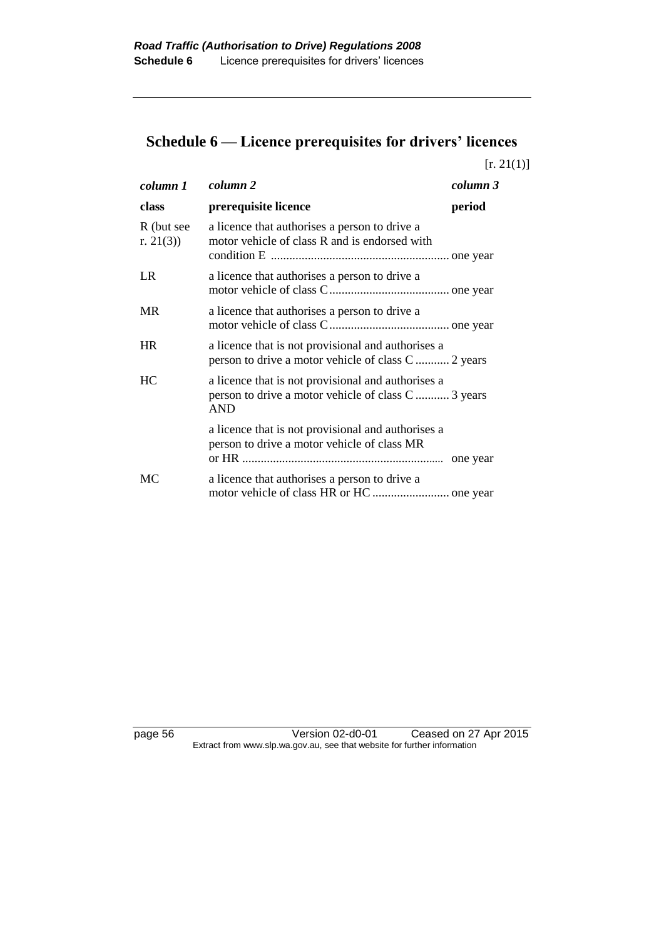# **Schedule 6 — Licence prerequisites for drivers' licences**

 $[r. 21(1)]$ 

| column 1                   | column 2                                                                                                                | column 3 |
|----------------------------|-------------------------------------------------------------------------------------------------------------------------|----------|
| class                      | prerequisite licence                                                                                                    | period   |
| R (but see<br>r. $21(3)$ ) | a licence that authorises a person to drive a<br>motor vehicle of class R and is endorsed with                          |          |
| LR                         | a licence that authorises a person to drive a                                                                           |          |
| MR                         | a licence that authorises a person to drive a                                                                           |          |
| <b>HR</b>                  | a licence that is not provisional and authorises a<br>person to drive a motor vehicle of class C  2 years               |          |
| HC.                        | a licence that is not provisional and authorises a<br>person to drive a motor vehicle of class C  3 years<br><b>AND</b> |          |
|                            | a licence that is not provisional and authorises a<br>person to drive a motor vehicle of class MR                       |          |
| MC                         | a licence that authorises a person to drive a                                                                           |          |

page 56 Version 02-d0-01 Ceased on 27 Apr 2015 Extract from www.slp.wa.gov.au, see that website for further information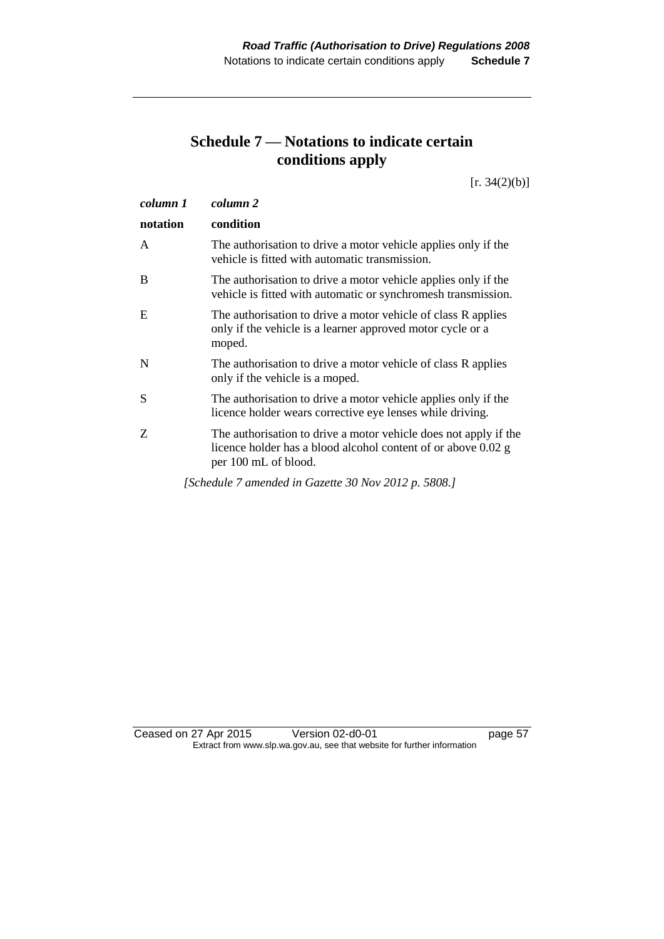## **Schedule 7 — Notations to indicate certain conditions apply**

 $[r. 34(2)(b)]$ 

| column 1 | column 2                                                                                                                                                  |
|----------|-----------------------------------------------------------------------------------------------------------------------------------------------------------|
| notation | condition                                                                                                                                                 |
| A        | The authorisation to drive a motor vehicle applies only if the<br>vehicle is fitted with automatic transmission.                                          |
| B        | The authorisation to drive a motor vehicle applies only if the<br>vehicle is fitted with automatic or synchromesh transmission.                           |
| E        | The authorisation to drive a motor vehicle of class R applies<br>only if the vehicle is a learner approved motor cycle or a<br>moped.                     |
| N        | The authorisation to drive a motor vehicle of class R applies<br>only if the vehicle is a moped.                                                          |
| S        | The authorisation to drive a motor vehicle applies only if the<br>licence holder wears corrective eye lenses while driving.                               |
| Z        | The authorisation to drive a motor vehicle does not apply if the<br>licence holder has a blood alcohol content of or above 0.02 g<br>per 100 mL of blood. |
|          | [Schedule 7 amended in Gazette 30 Nov 2012 p. 5808.]                                                                                                      |

Ceased on 27 Apr 2015 Version 02-d0-01 page 57 Extract from www.slp.wa.gov.au, see that website for further information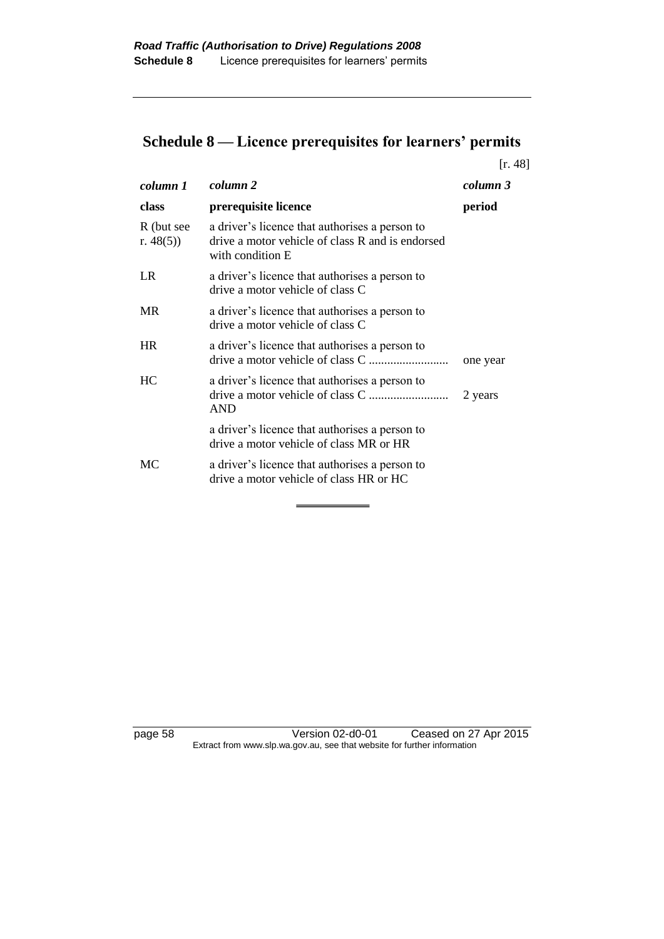# **Schedule 8 — Licence prerequisites for learners' permits**

|                            |                                                                                                                        | [r. 48]  |
|----------------------------|------------------------------------------------------------------------------------------------------------------------|----------|
| column 1                   | column 2                                                                                                               | column 3 |
| class                      | prerequisite licence                                                                                                   | period   |
| R (but see<br>r. $48(5)$ ) | a driver's licence that authorises a person to<br>drive a motor vehicle of class R and is endorsed<br>with condition E |          |
| LR.                        | a driver's licence that authorises a person to<br>drive a motor vehicle of class C                                     |          |
| <b>MR</b>                  | a driver's licence that authorises a person to<br>drive a motor vehicle of class C                                     |          |
| <b>HR</b>                  | a driver's licence that authorises a person to                                                                         | one year |
| HC                         | a driver's licence that authorises a person to<br><b>AND</b>                                                           | 2 years  |
|                            | a driver's licence that authorises a person to<br>drive a motor vehicle of class MR or HR                              |          |
| МC                         | a driver's licence that authorises a person to<br>drive a motor vehicle of class HR or HC                              |          |

page 58 Version 02-d0-01 Ceased on 27 Apr 2015 Extract from www.slp.wa.gov.au, see that website for further information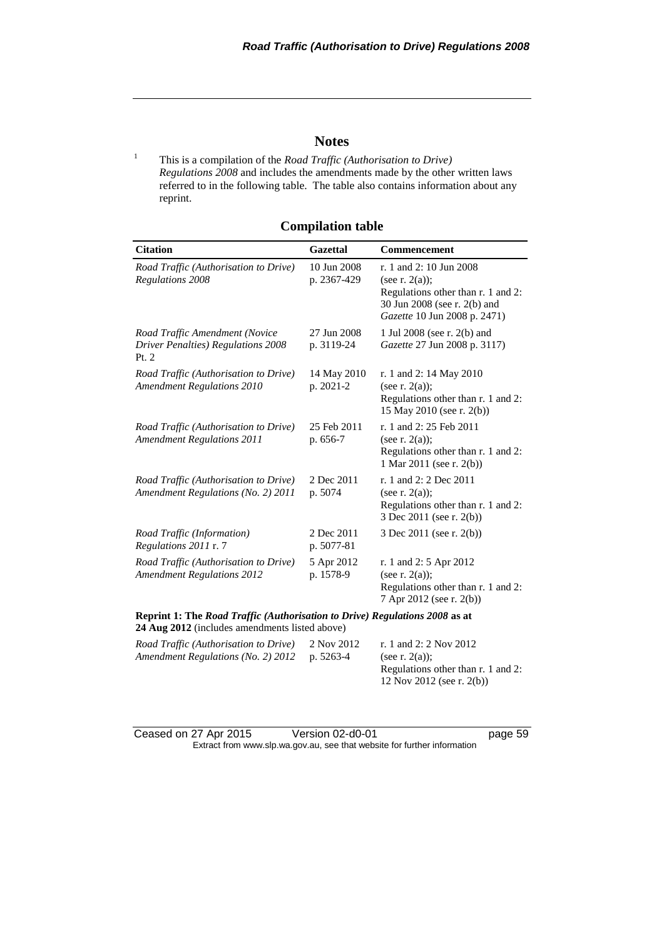#### **Notes**

<sup>1</sup> This is a compilation of the *Road Traffic (Authorisation to Drive) Regulations 2008* and includes the amendments made by the other written laws referred to in the following table. The table also contains information about any reprint.

| <b>Compilation table</b> |  |  |  |
|--------------------------|--|--|--|
|                          |  |  |  |

| <b>Citation</b>                                                                        | Gazettal                   | <b>Commencement</b>                                                                                                                                |
|----------------------------------------------------------------------------------------|----------------------------|----------------------------------------------------------------------------------------------------------------------------------------------------|
| Road Traffic (Authorisation to Drive)<br>Regulations 2008                              | 10 Jun 2008<br>p. 2367-429 | r. 1 and 2: 10 Jun 2008<br>(see r. $2(a)$ );<br>Regulations other than r. 1 and 2:<br>30 Jun 2008 (see r. 2(b) and<br>Gazette 10 Jun 2008 p. 2471) |
| Road Traffic Amendment (Novice<br><b>Driver Penalties) Regulations 2008</b><br>Pt. $2$ | 27 Jun 2008<br>p. 3119-24  | 1 Jul 2008 (see r. 2(b) and<br>Gazette 27 Jun 2008 p. 3117)                                                                                        |
| Road Traffic (Authorisation to Drive)<br><b>Amendment Regulations 2010</b>             | 14 May 2010<br>p. 2021-2   | r. 1 and 2: 14 May 2010<br>(see r. $2(a)$ );<br>Regulations other than r. 1 and 2:<br>15 May 2010 (see r. 2(b))                                    |
| Road Traffic (Authorisation to Drive)<br><b>Amendment Regulations 2011</b>             | 25 Feb 2011<br>p. 656-7    | r. 1 and 2: 25 Feb 2011<br>(see r. $2(a)$ );<br>Regulations other than r. 1 and 2:<br>1 Mar 2011 (see r. 2(b))                                     |
| Road Traffic (Authorisation to Drive)<br>Amendment Regulations (No. 2) 2011            | 2 Dec 2011<br>p. 5074      | r. 1 and 2: 2 Dec 2011<br>(see r. $2(a)$ );<br>Regulations other than r. 1 and 2:<br>3 Dec 2011 (see r. 2(b))                                      |
| Road Traffic (Information)<br>Regulations 2011 r. 7                                    | 2 Dec 2011<br>p. 5077-81   | 3 Dec 2011 (see r. 2(b))                                                                                                                           |
| Road Traffic (Authorisation to Drive)<br><b>Amendment Regulations 2012</b>             | 5 Apr 2012<br>p. 1578-9    | r. 1 and 2: 5 Apr 2012<br>(see r. $2(a)$ );<br>Regulations other than r. 1 and 2:<br>7 Apr 2012 (see r. 2(b))                                      |

**Reprint 1: The** *Road Traffic (Authorisation to Drive) Regulations 2008* **as at 24 Aug 2012** (includes amendments listed above)

| Road Traffic (Authorisation to Drive)        | 2 Nov 2012 | r. 1 and 2: 2 Nov 2012             |
|----------------------------------------------|------------|------------------------------------|
| Amendment Regulations (No. 2) 2012 p. 5263-4 |            | (see r. $2(a)$ ):                  |
|                                              |            | Regulations other than r. 1 and 2: |
|                                              |            | 12 Nov 2012 (see r. 2(b))          |

Ceased on 27 Apr 2015 Version 02-d0-01 page 59 Extract from www.slp.wa.gov.au, see that website for further information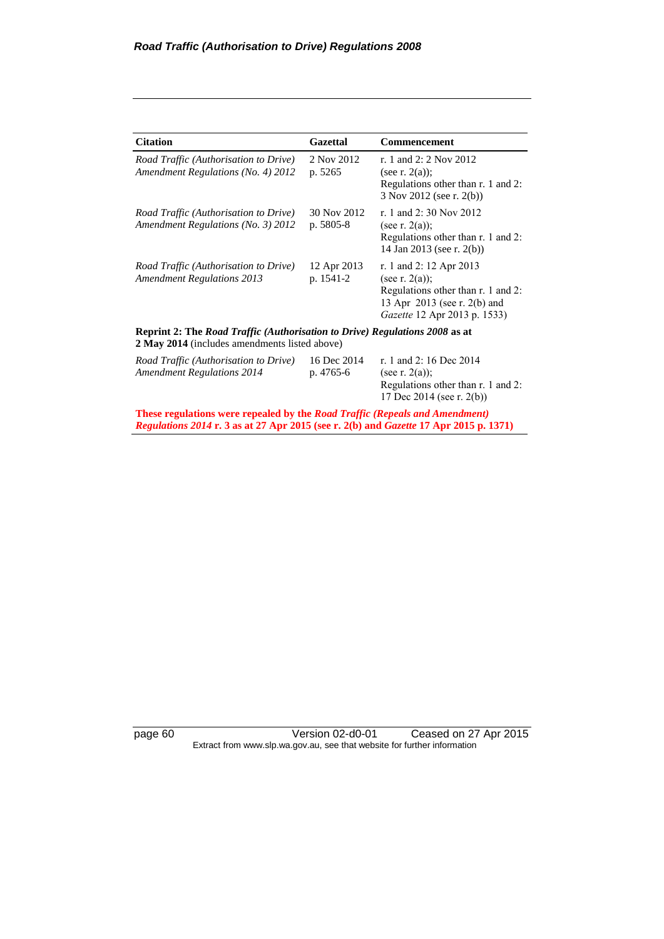| <b>Citation</b>                                                                                                              | <b>Gazettal</b>          | Commencement                                                                                                                                              |  |
|------------------------------------------------------------------------------------------------------------------------------|--------------------------|-----------------------------------------------------------------------------------------------------------------------------------------------------------|--|
| Road Traffic (Authorisation to Drive)<br>Amendment Regulations (No. 4) 2012                                                  | 2 Nov 2012<br>p. 5265    | r. 1 and 2: 2 Nov 2012<br>(see r. $2(a)$ );<br>Regulations other than r. 1 and 2:<br>3 Nov 2012 (see r. 2(b))                                             |  |
| Road Traffic (Authorisation to Drive)<br>Amendment Regulations (No. 3) 2012                                                  | 30 Nov 2012<br>p. 5805-8 | r. 1 and 2:30 Nov 2012<br>(see r. $2(a)$ );<br>Regulations other than r. 1 and 2:<br>14 Jan 2013 (see r. 2(b))                                            |  |
| Road Traffic (Authorisation to Drive)<br><b>Amendment Regulations 2013</b>                                                   | 12 Apr 2013<br>p. 1541-2 | r. 1 and 2: 12 Apr 2013<br>(see r. $2(a)$ );<br>Regulations other than r. 1 and 2:<br>13 Apr 2013 (see r. 2(b) and<br><i>Gazette</i> 12 Apr 2013 p. 1533) |  |
| Reprint 2: The Road Traffic (Authorisation to Drive) Regulations 2008 as at<br>2 May 2014 (includes amendments listed above) |                          |                                                                                                                                                           |  |
| Road Traffic (Authorisation to Drive)<br><b>Amendment Regulations 2014</b>                                                   | 16 Dec 2014<br>p. 4765-6 | r. 1 and 2:16 Dec 2014<br>(see r. $2(a)$ );<br>Regulations other than r. 1 and 2:<br>17 Dec 2014 (see r. 2(b))                                            |  |

**These regulations were repealed by the** *Road Traffic (Repeals and Amendment) Regulations 2014* **r. 3 as at 27 Apr 2015 (see r. 2(b) and** *Gazette* **17 Apr 2015 p. 1371)**

page 60 Version 02-d0-01 Ceased on 27 Apr 2015 Extract from www.slp.wa.gov.au, see that website for further information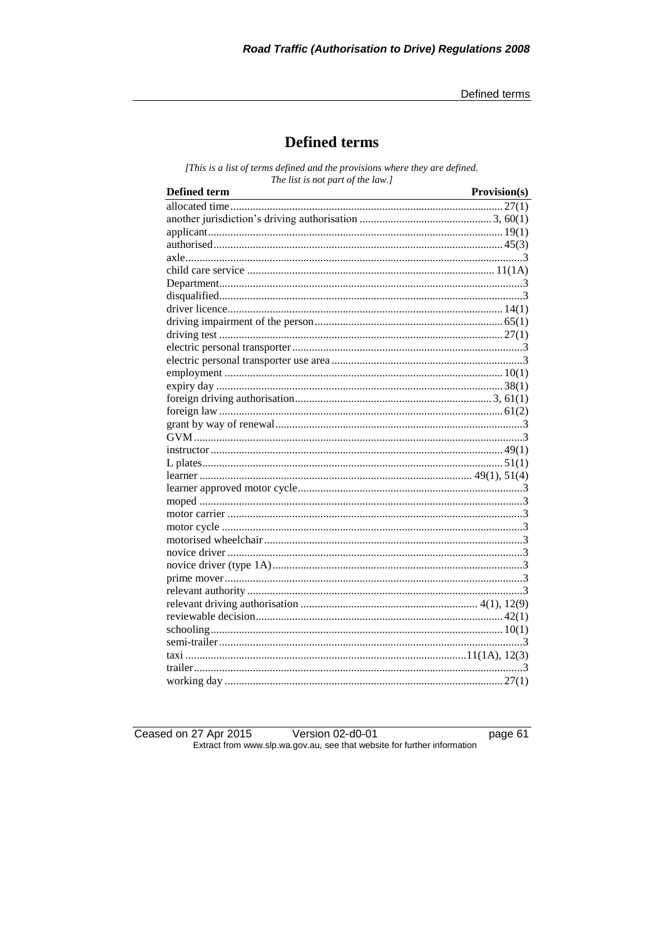Defined terms

## **Defined terms**

[This is a list of terms defined and the provisions where they are defined. The list is not part of the law.]

| <b>Defined term</b> | Provision(s) |
|---------------------|--------------|
|                     |              |
|                     |              |
|                     |              |
|                     |              |
|                     |              |
|                     |              |
|                     |              |
|                     |              |
|                     |              |
|                     |              |
|                     |              |
|                     |              |
|                     |              |
|                     |              |
|                     |              |
|                     |              |
|                     |              |
|                     |              |
|                     |              |
|                     |              |
|                     |              |
|                     |              |
|                     |              |
|                     |              |
|                     |              |
|                     |              |
|                     |              |
|                     |              |
|                     |              |
|                     |              |
|                     |              |
|                     |              |
|                     |              |
|                     |              |
|                     |              |
|                     |              |
|                     |              |
|                     |              |

Ceased on 27 Apr 2015 Version 02-d0-01 Extract from www.slp.wa.gov.au, see that website for further information

page 61